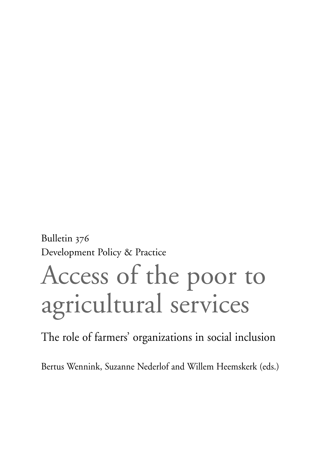Bulletin 376 Development Policy & Practice

# Access of the poor to agricultural services

The role of farmers' organizations in social inclusion

Bertus Wennink, Suzanne Nederlof and Willem Heemskerk (eds.)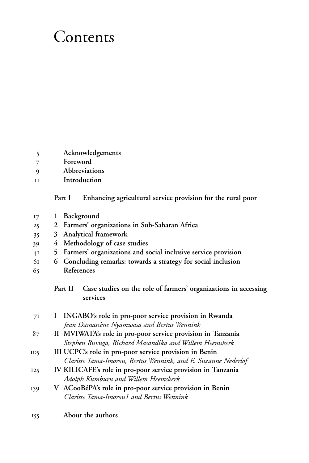### Contents

- **Acknowledgements** 5
- **Foreword** 7
- **Abbreviations**  $\overline{Q}$
- **Introduction** 11

**Part I Enhancing agricultural service provision for the rural poor** 

- **1 Background** 17
- **2 Farmers' organizations in Sub-Saharan Africa** 25
- **3 Analytical framework** 35
- **4 Methodology of case studies** 39
- **5 Farmers' organizations and social inclusive service provision** 41
- **6 Concluding remarks: towards a strategy for social inclusion 61**
- **References** 65

**Part II Case studies on the role of farmers' organizations in accessing services** 

- **I INGABO's role in pro-poor service provision in Rwanda** *Jean Damascène Nyamwasa and Bertus Wennink* 71
- **II MVIWATA's role in pro-poor service provision in Tanzania** *Stephen Ruvuga, Richard Masandika and Willem Heemskerk* 87
- **III UCPC's role in pro-poor service provision in Benin** *Clarisse Tama-Imorou, Bertus Wennink, and E. Suzanne Nederlof* 105
- **IV KILICAFE's role in pro-poor service provision in Tanzania** *Adolph Kumburu and Willem Heemskerk* 125
- **V ACooBéPA's role in pro-poor service provision in Benin** *Clarisse Tama-Imorou1 and Bertus Wennink* 139
- **About the authors** 155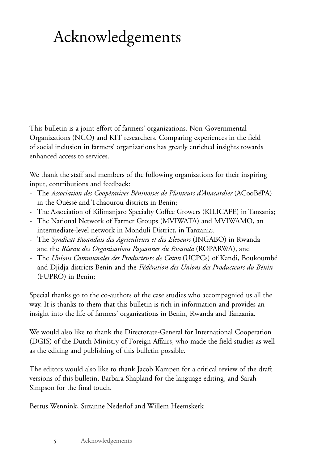# Acknowledgements

This bulletin is a joint effort of farmers' organizations, Non-Governmental Organizations (NGO) and KIT researchers. Comparing experiences in the field of social inclusion in farmers' organizations has greatly enriched insights towards enhanced access to services.

We thank the staff and members of the following organizations for their inspiring input, contributions and feedback:

- The *Association des Coopératives Béninoises de Planteurs d'Anacardier* (ACooBéPA) in the Ouèssè and Tchaourou districts in Benin;
- The Association of Kilimanjaro Specialty Coffee Growers (KILICAFE) in Tanzania;
- The National Network of Farmer Groups (MVIWATA) and MVIWAMO, an intermediate-level network in Monduli District, in Tanzania;
- The *Syndicat Rwandais des Agriculteurs et des Eleveurs* (INGABO) in Rwanda and the *Réseau des Organisations Paysannes du Rwanda* (ROPARWA), and
- The *Unions Communales des Producteurs de Coton* (UCPCs) of Kandi, Boukoumbé and Djidja districts Benin and the *Fédération des Unions des Producteurs du Bénin* (FUPRO) in Benin;

Special thanks go to the co-authors of the case studies who accompagnied us all the way. It is thanks to them that this bulletin is rich in information and provides an insight into the life of farmers' organizations in Benin, Rwanda and Tanzania.

We would also like to thank the Directorate-General for International Cooperation (DGIS) of the Dutch Ministry of Foreign Affairs, who made the field studies as well as the editing and publishing of this bulletin possible.

The editors would also like to thank Jacob Kampen for a critical review of the draft versions of this bulletin, Barbara Shapland for the language editing, and Sarah Simpson for the final touch.

Bertus Wennink, Suzanne Nederlof and Willem Heemskerk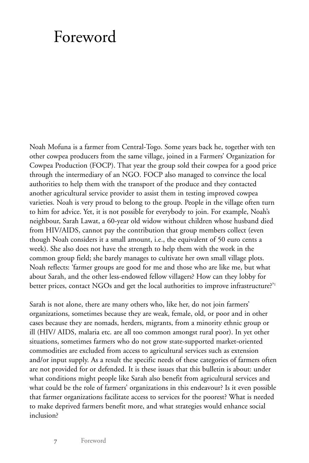### Foreword

Noah Mofuna is a farmer from Central-Togo. Some years back he, together with ten other cowpea producers from the same village, joined in a Farmers' Organization for Cowpea Production (FOCP). That year the group sold their cowpea for a good price through the intermediary of an NGO. FOCP also managed to convince the local authorities to help them with the transport of the produce and they contacted another agricultural service provider to assist them in testing improved cowpea varieties. Noah is very proud to belong to the group. People in the village often turn to him for advice. Yet, it is not possible for everybody to join. For example, Noah's neighbour, Sarah Lawat, a 60-year old widow without children whose husband died from HIV/AIDS, cannot pay the contribution that group members collect (even though Noah considers it a small amount, i.e., the equivalent of 50 euro cents a week). She also does not have the strength to help them with the work in the common group field; she barely manages to cultivate her own small village plots. Noah reflects: 'farmer groups are good for me and those who are like me, but what about Sarah, and the other less-endowed fellow villagers? How can they lobby for better prices, contact NGOs and get the local authorities to improve infrastructure?'<sup>1</sup>

Sarah is not alone, there are many others who, like her, do not join farmers' organizations, sometimes because they are weak, female, old, or poor and in other cases because they are nomads, herders, migrants, from a minority ethnic group or ill (HIV/ AIDS, malaria etc. are all too common amongst rural poor). In yet other situations, sometimes farmers who do not grow state-supported market-oriented commodities are excluded from access to agricultural services such as extension and/or input supply. As a result the specific needs of these categories of farmers often are not provided for or defended. It is these issues that this bulletin is about: under what conditions might people like Sarah also benefit from agricultural services and what could be the role of farmers' organizations in this endeavour? Is it even possible that farmer organizations facilitate access to services for the poorest? What is needed to make deprived farmers benefit more, and what strategies would enhance social inclusion?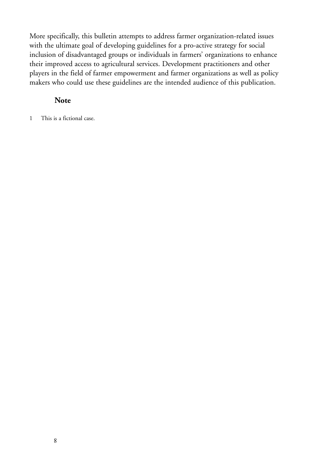More specifically, this bulletin attempts to address farmer organization-related issues with the ultimate goal of developing guidelines for a pro-active strategy for social inclusion of disadvantaged groups or individuals in farmers' organizations to enhance their improved access to agricultural services. Development practitioners and other players in the field of farmer empowerment and farmer organizations as well as policy makers who could use these guidelines are the intended audience of this publication.

#### **Note**

1 This is a fictional case.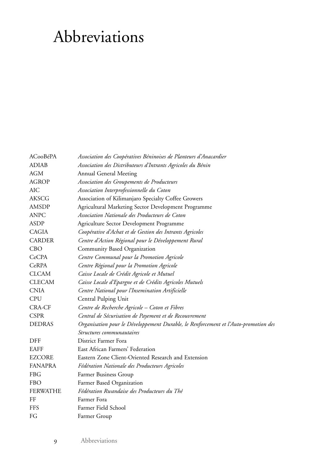# Abbreviations

| ACooBéPA        | Association des Coopératives Béninoises de Planteurs d'Anacardier                   |
|-----------------|-------------------------------------------------------------------------------------|
| <b>ADIAB</b>    | Association des Distributeurs d'Intrants Agricoles du Bénin                         |
| AGM             | Annual General Meeting                                                              |
| <b>AGROP</b>    | Association des Groupements de Producteurs                                          |
| <b>AIC</b>      | Association Interprofessionnelle du Coton                                           |
| <b>AKSCG</b>    | Association of Kilimanjaro Specialty Coffee Growers                                 |
| <b>AMSDP</b>    | Agricultural Marketing Sector Development Programme                                 |
| <b>ANPC</b>     | Association Nationale des Producteurs de Coton                                      |
| ASDP            | Agriculture Sector Development Programme                                            |
| CAGIA           | Coopérative d'Achat et de Gestion des Intrants Agricoles                            |
| <b>CARDER</b>   | Centre d'Action Régional pour le Développement Rural                                |
| <b>CBO</b>      | Community Based Organization                                                        |
| CeCPA           | Centre Communal pour la Promotion Agricole                                          |
| CeRPA           | Centre Régional pour la Promotion Agricole                                          |
| <b>CLCAM</b>    | Caisse Locale de Crédit Agricole et Mutuel                                          |
| <b>CLECAM</b>   | Caisse Locale d'Epargne et de Crédits Agricoles Mutuels                             |
| <b>CNIA</b>     | Centre National pour l'Insemination Artificielle                                    |
| <b>CPU</b>      | Central Pulping Unit                                                                |
| <b>CRA-CF</b>   | Centre de Recherche Agricole – Coton et Fibres                                      |
| <b>CSPR</b>     | Central de Sécurisation de Payement et de Recouvrement                              |
| <b>DEDRAS</b>   | Organisation pour le Développement Durable, le Renforcement et l'Auto-promotion des |
|                 | Structures communautaires                                                           |
| DFF             | District Farmer Fora                                                                |
| <b>EAFF</b>     | East African Farmers' Federation                                                    |
| <b>EZCORE</b>   | Eastern Zone Client-Oriented Research and Extension                                 |
| <b>FANAPRA</b>  | Fédération Nationale des Producteurs Agricoles                                      |
| FBG             | Farmer Business Group                                                               |
| FBO             | Farmer Based Organization                                                           |
| <b>FERWATHE</b> | Fédération Rwandaise des Producteurs du Thé                                         |
| FF              | Farmer Fora                                                                         |
| <b>FFS</b>      | Farmer Field School                                                                 |
| FG              | Farmer Group                                                                        |
|                 |                                                                                     |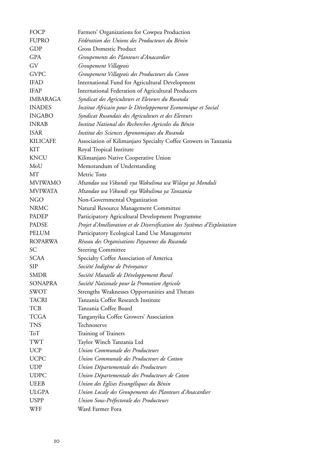| FOCP           | Farmers' Organizations for Cowpea Production                            |  |
|----------------|-------------------------------------------------------------------------|--|
| FUPRO          | Fédération des Unions des Producteurs du Bénin                          |  |
| GDP            | <b>Gross Domestic Product</b>                                           |  |
| GPA            | Groupements des Planteurs d'Anacardier                                  |  |
| GV             | Groupement Villageois                                                   |  |
| GVPC           | Groupement Villageois des Producteurs du Coton                          |  |
| IFAD           | International Fund for Agricultural Development                         |  |
| <b>IFAP</b>    | International Federation of Agricultural Producers                      |  |
| IMBARAGA       | Syndicat des Agriculteurs et Eleveurs du Rwanda                         |  |
| <b>INADES</b>  | Institut Africain pour le Développement Economique et Social            |  |
| <b>INGABO</b>  | Syndicat Rwandais des Agriculteurs et des Eleveurs                      |  |
| <b>INRAB</b>   | Institut National des Recherches Agricoles du Bénin                     |  |
| <b>ISAR</b>    | Institut des Sciences Agronomiques du Rwanda                            |  |
| KILICAFE       | Association of Kilimanjaro Specialty Coffee Growers in Tanzania         |  |
| KIT            | Royal Tropical Institute                                                |  |
| KNCU           | Kilimanjaro Native Cooperative Union                                    |  |
| MoU            | Memorandum of Understanding                                             |  |
| MТ             | Metric Tons                                                             |  |
| MVIWAMO        | Mtandao wa Vikundi vya Wakulima wa Wilaya ya Monduli                    |  |
| <b>MVIWATA</b> | Mtandao wa Vikundi vya Wakulima ya Tanzania                             |  |
| NGO            | Non-Governmental Organization                                           |  |
| NRMC           | Natural Resource Management Committee                                   |  |
| PADEP          | Participatory Agricultural Development Programme                        |  |
| PADSE          | Projet d'Amélioration et de Diversification des Systèmes d'Exploitation |  |
| PELUM          | Participatory Ecological Land Use Management                            |  |
| <b>ROPARWA</b> | Réseau des Organisations Paysannes du Rwanda                            |  |
| SС             | <b>Steering Committee</b>                                               |  |
| <b>SCAA</b>    | Specialty Coffee Association of America                                 |  |
| SIP            | Société Indigène de Prévoyance                                          |  |
| SMDR           | Société Mutuelle de Développement Rural                                 |  |
| SONAPRA        | Société Nationale pour la Promotion Agricole                            |  |
| SWOT           | Strengths Weaknesses Opportunities and Threats                          |  |
| TACRI          | Tanzania Coffee Research Institute                                      |  |
| TCB            | Tanzania Coffee Board                                                   |  |
| TCGA           | Tanganyika Coffee Growers' Association                                  |  |
| TNS            | Technoserve                                                             |  |
| ToT            | Training of Trainers                                                    |  |
| TWT            | Taylor Winch Tanzania Ltd                                               |  |
| <b>UCP</b>     | Union Communale des Producteurs                                         |  |
| UCPC           | Union Communale des Producteurs de Cotton                               |  |
| UDP            | Union Départementale des Producteurs                                    |  |
| UDPC           | Union Départementale des Producteurs de Coton                           |  |
| UEEB           | Union des Eglises Evangéliques du Bénin                                 |  |
| ULGPA          | Union Locale des Groupements des Planteurs d'Anacardier                 |  |
| USPP           | Union Sous-Préfectorale des Producteurs                                 |  |
| WFF            | Ward Farmer Fora                                                        |  |
|                |                                                                         |  |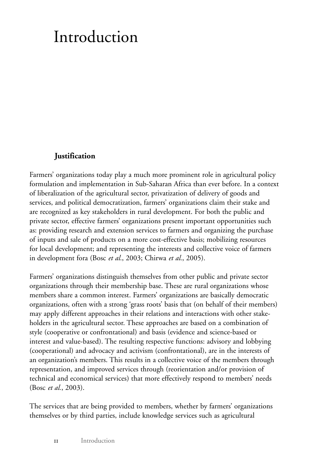# Introduction

#### **Justification**

Farmers' organizations today play a much more prominent role in agricultural policy formulation and implementation in Sub-Saharan Africa than ever before. In a context of liberalization of the agricultural sector, privatization of delivery of goods and services, and political democratization, farmers' organizations claim their stake and are recognized as key stakeholders in rural development. For both the public and private sector, effective farmers' organizations present important opportunities such as: providing research and extension services to farmers and organizing the purchase of inputs and sale of products on a more cost-effective basis; mobilizing resources for local development; and representing the interests and collective voice of farmers in development fora (Bosc *et al.*, 2003; Chirwa *et al.*, 2005).

Farmers' organizations distinguish themselves from other public and private sector organizations through their membership base. These are rural organizations whose members share a common interest. Farmers' organizations are basically democratic organizations, often with a strong 'grass roots' basis that (on behalf of their members) may apply different approaches in their relations and interactions with other stakeholders in the agricultural sector. These approaches are based on a combination of style (cooperative or confrontational) and basis (evidence and science-based or interest and value-based). The resulting respective functions: advisory and lobbying (cooperational) and advocacy and activism (confrontational), are in the interests of an organization's members. This results in a collective voice of the members through representation, and improved services through (reorientation and/or provision of technical and economical services) that more effectively respond to members' needs (Bosc *et al.*, 2003).

The services that are being provided to members, whether by farmers' organizations themselves or by third parties, include knowledge services such as agricultural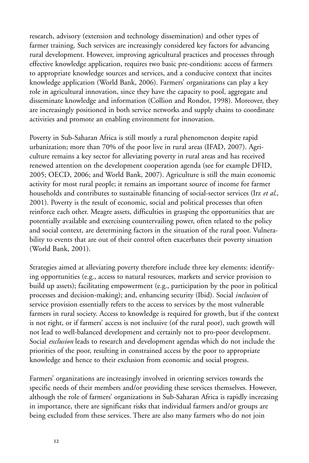research, advisory (extension and technology dissemination) and other types of farmer training. Such services are increasingly considered key factors for advancing rural development. However, improving agricultural practices and processes through effective knowledge application, requires two basic pre-conditions: access of farmers to appropriate knowledge sources and services, and a conducive context that incites knowledge application (World Bank, 2006). Farmers' organizations can play a key role in agricultural innovation, since they have the capacity to pool, aggregate and disseminate knowledge and information (Collion and Rondot, 1998). Moreover, they are increasingly positioned in both service networks and supply chains to coordinate activities and promote an enabling environment for innovation.

Poverty in Sub-Saharan Africa is still mostly a rural phenomenon despite rapid urbanization; more than 70% of the poor live in rural areas (IFAD, 2007). Agriculture remains a key sector for alleviating poverty in rural areas and has received renewed attention on the development cooperation agenda (see for example DFID, 2005; OECD, 2006; and World Bank, 2007). Agriculture is still the main economic activity for most rural people; it remains an important source of income for farmer households and contributes to sustainable financing of social-sector services (Irz *et al.*, 2001). Poverty is the result of economic, social and political processes that often reinforce each other. Meagre assets, difficulties in grasping the opportunities that are potentially available and exercising countervailing power, often related to the policy and social context, are determining factors in the situation of the rural poor. Vulnerability to events that are out of their control often exacerbates their poverty situation (World Bank, 2001).

Strategies aimed at alleviating poverty therefore include three key elements: identifying opportunities (e.g., access to natural resources, markets and service provision to build up assets); facilitating empowerment (e.g., participation by the poor in political processes and decision-making); and, enhancing security (Ibid). Social *inclusion* of service provision essentially refers to the access to services by the most vulnerable farmers in rural society. Access to knowledge is required for growth, but if the context is not right, or if farmers' access is not inclusive (of the rural poor), such growth will not lead to well-balanced development and certainly not to pro-poor development. Social *exclusion* leads to research and development agendas which do not include the priorities of the poor, resulting in constrained access by the poor to appropriate knowledge and hence to their exclusion from economic and social progress.

Farmers' organizations are increasingly involved in orienting services towards the specific needs of their members and/or providing these services themselves. However, although the role of farmers' organizations in Sub-Saharan Africa is rapidly increasing in importance, there are significant risks that individual farmers and/or groups are being excluded from these services. There are also many farmers who do not join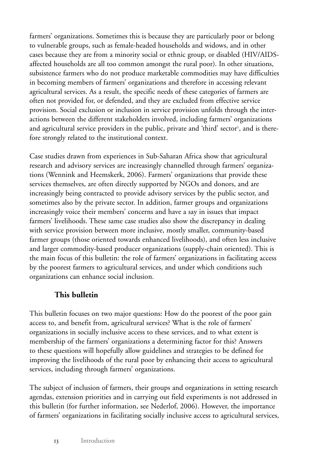farmers' organizations. Sometimes this is because they are particularly poor or belong to vulnerable groups, such as female-headed households and widows, and in other cases because they are from a minority social or ethnic group, or disabled (HIV/AIDSaffected households are all too common amongst the rural poor). In other situations, subsistence farmers who do not produce marketable commodities may have difficulties in becoming members of farmers' organizations and therefore in accessing relevant agricultural services. As a result, the specific needs of these categories of farmers are often not provided for, or defended, and they are excluded from effective service provision. Social exclusion or inclusion in service provision unfolds through the interactions between the different stakeholders involved, including farmers' organizations and agricultural service providers in the public, private and 'third' sector', and is therefore strongly related to the institutional context.

Case studies drawn from experiences in Sub-Saharan Africa show that agricultural research and advisory services are increasingly channelled through farmers' organizations (Wennink and Heemskerk, 2006). Farmers' organizations that provide these services themselves, are often directly supported by NGOs and donors, and are increasingly being contracted to provide advisory services by the public sector, and sometimes also by the private sector. In addition, farmer groups and organizations increasingly voice their members' concerns and have a say in issues that impact farmers' livelihoods. These same case studies also show the discrepancy in dealing with service provision between more inclusive, mostly smaller, community-based farmer groups (those oriented towards enhanced livelihoods), and often less inclusive and larger commodity-based producer organizations (supply-chain oriented). This is the main focus of this bulletin: the role of farmers' organizations in facilitating access by the poorest farmers to agricultural services, and under which conditions such organizations can enhance social inclusion.

#### **This bulletin**

This bulletin focuses on two major questions: How do the poorest of the poor gain access to, and benefit from, agricultural services? What is the role of farmers' organizations in socially inclusive access to these services, and to what extent is membership of the farmers' organizations a determining factor for this? Answers to these questions will hopefully allow guidelines and strategies to be defined for improving the livelihoods of the rural poor by enhancing their access to agricultural services, including through farmers' organizations.

The subject of inclusion of farmers, their groups and organizations in setting research agendas, extension priorities and in carrying out field experiments is not addressed in this bulletin (for further information, see Nederlof, 2006). However, the importance of farmers' organizations in facilitating socially inclusive access to agricultural services,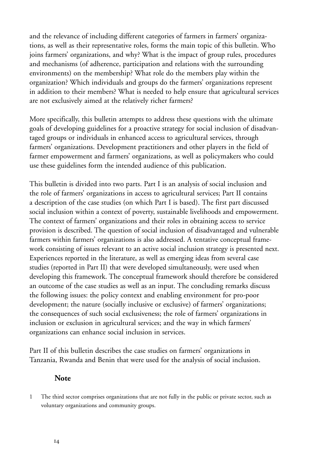and the relevance of including different categories of farmers in farmers' organizations, as well as their representative roles, forms the main topic of this bulletin. Who joins farmers' organizations, and why? What is the impact of group rules, procedures and mechanisms (of adherence, participation and relations with the surrounding environments) on the membership? What role do the members play within the organization? Which individuals and groups do the farmers' organizations represent in addition to their members? What is needed to help ensure that agricultural services are not exclusively aimed at the relatively richer farmers?

More specifically, this bulletin attempts to address these questions with the ultimate goals of developing guidelines for a proactive strategy for social inclusion of disadvantaged groups or individuals in enhanced access to agricultural services, through farmers' organizations. Development practitioners and other players in the field of farmer empowerment and farmers' organizations, as well as policymakers who could use these guidelines form the intended audience of this publication.

This bulletin is divided into two parts. Part I is an analysis of social inclusion and the role of farmers' organizations in access to agricultural services; Part II contains a description of the case studies (on which Part I is based). The first part discussed social inclusion within a context of poverty, sustainable livelihoods and empowerment. The context of farmers' organizations and their roles in obtaining access to service provision is described. The question of social inclusion of disadvantaged and vulnerable farmers within farmers' organizations is also addressed. A tentative conceptual framework consisting of issues relevant to an active social inclusion strategy is presented next. Experiences reported in the literature, as well as emerging ideas from several case studies (reported in Part II) that were developed simultaneously, were used when developing this framework. The conceptual framework should therefore be considered an outcome of the case studies as well as an input. The concluding remarks discuss the following issues: the policy context and enabling environment for pro-poor development; the nature (socially inclusive or exclusive) of farmers' organizations; the consequences of such social exclusiveness; the role of farmers' organizations in inclusion or exclusion in agricultural services; and the way in which farmers' organizations can enhance social inclusion in services.

Part II of this bulletin describes the case studies on farmers' organizations in Tanzania, Rwanda and Benin that were used for the analysis of social inclusion.

#### **Note**

1 The third sector comprises organizations that are not fully in the public or private sector, such as voluntary organizations and community groups.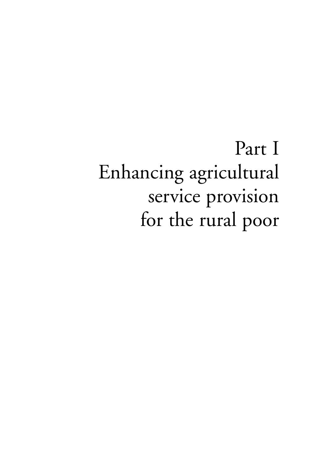Part I Enhancing agricultural service provision for the rural poor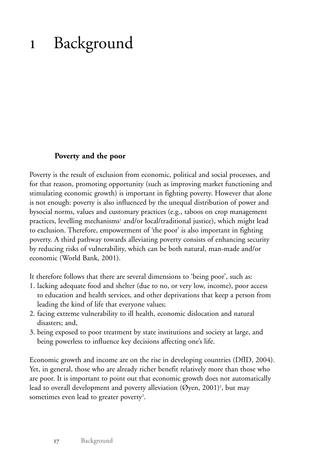### **1** Background

#### **Poverty and the poor**

Poverty is the result of exclusion from economic, political and social processes, and for that reason, promoting opportunity (such as improving market functioning and stimulating economic growth) is important in fighting poverty. However that alone is not enough: poverty is also influenced by the unequal distribution of power and bysocial norms, values and customary practices (e.g., taboos on crop management practices, levelling mechanisms<sup>1</sup> and/or local/traditional justice), which might lead to exclusion. Therefore, empowerment of 'the poor' is also important in fighting poverty. A third pathway towards alleviating poverty consists of enhancing security by reducing risks of vulnerability, which can be both natural, man-made and/or economic (World Bank, 2001).

It therefore follows that there are several dimensions to 'being poor', such as:

- 1. lacking adequate food and shelter (due to no, or very low, income), poor access to education and health services, and other deprivations that keep a person from leading the kind of life that everyone values;
- 2. facing extreme vulnerability to ill health, economic dislocation and natural disasters; and,
- 3. being exposed to poor treatment by state institutions and society at large, and being powerless to influence key decisions affecting one's life.

Economic growth and income are on the rise in developing countries (DfID, 2004). Yet, in general, those who are already richer benefit relatively more than those who are poor. It is important to point out that economic growth does not automatically lead to overall development and poverty alleviation (Øyen, 2001)², but may sometimes even lead to greater poverty<sup>3</sup>.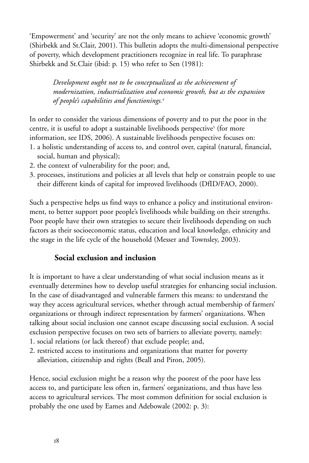'Empowerment' and 'security' are not the only means to achieve 'economic growth' (Shirbekk and St.Clair, 2001). This bulletin adopts the multi-dimensional perspective of poverty, which development practitioners recognize in real life. To paraphrase Shirbekk and St.Clair (ibid: p. 15) who refer to Sen (1981):

*Development ought not to be conceptualized as the achievement of modernization, industrialization and economic growth, but as the expansion of people's capabilities and functionings.4*

In order to consider the various dimensions of poverty and to put the poor in the centre, it is useful to adopt a sustainable livelihoods perspective<sup>5</sup> (for more information, see IDS, 2006). A sustainable livelihoods perspective focuses on:

- 1. a holistic understanding of access to, and control over, capital (natural, financial, social, human and physical);
- 2. the context of vulnerability for the poor; and,
- 3. processes, institutions and policies at all levels that help or constrain people to use their different kinds of capital for improved livelihoods (DfID/FAO, 2000).

Such a perspective helps us find ways to enhance a policy and institutional environment, to better support poor people's livelihoods while building on their strengths. Poor people have their own strategies to secure their livelihoods depending on such factors as their socioeconomic status, education and local knowledge, ethnicity and the stage in the life cycle of the household (Messer and Townsley, 2003).

#### **Social exclusion and inclusion**

It is important to have a clear understanding of what social inclusion means as it eventually determines how to develop useful strategies for enhancing social inclusion. In the case of disadvantaged and vulnerable farmers this means: to understand the way they access agricultural services, whether through actual membership of farmers' organizations or through indirect representation by farmers' organizations. When talking about social inclusion one cannot escape discussing social exclusion. A social exclusion perspective focuses on two sets of barriers to alleviate poverty, namely: 1. social relations (or lack thereof) that exclude people; and,

2. restricted access to institutions and organizations that matter for poverty alleviation, citizenship and rights (Beall and Piron, 2005).

Hence, social exclusion might be a reason why the poorest of the poor have less access to, and participate less often in, farmers' organizations, and thus have less access to agricultural services. The most common definition for social exclusion is probably the one used by Eames and Adebowale (2002: p. 3):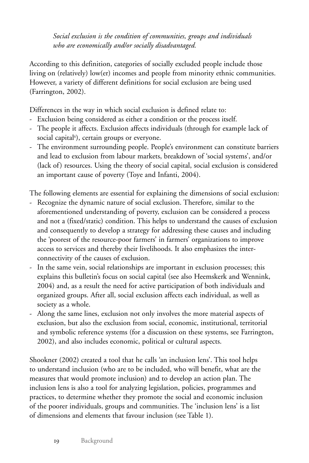*Social exclusion is the condition of communities, groups and individuals who are economically and/or socially disadvantaged.* 

According to this definition, categories of socially excluded people include those living on (relatively) low(er) incomes and people from minority ethnic communities. However, a variety of different definitions for social exclusion are being used (Farrington, 2002).

Differences in the way in which social exclusion is defined relate to:

- Exclusion being considered as either a condition or the process itself.
- The people it affects. Exclusion affects individuals (through for example lack of social capital<sup>6</sup>), certain groups or everyone.
- The environment surrounding people. People's environment can constitute barriers and lead to exclusion from labour markets, breakdown of 'social systems', and/or (lack of) resources. Using the theory of social capital, social exclusion is considered an important cause of poverty (Toye and Infanti, 2004).

The following elements are essential for explaining the dimensions of social exclusion:

- Recognize the dynamic nature of social exclusion. Therefore, similar to the aforementioned understanding of poverty, exclusion can be considered a process and not a (fixed/static) condition. This helps to understand the causes of exclusion and consequently to develop a strategy for addressing these causes and including the 'poorest of the resource-poor farmers' in farmers' organizations to improve access to services and thereby their livelihoods. It also emphasizes the interconnectivity of the causes of exclusion.
- In the same vein, social relationships are important in exclusion processes; this explains this bulletin's focus on social capital (see also Heemskerk and Wennink, 2004) and, as a result the need for active participation of both individuals and organized groups. After all, social exclusion affects each individual, as well as society as a whole.
- Along the same lines, exclusion not only involves the more material aspects of exclusion, but also the exclusion from social, economic, institutional, territorial and symbolic reference systems (for a discussion on these systems, see Farrington, 2002), and also includes economic, political or cultural aspects.

Shookner (2002) created a tool that he calls 'an inclusion lens'. This tool helps to understand inclusion (who are to be included, who will benefit, what are the measures that would promote inclusion) and to develop an action plan. The inclusion lens is also a tool for analyzing legislation, policies, programmes and practices, to determine whether they promote the social and economic inclusion of the poorer individuals, groups and communities. The 'inclusion lens' is a list of dimensions and elements that favour inclusion (see Table 1).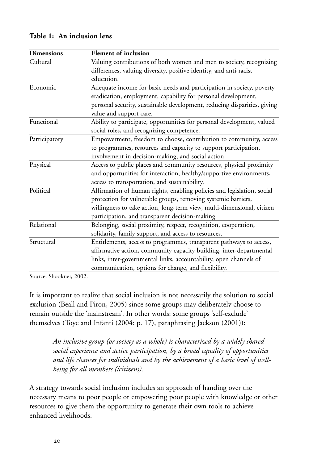| <b>Dimensions</b> | <b>Element of inclusion</b>                                              |
|-------------------|--------------------------------------------------------------------------|
| Cultural          | Valuing contributions of both women and men to society, recognizing      |
|                   | differences, valuing diversity, positive identity, and anti-racist       |
|                   | education.                                                               |
| Economic          | Adequate income for basic needs and participation in society, poverty    |
|                   | eradication, employment, capability for personal development,            |
|                   | personal security, sustainable development, reducing disparities, giving |
|                   | value and support care.                                                  |
| Functional        | Ability to participate, opportunities for personal development, valued   |
|                   | social roles, and recognizing competence.                                |
| Participatory     | Empowerment, freedom to choose, contribution to community, access        |
|                   | to programmes, resources and capacity to support participation,          |
|                   | involvement in decision-making, and social action.                       |
| Physical          | Access to public places and community resources, physical proximity      |
|                   | and opportunities for interaction, healthy/supportive environments,      |
|                   | access to transportation, and sustainability.                            |
| Political         | Affirmation of human rights, enabling policies and legislation, social   |
|                   | protection for vulnerable groups, removing systemic barriers,            |
|                   | willingness to take action, long-term view, multi-dimensional, citizen   |
|                   | participation, and transparent decision-making.                          |
| Relational        | Belonging, social proximity, respect, recognition, cooperation,          |
|                   | solidarity, family support, and access to resources.                     |
| Structural        | Entitlements, access to programmes, transparent pathways to access,      |
|                   | affirmative action, community capacity building, inter-departmental      |
|                   | links, inter-governmental links, accountability, open channels of        |
|                   | communication, options for change, and flexibility.                      |

#### **Table 1: An inclusion lens**

Source: Shookner, 2002.

It is important to realize that social inclusion is not necessarily the solution to social exclusion (Beall and Piron, 2005) since some groups may deliberately choose to remain outside the 'mainstream'. In other words: some groups 'self-exclude' themselves (Toye and Infanti (2004: p. 17), paraphrasing Jackson (2001)):

*An inclusive group (or society as a whole) is characterized by a widely shared social experience and active participation, by a broad equality of opportunities and life chances for individuals and by the achievement of a basic level of wellbeing for all members (/citizens).*

A strategy towards social inclusion includes an approach of handing over the necessary means to poor people or empowering poor people with knowledge or other resources to give them the opportunity to generate their own tools to achieve enhanced livelihoods.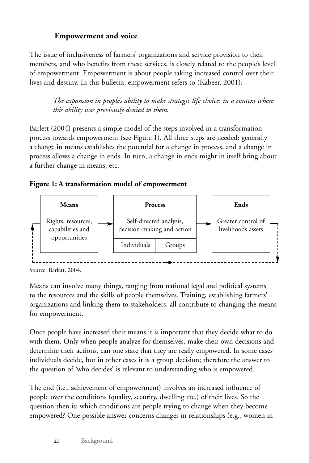#### **Empowerment and voice**

The issue of inclusiveness of farmers' organizations and service provision to their members, and who benefits from these services, is closely related to the people's level of empowerment. Empowerment is about people taking increased control over their lives and destiny. In this bulletin, empowerment refers to (Kabeer, 2001):

*The expansion in people's ability to make strategic life choices in a context where this ability was previously denied to them.*

Barlett (2004) presents a simple model of the steps involved in a transformation process towards empowerment (see Figure 1). All three steps are needed: generally a change in means establishes the potential for a change in process, and a change in process allows a change in ends. In turn, a change in ends might in itself bring about a further change in means, etc.

#### **Figure 1: A transformation model of empowerment**



Source: Barlett, 2004.

Means can involve many things, ranging from national legal and political systems to the resources and the skills of people themselves. Training, establishing farmers' organizations and linking them to stakeholders, all contribute to changing the means for empowerment.

Once people have increased their means it is important that they decide what to do with them. Only when people analyze for themselves, make their own decisions and determine their actions, can one state that they are really empowered. In some cases individuals decide, but in other cases it is a group decision; therefore the answer to the question of 'who decides' is relevant to understanding who is empowered.

The end (i.e., achievement of empowerment) involves an increased influence of people over the conditions (quality, security, dwelling etc.) of their lives. So the question then is: which conditions are people trying to change when they become empowered? One possible answer concerns changes in relationships (e.g., women in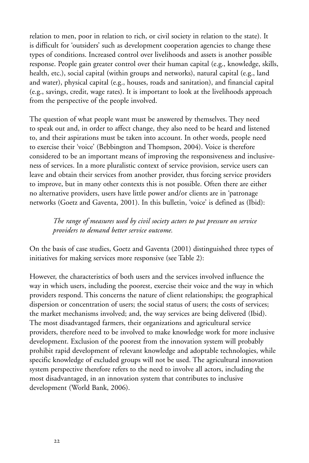relation to men, poor in relation to rich, or civil society in relation to the state). It is difficult for 'outsiders' such as development cooperation agencies to change these types of conditions. Increased control over livelihoods and assets is another possible response. People gain greater control over their human capital (e.g., knowledge, skills, health, etc.), social capital (within groups and networks), natural capital (e.g., land and water), physical capital (e.g., houses, roads and sanitation), and financial capital (e.g., savings, credit, wage rates). It is important to look at the livelihoods approach from the perspective of the people involved.

The question of what people want must be answered by themselves. They need to speak out and, in order to affect change, they also need to be heard and listened to, and their aspirations must be taken into account. In other words, people need to exercise their 'voice' (Bebbington and Thompson, 2004). Voice is therefore considered to be an important means of improving the responsiveness and inclusiveness of services. In a more pluralistic context of service provision, service users can leave and obtain their services from another provider, thus forcing service providers to improve, but in many other contexts this is not possible. Often there are either no alternative providers, users have little power and/or clients are in 'patronage networks (Goetz and Gaventa, 2001). In this bulletin, 'voice' is defined as (Ibid):

*The range of measures used by civil society actors to put pressure on service providers to demand better service outcome.*

On the basis of case studies, Goetz and Gaventa (2001) distinguished three types of initiatives for making services more responsive (see Table 2):

However, the characteristics of both users and the services involved influence the way in which users, including the poorest, exercise their voice and the way in which providers respond. This concerns the nature of client relationships; the geographical dispersion or concentration of users; the social status of users; the costs of services; the market mechanisms involved; and, the way services are being delivered (Ibid). The most disadvantaged farmers, their organizations and agricultural service providers, therefore need to be involved to make knowledge work for more inclusive development. Exclusion of the poorest from the innovation system will probably prohibit rapid development of relevant knowledge and adoptable technologies, while specific knowledge of excluded groups will not be used. The agricultural innovation system perspective therefore refers to the need to involve all actors, including the most disadvantaged, in an innovation system that contributes to inclusive development (World Bank, 2006).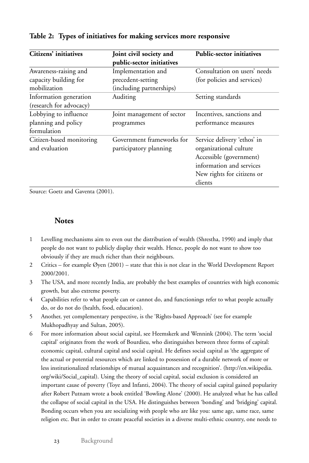| Citizens' initiatives    | Joint civil society and    | <b>Public-sector initiatives</b> |
|--------------------------|----------------------------|----------------------------------|
|                          | public-sector initiatives  |                                  |
| Awareness-raising and    | Implementation and         | Consultation on users' needs     |
| capacity building for    | precedent-setting          | (for policies and services)      |
| mobilization             | (including partnerships)   |                                  |
| Information generation   | Auditing                   | Setting standards                |
| (research for advocacy)  |                            |                                  |
| Lobbying to influence    | Joint management of sector | Incentives, sanctions and        |
| planning and policy      | programmes                 | performance measures             |
| formulation              |                            |                                  |
| Citizen-based monitoring | Government frameworks for  | Service delivery 'ethos' in      |
| and evaluation           | participatory planning     | organizational culture           |
|                          |                            | Accessible (government)          |
|                          |                            | information and services         |
|                          |                            | New rights for citizens or       |
|                          |                            | clients                          |

#### **Table 2: Types of initiatives for making services more responsive**

Source: Goetz and Gaventa (2001).

#### **Notes**

- 1 Levelling mechanisms aim to even out the distribution of wealth (Shrestha, 1990) and imply that people do not want to publicly display their wealth. Hence, people do not want to show too obviously if they are much richer than their neighbours.
- 2 Critics for example Øyen (2001) state that this is not clear in the World Development Report 2000/2001.
- 3 The USA, and more recently India, are probably the best examples of countries with high economic growth, but also extreme poverty.
- 4 Capabilities refer to what people can or cannot do, and functionings refer to what people actually do, or do not do (health, food, education).
- 5 Another, yet complementary perspective, is the 'Rights-based Approach' (see for example Mukhopadhyay and Sultan, 2005).
- 6 For more information about social capital, see Heemskerk and Wennink (2004). The term 'social capital' originates from the work of Bourdieu, who distinguishes between three forms of capital: economic capital, cultural capital and social capital. He defines social capital as 'the aggregate of the actual or potential resources which are linked to possession of a durable network of more or less institutionalized relationships of mutual acquaintances and recognition'. (http://en.wikipedia. org/wiki/Social\_capital). Using the theory of social capital, social exclusion is considered an important cause of poverty (Toye and Infanti, 2004). The theory of social capital gained popularity after Robert Putnam wrote a book entitled 'Bowling Alone' (2000). He analyzed what he has called the collapse of social capital in the USA. He distinguishes between 'bonding' and 'bridging' capital. Bonding occurs when you are socializing with people who are like you: same age, same race, same religion etc. But in order to create peaceful societies in a diverse multi-ethnic country, one needs to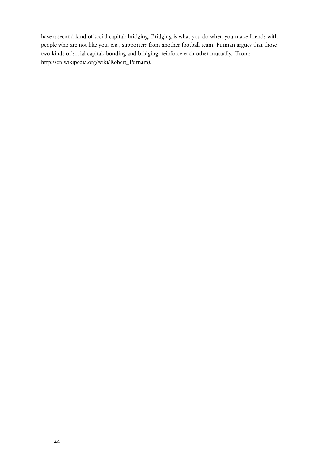have a second kind of social capital: bridging. Bridging is what you do when you make friends with people who are not like you, e.g., supporters from another football team. Putman argues that those two kinds of social capital, bonding and bridging, reinforce each other mutually. (From: http://en.wikipedia.org/wiki/Robert\_Putnam).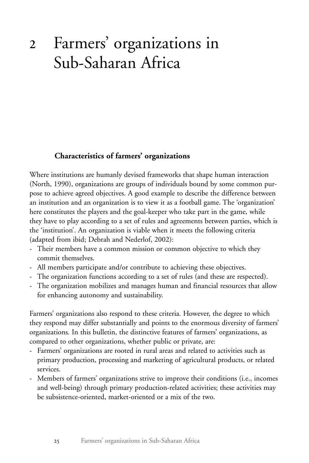# **2** Farmers' organizations in Sub-Saharan Africa

#### **Characteristics of farmers' organizations**

Where institutions are humanly devised frameworks that shape human interaction (North, 1990), organizations are groups of individuals bound by some common purpose to achieve agreed objectives. A good example to describe the difference between an institution and an organization is to view it as a football game. The 'organization' here constitutes the players and the goal-keeper who take part in the game, while they have to play according to a set of rules and agreements between parties, which is the 'institution'. An organization is viable when it meets the following criteria (adapted from ibid; Debrah and Nederlof, 2002):

- Their members have a common mission or common objective to which they commit themselves.
- All members participate and/or contribute to achieving these objectives.
- The organization functions according to a set of rules (and these are respected).
- The organization mobilizes and manages human and financial resources that allow for enhancing autonomy and sustainability.

Farmers' organizations also respond to these criteria. However, the degree to which they respond may differ substantially and points to the enormous diversity of farmers' organizations. In this bulletin, the distinctive features of farmers' organizations, as compared to other organizations, whether public or private, are:

- Farmers' organizations are rooted in rural areas and related to activities such as primary production, processing and marketing of agricultural products, or related services.
- Members of farmers' organizations strive to improve their conditions (i.e., incomes and well-being) through primary production-related activities; these activities may be subsistence-oriented, market-oriented or a mix of the two.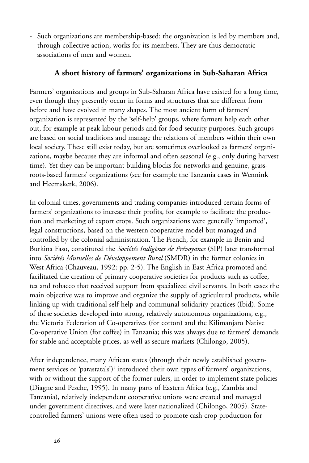- Such organizations are membership-based: the organization is led by members and, through collective action, works for its members. They are thus democratic associations of men and women.

#### **A short history of farmers' organizations in Sub-Saharan Africa**

Farmers' organizations and groups in Sub-Saharan Africa have existed for a long time, even though they presently occur in forms and structures that are different from before and have evolved in many shapes. The most ancient form of farmers' organization is represented by the 'self-help' groups, where farmers help each other out, for example at peak labour periods and for food security purposes. Such groups are based on social traditions and manage the relations of members within their own local society. These still exist today, but are sometimes overlooked as farmers' organizations, maybe because they are informal and often seasonal (e.g., only during harvest time). Yet they can be important building blocks for networks and genuine, grassroots-based farmers' organizations (see for example the Tanzania cases in Wennink and Heemskerk, 2006).

In colonial times, governments and trading companies introduced certain forms of farmers' organizations to increase their profits, for example to facilitate the production and marketing of export crops. Such organizations were generally 'imported', legal constructions, based on the western cooperative model but managed and controlled by the colonial administration. The French, for example in Benin and Burkina Faso, constituted the *Sociétés Indigènes de Prévoyance* (SIP) later transformed into *Sociétés Mutuelles de Développement Rural* (SMDR) in the former colonies in West Africa (Chauveau, 1992: pp. 2-5). The English in East Africa promoted and facilitated the creation of primary cooperative societies for products such as coffee, tea and tobacco that received support from specialized civil servants. In both cases the main objective was to improve and organize the supply of agricultural products, while linking up with traditional self-help and communal solidarity practices (Ibid). Some of these societies developed into strong, relatively autonomous organizations, e.g., the Victoria Federation of Co-operatives (for cotton) and the Kilimanjaro Native Co-operative Union (for coffee) in Tanzania; this was always due to farmers' demands for stable and acceptable prices, as well as secure markets (Chilongo, 2005).

After independence, many African states (through their newly established government services or 'parastatals')<sup>1</sup> introduced their own types of farmers' organizations, with or without the support of the former rulers, in order to implement state policies (Diagne and Pesche, 1995). In many parts of Eastern Africa (e.g., Zambia and Tanzania), relatively independent cooperative unions were created and managed under government directives, and were later nationalized (Chilongo, 2005). Statecontrolled farmers' unions were often used to promote cash crop production for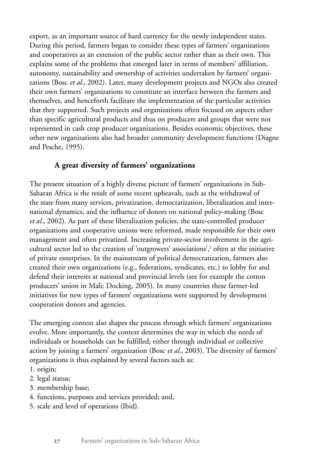export, as an important source of hard currency for the newly independent states. During this period, farmers began to consider these types of farmers' organizations and cooperatives as an extension of the public sector rather than as their own. This explains some of the problems that emerged later in terms of members' affiliation, autonomy, sustainability and ownership of activities undertaken by farmers' organizations (Bosc *et al.*, 2002). Later, many development projects and NGOs also created their own farmers' organizations to constitute an interface between the farmers and themselves, and henceforth facilitate the implementation of the particular activities that they supported. Such projects and organizations often focused on aspects other than specific agricultural products and thus on producers and groups that were not represented in cash crop producer organizations. Besides economic objectives, these other new organizations also had broader community development functions (Diagne and Pesche, 1995).

#### **A great diversity of farmers' organizations**

The present situation of a highly diverse picture of farmers' organizations in Sub-Saharan Africa is the result of some recent upheavals, such as the withdrawal of the state from many services, privatization, democratization, liberalization and international dynamics, and the influence of donors on national policy-making (Bosc *et al.*, 2002). As part of these liberalization policies, the state-controlled producer organizations and cooperative unions were reformed, made responsible for their own management and often privatized. Increasing private-sector involvement in the agricultural sector led to the creation of 'outgrowers' associations',<sup>2</sup> often at the initiative of private enterprises. In the mainstream of political democratization, farmers also created their own organizations (e.g., federations, syndicates, etc.) to lobby for and defend their interests at national and provincial levels (see for example the cotton producers' union in Mali; Docking, 2005). In many countries these farmer-led initiatives for new types of farmers' organizations were supported by development cooperation donors and agencies.

The emerging context also shapes the process through which farmers' organizations evolve. More importantly, the context determines the way in which the needs of individuals or households can be fulfilled; either through individual or collective action by joining a farmers' organization (Bosc *et al.*, 2003). The diversity of farmers' organizations is thus explained by several factors such as:

- 1. origin;
- 2. legal status;
- 3. membership base;
- 4. functions, purposes and services provided; and,
- 5. scale and level of operations (Ibid).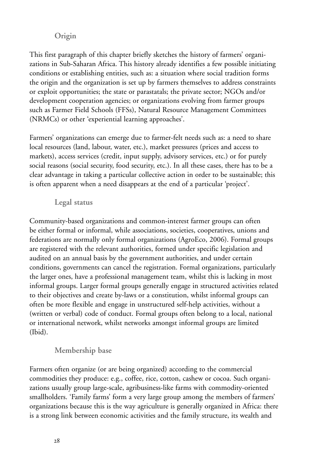#### **Origin**

This first paragraph of this chapter briefly sketches the history of farmers' organizations in Sub-Saharan Africa. This history already identifies a few possible initiating conditions or establishing entities, such as: a situation where social tradition forms the origin and the organization is set up by farmers themselves to address constraints or exploit opportunities; the state or parastatals; the private sector; NGOs and/or development cooperation agencies; or organizations evolving from farmer groups such as Farmer Field Schools (FFSs), Natural Resource Management Committees (NRMCs) or other 'experiential learning approaches'.

Farmers' organizations can emerge due to farmer-felt needs such as: a need to share local resources (land, labour, water, etc.), market pressures (prices and access to markets), access services (credit, input supply, advisory services, etc.) or for purely social reasons (social security, food security, etc.). In all these cases, there has to be a clear advantage in taking a particular collective action in order to be sustainable; this is often apparent when a need disappears at the end of a particular 'project'.

#### **Legal status**

Community-based organizations and common-interest farmer groups can often be either formal or informal, while associations, societies, cooperatives, unions and federations are normally only formal organizations (AgroEco, 2006). Formal groups are registered with the relevant authorities, formed under specific legislation and audited on an annual basis by the government authorities, and under certain conditions, governments can cancel the registration. Formal organizations, particularly the larger ones, have a professional management team, whilst this is lacking in most informal groups. Larger formal groups generally engage in structured activities related to their objectives and create by-laws or a constitution, whilst informal groups can often be more flexible and engage in unstructured self-help activities, without a (written or verbal) code of conduct. Formal groups often belong to a local, national or international network, whilst networks amongst informal groups are limited (Ibid).

#### **Membership base**

Farmers often organize (or are being organized) according to the commercial commodities they produce: e.g., coffee, rice, cotton, cashew or cocoa. Such organizations usually group large-scale, agribusiness-like farms with commodity-oriented smallholders. 'Family farms' form a very large group among the members of farmers' organizations because this is the way agriculture is generally organized in Africa: there is a strong link between economic activities and the family structure, its wealth and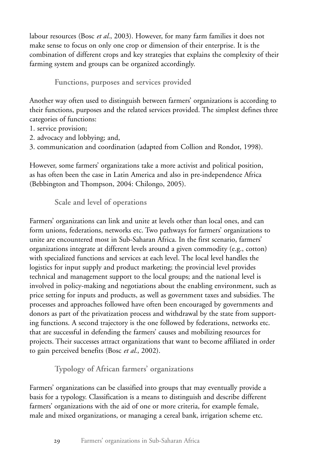labour resources (Bosc *et al.*, 2003). However, for many farm families it does not make sense to focus on only one crop or dimension of their enterprise. It is the combination of different crops and key strategies that explains the complexity of their farming system and groups can be organized accordingly.

**Functions, purposes and services provided**

Another way often used to distinguish between farmers' organizations is according to their functions, purposes and the related services provided. The simplest defines three categories of functions:

- 1. service provision;
- 2. advocacy and lobbying; and,
- 3. communication and coordination (adapted from Collion and Rondot, 1998).

However, some farmers' organizations take a more activist and political position, as has often been the case in Latin America and also in pre-independence Africa (Bebbington and Thompson, 2004: Chilongo, 2005).

#### **Scale and level of operations**

Farmers' organizations can link and unite at levels other than local ones, and can form unions, federations, networks etc. Two pathways for farmers' organizations to unite are encountered most in Sub-Saharan Africa. In the first scenario, farmers' organizations integrate at different levels around a given commodity (e.g., cotton) with specialized functions and services at each level. The local level handles the logistics for input supply and product marketing; the provincial level provides technical and management support to the local groups; and the national level is involved in policy-making and negotiations about the enabling environment, such as price setting for inputs and products, as well as government taxes and subsidies. The processes and approaches followed have often been encouraged by governments and donors as part of the privatization process and withdrawal by the state from supporting functions. A second trajectory is the one followed by federations, networks etc. that are successful in defending the farmers' causes and mobilizing resources for projects. Their successes attract organizations that want to become affiliated in order to gain perceived benefits (Bosc *et al.*, 2002).

#### **Typology of African farmers' organizations**

Farmers' organizations can be classified into groups that may eventually provide a basis for a typology. Classification is a means to distinguish and describe different farmers' organizations with the aid of one or more criteria, for example female, male and mixed organizations, or managing a cereal bank, irrigation scheme etc.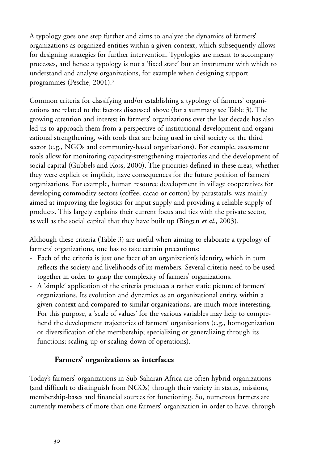A typology goes one step further and aims to analyze the dynamics of farmers' organizations as organized entities within a given context, which subsequently allows for designing strategies for further intervention. Typologies are meant to accompany processes, and hence a typology is not a 'fixed state' but an instrument with which to understand and analyze organizations, for example when designing support programmes (Pesche, 2001).<sup>3</sup>

Common criteria for classifying and/or establishing a typology of farmers' organizations are related to the factors discussed above (for a summary see Table 3). The growing attention and interest in farmers' organizations over the last decade has also led us to approach them from a perspective of institutional development and organizational strengthening, with tools that are being used in civil society or the third sector (e.g., NGOs and community-based organizations). For example, assessment tools allow for monitoring capacity-strengthening trajectories and the development of social capital (Gubbels and Koss, 2000). The priorities defined in these areas, whether they were explicit or implicit, have consequences for the future position of farmers' organizations. For example, human resource development in village cooperatives for developing commodity sectors (coffee, cacao or cotton) by parastatals, was mainly aimed at improving the logistics for input supply and providing a reliable supply of products. This largely explains their current focus and ties with the private sector, as well as the social capital that they have built up (Bingen *et al.*, 2003).

Although these criteria (Table 3) are useful when aiming to elaborate a typology of farmers' organizations, one has to take certain precautions:

- Each of the criteria is just one facet of an organization's identity, which in turn reflects the society and livelihoods of its members. Several criteria need to be used together in order to grasp the complexity of farmers' organizations.
- A 'simple' application of the criteria produces a rather static picture of farmers' organizations. Its evolution and dynamics as an organizational entity, within a given context and compared to similar organizations, are much more interesting. For this purpose, a 'scale of values' for the various variables may help to comprehend the development trajectories of farmers' organizations (e.g., homogenization or diversification of the membership; specializing or generalizing through its functions; scaling-up or scaling-down of operations).

#### **Farmers' organizations as interfaces**

Today's farmers' organizations in Sub-Saharan Africa are often hybrid organizations (and difficult to distinguish from NGOs) through their variety in status, missions, membership-bases and financial sources for functioning. So, numerous farmers are currently members of more than one farmers' organization in order to have, through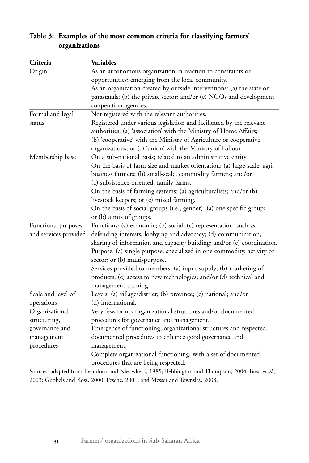| Criteria              | <b>Variables</b>                                                         |  |  |
|-----------------------|--------------------------------------------------------------------------|--|--|
| Origin                | As an autonomous organization in reaction to constraints or              |  |  |
|                       | opportunities; emerging from the local community.                        |  |  |
|                       | As an organization created by outside interventions: (a) the state or    |  |  |
|                       | parastatals; (b) the private sector; and/or (c) NGOs and development     |  |  |
|                       | cooperation agencies.                                                    |  |  |
| Formal and legal      | Not registered with the relevant authorities.                            |  |  |
| status                | Registered under various legislation and facilitated by the relevant     |  |  |
|                       | authorities: (a) 'association' with the Ministry of Home Affairs;        |  |  |
|                       | (b) 'cooperative' with the Ministry of Agriculture or cooperative        |  |  |
|                       | organizations; or (c) 'union' with the Ministry of Labour.               |  |  |
| Membership base       | On a sub-national basis; related to an administrative entity.            |  |  |
|                       | On the basis of farm size and market orientation: (a) large-scale, agri- |  |  |
|                       | business farmers; (b) small-scale, commodity farmers; and/or             |  |  |
|                       | (c) subsistence-oriented, family farms.                                  |  |  |
|                       | On the basis of farming systems: (a) agriculturalists; and/or (b)        |  |  |
|                       | livestock keepers; or (c) mixed farming.                                 |  |  |
|                       | On the basis of social groups (i.e., gender): (a) one specific group;    |  |  |
|                       | or (b) a mix of groups.                                                  |  |  |
| Functions, purposes   | Functions: (a) economic; (b) social; (c) representation, such as         |  |  |
| and services provided | defending interests, lobbying and advocacy; (d) communication,           |  |  |
|                       | sharing of information and capacity building; and/or (e) coordination.   |  |  |
|                       | Purpose: (a) single purpose, specialized in one commodity, activity or   |  |  |
|                       | sector; or (b) multi-purpose.                                            |  |  |
|                       | Services provided to members: (a) input supply; (b) marketing of         |  |  |
|                       | products; (c) access to new technologies; and/or (d) technical and       |  |  |
|                       | management training.                                                     |  |  |
| Scale and level of    | Levels: (a) village/district; (b) province; (c) national; and/or         |  |  |
| operations            | (d) international.                                                       |  |  |
| Organizational        | Very few, or no, organizational structures and/or documented             |  |  |
| structuring,          | procedures for governance and management.                                |  |  |
| governance and        | Emergence of functioning, organizational structures and respected,       |  |  |
| management            | documented procedures to enhance good governance and                     |  |  |
| procedures            | management.                                                              |  |  |
|                       | Complete organizational functioning, with a set of documented            |  |  |
|                       | procedures that are being respected.                                     |  |  |

#### **Table 3: Examples of the most common criteria for classifying farmers' organizations**

Sources: adapted from Beaudoux and Nieuwkerk, 1985; Bebbington and Thompson, 2004; Bosc *et al.*, 2003; Gubbels and Koss, 2000; Pesche, 2001; and Messer and Townsley, 2003.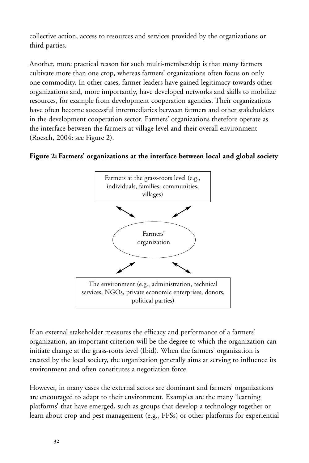collective action, access to resources and services provided by the organizations or third parties.

Another, more practical reason for such multi-membership is that many farmers cultivate more than one crop, whereas farmers' organizations often focus on only one commodity. In other cases, farmer leaders have gained legitimacy towards other organizations and, more importantly, have developed networks and skills to mobilize resources, for example from development cooperation agencies. Their organizations have often become successful intermediaries between farmers and other stakeholders in the development cooperation sector. Farmers' organizations therefore operate as the interface between the farmers at village level and their overall environment (Roesch, 2004: see Figure 2).





If an external stakeholder measures the efficacy and performance of a farmers' organization, an important criterion will be the degree to which the organization can initiate change at the grass-roots level (Ibid). When the farmers' organization is created by the local society, the organization generally aims at serving to influence its environment and often constitutes a negotiation force.

However, in many cases the external actors are dominant and farmers' organizations are encouraged to adapt to their environment. Examples are the many 'learning platforms' that have emerged, such as groups that develop a technology together or learn about crop and pest management (e.g., FFSs) or other platforms for experiential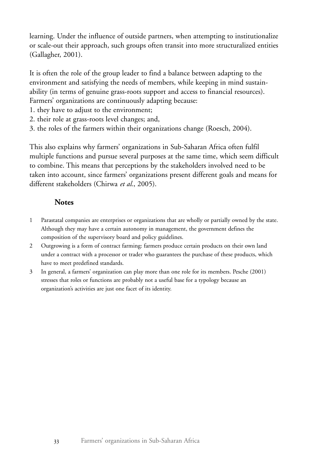learning. Under the influence of outside partners, when attempting to institutionalize or scale-out their approach, such groups often transit into more structuralized entities (Gallagher, 2001).

It is often the role of the group leader to find a balance between adapting to the environment and satisfying the needs of members, while keeping in mind sustainability (in terms of genuine grass-roots support and access to financial resources). Farmers' organizations are continuously adapting because:

- 1. they have to adjust to the environment;
- 2. their role at grass-roots level changes; and,
- 3. the roles of the farmers within their organizations change (Roesch, 2004).

This also explains why farmers' organizations in Sub-Saharan Africa often fulfil multiple functions and pursue several purposes at the same time, which seem difficult to combine. This means that perceptions by the stakeholders involved need to be taken into account, since farmers' organizations present different goals and means for different stakeholders (Chirwa *et al.*, 2005).

#### **Notes**

- 1 Parastatal companies are enterprises or organizations that are wholly or partially owned by the state. Although they may have a certain autonomy in management, the government defines the composition of the supervisory board and policy guidelines.
- 2 Outgrowing is a form of contract farming: farmers produce certain products on their own land under a contract with a processor or trader who guarantees the purchase of these products, which have to meet predefined standards.
- 3 In general, a farmers' organization can play more than one role for its members. Pesche (2001) stresses that roles or functions are probably not a useful base for a typology because an organization's activities are just one facet of its identity.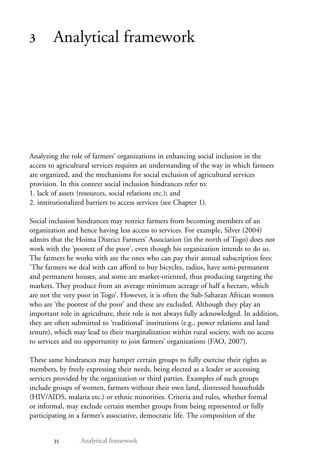### **3** Analytical framework

Analyzing the role of farmers' organizations in enhancing social inclusion in the access to agricultural services requires an understanding of the way in which farmers are organized, and the mechanisms for social exclusion of agricultural services provision. In this context social inclusion hindrances refer to:

1. lack of assets (resources, social relations etc.); and

2. institutionalized barriers to access services (see Chapter 1).

Social inclusion hindrances may restrict farmers from becoming members of an organization and hence having less access to services. For example, Silver (2004) admits that the Hoima District Farmers' Association (in the north of Togo) does not work with the 'poorest of the poor', even though his organization intends to do so. The farmers he works with are the ones who can pay their annual subscription fees: 'The farmers we deal with can afford to buy bicycles, radios, have semi-permanent and permanent houses, and some are market-oriented, thus producing targeting the markets. They produce from an average minimum acreage of half a hectare, which are not the very poor in Togo'. However, it is often the Sub-Saharan African women who are 'the poorest of the poor' and these are excluded. Although they play an important role in agriculture, their role is not always fully acknowledged. In addition, they are often submitted to 'traditional' institutions (e.g., power relations and land tenure), which may lead to their marginalization within rural society, with no access to services and no opportunity to join farmers' organizations (FAO, 2007).

These same hindrances may hamper certain groups to fully exercise their rights as members, by freely expressing their needs, being elected as a leader or accessing services provided by the organization or third parties. Examples of such groups include groups of women, farmers without their own land, distressed households (HIV/AIDS, malaria etc.) or ethnic minorities. Criteria and rules, whether formal or informal, may exclude certain member groups from being represented or fully participating in a farmer's associative, democratic life. The composition of the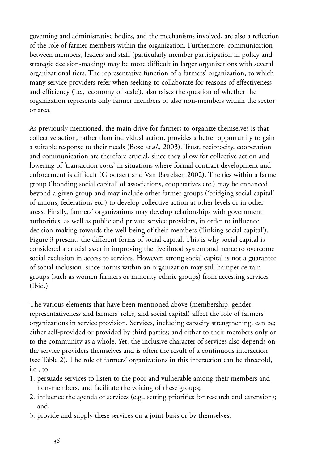governing and administrative bodies, and the mechanisms involved, are also a reflection of the role of farmer members within the organization. Furthermore, communication between members, leaders and staff (particularly member participation in policy and strategic decision-making) may be more difficult in larger organizations with several organizational tiers. The representative function of a farmers' organization, to which many service providers refer when seeking to collaborate for reasons of effectiveness and efficiency (i.e., 'economy of scale'), also raises the question of whether the organization represents only farmer members or also non-members within the sector or area.

As previously mentioned, the main drive for farmers to organize themselves is that collective action, rather than individual action, provides a better opportunity to gain a suitable response to their needs (Bosc *et al.*, 2003). Trust, reciprocity, cooperation and communication are therefore crucial, since they allow for collective action and lowering of 'transaction costs' in situations where formal contract development and enforcement is difficult (Grootaert and Van Bastelaer, 2002). The ties within a farmer group ('bonding social capital' of associations, cooperatives etc.) may be enhanced beyond a given group and may include other farmer groups ('bridging social capital' of unions, federations etc.) to develop collective action at other levels or in other areas. Finally, farmers' organizations may develop relationships with government authorities, as well as public and private service providers, in order to influence decision-making towards the well-being of their members ('linking social capital'). Figure 3 presents the different forms of social capital. This is why social capital is considered a crucial asset in improving the livelihood system and hence to overcome social exclusion in access to services. However, strong social capital is not a guarantee of social inclusion, since norms within an organization may still hamper certain groups (such as women farmers or minority ethnic groups) from accessing services (Ibid.).

The various elements that have been mentioned above (membership, gender, representativeness and farmers' roles, and social capital) affect the role of farmers' organizations in service provision. Services, including capacity strengthening, can be; either self-provided or provided by third parties; and either to their members only or to the community as a whole. Yet, the inclusive character of services also depends on the service providers themselves and is often the result of a continuous interaction (see Table 2). The role of farmers' organizations in this interaction can be threefold, i.e., to:

- 1. persuade services to listen to the poor and vulnerable among their members and non-members, and facilitate the voicing of these groups;
- 2. influence the agenda of services (e.g., setting priorities for research and extension); and,
- 3. provide and supply these services on a joint basis or by themselves.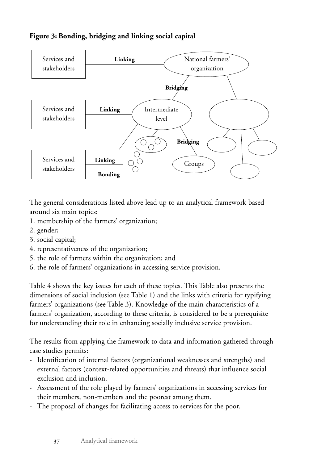

### **Figure 3: Bonding, bridging and linking social capital**

The general considerations listed above lead up to an analytical framework based around six main topics:

- 1. membership of the farmers' organization;
- 2. gender;
- 3. social capital;
- 4. representativeness of the organization;
- 5. the role of farmers within the organization; and
- 6. the role of farmers' organizations in accessing service provision.

Table 4 shows the key issues for each of these topics. This Table also presents the dimensions of social inclusion (see Table 1) and the links with criteria for typifying farmers' organizations (see Table 3). Knowledge of the main characteristics of a farmers' organization, according to these criteria, is considered to be a prerequisite for understanding their role in enhancing socially inclusive service provision.

The results from applying the framework to data and information gathered through case studies permits:

- Identification of internal factors (organizational weaknesses and strengths) and external factors (context-related opportunities and threats) that influence social exclusion and inclusion.
- Assessment of the role played by farmers' organizations in accessing services for their members, non-members and the poorest among them.
- The proposal of changes for facilitating access to services for the poor.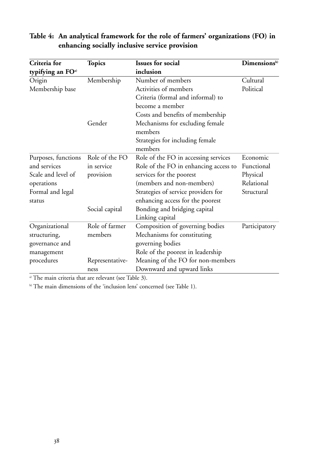| Criteria for                  | <b>Topics</b>   | <b>Issues for social</b>              | Dimensions <sup>b)</sup> |
|-------------------------------|-----------------|---------------------------------------|--------------------------|
| typifying an FO <sup>a)</sup> |                 | inclusion                             |                          |
| Origin                        | Membership      | Number of members                     | Cultural                 |
| Membership base               |                 | Activities of members                 | Political                |
|                               |                 | Criteria (formal and informal) to     |                          |
|                               |                 | become a member                       |                          |
|                               |                 | Costs and benefits of membership      |                          |
|                               | Gender          | Mechanisms for excluding female       |                          |
|                               |                 | members                               |                          |
|                               |                 | Strategies for including female       |                          |
|                               |                 | members                               |                          |
| Purposes, functions           | Role of the FO  | Role of the FO in accessing services  | Economic                 |
| and services                  | in service      | Role of the FO in enhancing access to | Functional               |
| Scale and level of            | provision       | services for the poorest              | Physical                 |
| operations                    |                 | (members and non-members)             | Relational               |
| Formal and legal              |                 | Strategies of service providers for   | Structural               |
| status                        |                 | enhancing access for the poorest      |                          |
|                               | Social capital  | Bonding and bridging capital          |                          |
|                               |                 | Linking capital                       |                          |
| Organizational                | Role of farmer  | Composition of governing bodies       | Participatory            |
| structuring,                  | members         | Mechanisms for constituting           |                          |
| governance and                |                 | governing bodies                      |                          |
| management                    |                 | Role of the poorest in leadership     |                          |
| procedures                    | Representative- | Meaning of the FO for non-members     |                          |
|                               | ness            | Downward and upward links             |                          |

## **Table 4: An analytical framework for the role of farmers' organizations (FO) in enhancing socially inclusive service provision**

<sup>a)</sup> The main criteria that are relevant (see Table 3).

b) The main dimensions of the 'inclusion lens' concerned (see Table 1).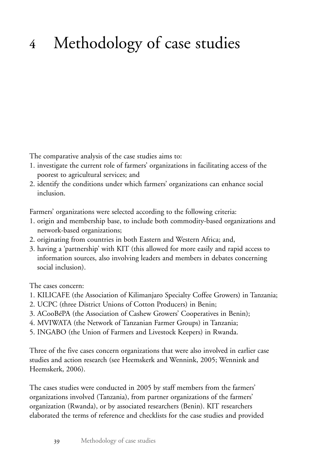## **4** Methodology of case studies

The comparative analysis of the case studies aims to:

- 1. investigate the current role of farmers' organizations in facilitating access of the poorest to agricultural services; and
- 2. identify the conditions under which farmers' organizations can enhance social inclusion.

Farmers' organizations were selected according to the following criteria:

- 1. origin and membership base, to include both commodity-based organizations and network-based organizations;
- 2. originating from countries in both Eastern and Western Africa; and,
- 3. having a 'partnership' with KIT (this allowed for more easily and rapid access to information sources, also involving leaders and members in debates concerning social inclusion).

The cases concern:

- 1. KILICAFE (the Association of Kilimanjaro Specialty Coffee Growers) in Tanzania;
- 2. UCPC (three District Unions of Cotton Producers) in Benin;
- 3. ACooBéPA (the Association of Cashew Growers' Cooperatives in Benin);
- 4. MVIWATA (the Network of Tanzanian Farmer Groups) in Tanzania;
- 5. INGABO (the Union of Farmers and Livestock Keepers) in Rwanda.

Three of the five cases concern organizations that were also involved in earlier case studies and action research (see Heemskerk and Wennink, 2005; Wennink and Heemskerk, 2006).

The cases studies were conducted in 2005 by staff members from the farmers' organizations involved (Tanzania), from partner organizations of the farmers' organization (Rwanda), or by associated researchers (Benin). KIT researchers elaborated the terms of reference and checklists for the case studies and provided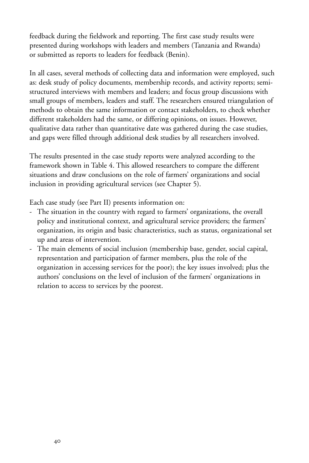feedback during the fieldwork and reporting. The first case study results were presented during workshops with leaders and members (Tanzania and Rwanda) or submitted as reports to leaders for feedback (Benin).

In all cases, several methods of collecting data and information were employed, such as: desk study of policy documents, membership records, and activity reports; semistructured interviews with members and leaders; and focus group discussions with small groups of members, leaders and staff. The researchers ensured triangulation of methods to obtain the same information or contact stakeholders, to check whether different stakeholders had the same, or differing opinions, on issues. However, qualitative data rather than quantitative date was gathered during the case studies, and gaps were filled through additional desk studies by all researchers involved.

The results presented in the case study reports were analyzed according to the framework shown in Table 4. This allowed researchers to compare the different situations and draw conclusions on the role of farmers' organizations and social inclusion in providing agricultural services (see Chapter 5).

Each case study (see Part II) presents information on:

- The situation in the country with regard to farmers' organizations, the overall policy and institutional context, and agricultural service providers; the farmers' organization, its origin and basic characteristics, such as status, organizational set up and areas of intervention.
- The main elements of social inclusion (membership base, gender, social capital, representation and participation of farmer members, plus the role of the organization in accessing services for the poor); the key issues involved; plus the authors' conclusions on the level of inclusion of the farmers' organizations in relation to access to services by the poorest.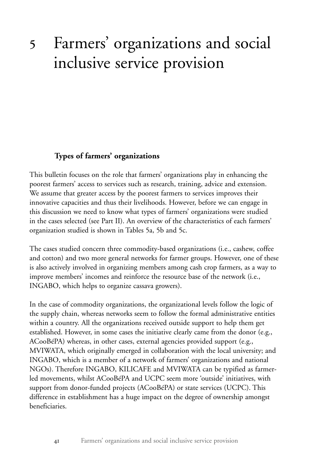## **5** Farmers' organizations and social inclusive service provision

#### **Types of farmers' organizations**

This bulletin focuses on the role that farmers' organizations play in enhancing the poorest farmers' access to services such as research, training, advice and extension. We assume that greater access by the poorest farmers to services improves their innovative capacities and thus their livelihoods. However, before we can engage in this discussion we need to know what types of farmers' organizations were studied in the cases selected (see Part II). An overview of the characteristics of each farmers' organization studied is shown in Tables 5a, 5b and 5c.

The cases studied concern three commodity-based organizations (i.e., cashew, coffee and cotton) and two more general networks for farmer groups. However, one of these is also actively involved in organizing members among cash crop farmers, as a way to improve members' incomes and reinforce the resource base of the network (i.e., INGABO, which helps to organize cassava growers).

In the case of commodity organizations, the organizational levels follow the logic of the supply chain, whereas networks seem to follow the formal administrative entities within a country. All the organizations received outside support to help them get established. However, in some cases the initiative clearly came from the donor (e.g., ACooBéPA) whereas, in other cases, external agencies provided support (e.g., MVIWATA, which originally emerged in collaboration with the local university; and INGABO, which is a member of a network of farmers' organizations and national NGOs). Therefore INGABO, KILICAFE and MVIWATA can be typified as farmerled movements, whilst ACooBéPA and UCPC seem more 'outside' initiatives, with support from donor-funded projects (ACooBéPA) or state services (UCPC). This difference in establishment has a huge impact on the degree of ownership amongst beneficiaries.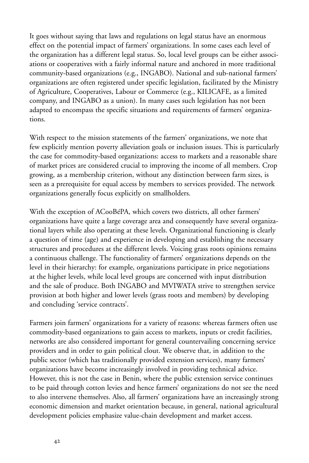It goes without saying that laws and regulations on legal status have an enormous effect on the potential impact of farmers' organizations. In some cases each level of the organization has a different legal status. So, local level groups can be either associations or cooperatives with a fairly informal nature and anchored in more traditional community-based organizations (e.g., INGABO). National and sub-national farmers' organizations are often registered under specific legislation, facilitated by the Ministry of Agriculture, Cooperatives, Labour or Commerce (e.g., KILICAFE, as a limited company, and INGABO as a union). In many cases such legislation has not been adapted to encompass the specific situations and requirements of farmers' organizations.

With respect to the mission statements of the farmers' organizations, we note that few explicitly mention poverty alleviation goals or inclusion issues. This is particularly the case for commodity-based organizations: access to markets and a reasonable share of market prices are considered crucial to improving the income of all members. Crop growing, as a membership criterion, without any distinction between farm sizes, is seen as a prerequisite for equal access by members to services provided. The network organizations generally focus explicitly on smallholders.

With the exception of ACooBéPA, which covers two districts, all other farmers' organizations have quite a large coverage area and consequently have several organizational layers while also operating at these levels. Organizational functioning is clearly a question of time (age) and experience in developing and establishing the necessary structures and procedures at the different levels. Voicing grass roots opinions remains a continuous challenge. The functionality of farmers' organizations depends on the level in their hierarchy: for example, organizations participate in price negotiations at the higher levels, while local level groups are concerned with input distribution and the sale of produce. Both INGABO and MVIWATA strive to strengthen service provision at both higher and lower levels (grass roots and members) by developing and concluding 'service contracts'.

Farmers join farmers' organizations for a variety of reasons: whereas farmers often use commodity-based organizations to gain access to markets, inputs or credit facilities, networks are also considered important for general countervailing concerning service providers and in order to gain political clout. We observe that, in addition to the public sector (which has traditionally provided extension services), many farmers' organizations have become increasingly involved in providing technical advice. However, this is not the case in Benin, where the public extension service continues to be paid through cotton levies and hence farmers' organizations do not see the need to also intervene themselves. Also, all farmers' organizations have an increasingly strong economic dimension and market orientation because, in general, national agricultural development policies emphasize value-chain development and market access.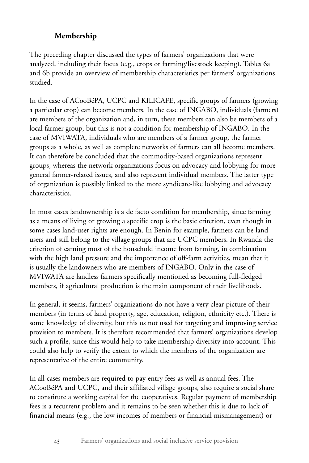## **Membership**

The preceding chapter discussed the types of farmers' organizations that were analyzed, including their focus (e.g., crops or farming/livestock keeping). Tables 6a and 6b provide an overview of membership characteristics per farmers' organizations studied.

In the case of ACooBéPA, UCPC and KILICAFE, specific groups of farmers (growing a particular crop) can become members. In the case of INGABO, individuals (farmers) are members of the organization and, in turn, these members can also be members of a local farmer group, but this is not a condition for membership of INGABO. In the case of MVIWATA, individuals who are members of a farmer group, the farmer groups as a whole, as well as complete networks of farmers can all become members. It can therefore be concluded that the commodity-based organizations represent groups, whereas the network organizations focus on advocacy and lobbying for more general farmer-related issues, and also represent individual members. The latter type of organization is possibly linked to the more syndicate-like lobbying and advocacy characteristics.

In most cases landownership is a de facto condition for membership, since farming as a means of living or growing a specific crop is the basic criterion, even though in some cases land-user rights are enough. In Benin for example, farmers can be land users and still belong to the village groups that are UCPC members. In Rwanda the criterion of earning most of the household income from farming, in combination with the high land pressure and the importance of off-farm activities, mean that it is usually the landowners who are members of INGABO. Only in the case of MVIWATA are landless farmers specifically mentioned as becoming full-fledged members, if agricultural production is the main component of their livelihoods.

In general, it seems, farmers' organizations do not have a very clear picture of their members (in terms of land property, age, education, religion, ethnicity etc.). There is some knowledge of diversity, but this us not used for targeting and improving service provision to members. It is therefore recommended that farmers' organizations develop such a profile, since this would help to take membership diversity into account. This could also help to verify the extent to which the members of the organization are representative of the entire community.

In all cases members are required to pay entry fees as well as annual fees. The ACooBéPA and UCPC, and their affiliated village groups, also require a social share to constitute a working capital for the cooperatives. Regular payment of membership fees is a recurrent problem and it remains to be seen whether this is due to lack of financial means (e.g., the low incomes of members or financial mismanagement) or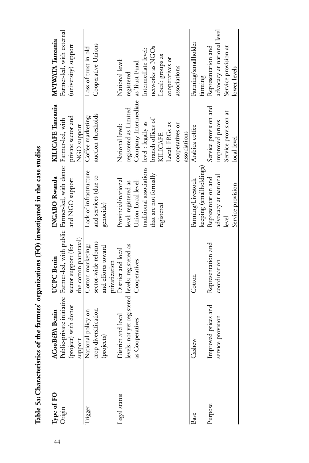| lype of FO     | <b>ACooBéPA Benin</b>                                                                               | <b>UCPC</b> Benin                                                                         | INGABO Rwanda            | KILICAFE Tanzania                  | MVIWATA Tanzania           |
|----------------|-----------------------------------------------------------------------------------------------------|-------------------------------------------------------------------------------------------|--------------------------|------------------------------------|----------------------------|
| <b>Drigin</b>  |                                                                                                     | Public-private initiative Farmer-led, with public Farmer-led, with donor Farmer-led, with |                          |                                    | Farmer-led, with external  |
|                | with donor                                                                                          | sector support (for                                                                       | and NGO support          | private sector and                 | (university) support       |
|                |                                                                                                     | the cotton parastatal)                                                                    |                          | NGO support                        |                            |
| <b>Trigger</b> | (project) with donor<br>support<br>National policy on<br>National policy on<br>crop diversification | Cotton marketing:                                                                         | Lack of infrastructure   | Coffee marketing:                  | Loss of trust in old       |
|                |                                                                                                     | sector-wide reforms                                                                       | and services (due to     | auction thresholds                 | Cooperative Unions         |
|                | (projects)                                                                                          | and efforts toward                                                                        | genocide)                |                                    |                            |
|                |                                                                                                     | privatization                                                                             |                          |                                    |                            |
| Legal status   | District and local                                                                                  | District and local                                                                        | Provincial/national      | National level:                    | National level:            |
|                |                                                                                                     |                                                                                           | level: registered as     | registered as Limited              | registered                 |
|                |                                                                                                     |                                                                                           | Union Local level:       | Company Intermediate as Trust Fund |                            |
|                |                                                                                                     |                                                                                           | traditional associations | level : legally as                 | Intermediate level:        |
|                |                                                                                                     |                                                                                           | that are not formally    | branch offices of                  | networks as NGOs           |
|                |                                                                                                     |                                                                                           | registered               | KILICAFE                           | Local: groups as           |
|                |                                                                                                     |                                                                                           |                          | Local: FBGs as                     | cooperatives or            |
|                |                                                                                                     |                                                                                           |                          | cooperatives or                    | associations               |
|                |                                                                                                     |                                                                                           |                          | associations                       |                            |
| Base           | Cashew                                                                                              | Cotton                                                                                    | Farming/Livestock        | Arabica coffee                     | Farming/smallholder        |
|                |                                                                                                     |                                                                                           | keeping (smallholdings)  |                                    | farming                    |
| Purpose        | Improved prices and                                                                                 | Representation and                                                                        | Representation and       | Service provision and              | Representation and         |
|                | service provision                                                                                   | coordination                                                                              | advocacy at national     | improved prices                    | advocacy at national level |
|                |                                                                                                     |                                                                                           | level                    | Service provision at               | Service provision at       |
|                |                                                                                                     |                                                                                           | Service provision        | local level                        | lower levels               |

Table 5a: Characteristics of the farmers' organizations (FO) investigated in the case studies **Table 5a: Characteristics of the farmers' organizations (FO) investigated in the case studies**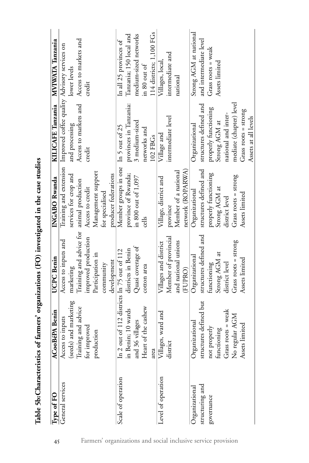| Type of FO         | PA Benin<br>ACooBél                                                              | <b>UCPC Benin</b>                         | INGABO Rwanda                       | KILICAFE Tanzania                                                   | MVIWATA Tanzania         |
|--------------------|----------------------------------------------------------------------------------|-------------------------------------------|-------------------------------------|---------------------------------------------------------------------|--------------------------|
| General services   |                                                                                  | Access to inputs and                      |                                     | Training and extension Improved coffee quality Advisory services on |                          |
|                    |                                                                                  | marketing                                 | services for crop and               | and processing                                                      | lower levels             |
|                    | Access to inputs<br>(seeds) and marketing<br>Training and advice<br>for improved | Training and advice for animal production |                                     | Access to markets and                                               | Access to markets and    |
|                    |                                                                                  | improved production                       | Access to credit                    | credit                                                              | credit                   |
|                    | production                                                                       | Participation in                          | Management support                  |                                                                     |                          |
|                    |                                                                                  | community                                 | for specialised                     |                                                                     |                          |
|                    |                                                                                  | development                               | producer federations                |                                                                     |                          |
| Scale of operation | $\ln 2$ out o                                                                    | of 112 districts In 75 out of 112         | Member groups in one In 5 out of 25 |                                                                     | In all 25 provinces of   |
|                    | in Benin; 10 wards                                                               | districts in Benin                        | province of Rwanda;                 | provinces in Tanzania:                                              | Tanzania; 150 local and  |
|                    | and 36 villages                                                                  | Quasi coverage of                         | in 800 out of 1,097                 | 3 medium-sized                                                      | medium-sized networks    |
|                    | Heart of the cashew                                                              | cotton area                               | $_{\rm cells}$                      | networks and                                                        | in 80 out of             |
|                    | area                                                                             |                                           |                                     | 102 FBGs                                                            | 114 districts; 1,100 FGs |
| Level of operation | ward and<br>Villages,                                                            | Villages and district                     | Village, district and               | Village and                                                         | Villages, local,         |
|                    | district                                                                         | Member of provincial                      | province                            | intermediate level                                                  | intermediate and         |
|                    |                                                                                  | and national unions                       | Member of a national                |                                                                     | national                 |
|                    |                                                                                  | (FUPRO)                                   | network (ROPARWA)                   |                                                                     |                          |
| Organizational     | Organizational                                                                   | Organizational                            | Organizational                      | Organizational                                                      | Strong AGM at national   |
| structuring and    | structures defined but                                                           | structures defined and                    | structures defined and              | structures defined and                                              | and intermediate level   |
| governance         | not properly                                                                     | functioning                               | properly functioning                | properly functioning                                                | Grass roots = weak       |
|                    | functioning                                                                      | Strong AGM at                             | Strong AGM at                       | Strong AGM at                                                       | Assets limited           |
|                    | $Grass roots = weak$                                                             | district level                            | district level                      | national and inter-                                                 |                          |
|                    | No regular AGM                                                                   | $Grass roots = strong$                    | $Grasx roots = strong$              | mediate (chapter) level                                             |                          |
|                    | Assets limited                                                                   | Assets limited                            | Assets limited                      | Grass roots = strong                                                |                          |
|                    |                                                                                  |                                           |                                     | Assets at all levels                                                |                          |

Table 5b:Characteristics of farmers' organizations (FO) investigated in the case studies **Table 5b:Characteristics of farmers' organizations (FO) investigated in the case studies**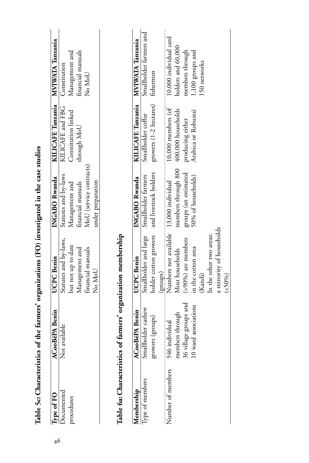| Type of FO        | <b>ACooBéPA</b> Benin                                         | <b>UCPC Benin</b>     |                         | INGABO Rwanda KILICAFE Tanzania MVIWATA Tanzania |                   |
|-------------------|---------------------------------------------------------------|-----------------------|-------------------------|--------------------------------------------------|-------------------|
| <b>pocumented</b> | Not available                                                 | Statutes and by-laws, | Statutes and by-laws    | KILICAFE and FBG Constitution                    |                   |
| rocedures         |                                                               | but not up to date    | Management and          | Constitution linked                              | Management and    |
|                   |                                                               | Management and        | financial manuals       | through MoU                                      | financial manuals |
|                   |                                                               | financial manuals     | MoU (service contracts) |                                                  | No MoU            |
|                   |                                                               | No MoU                | under preparation       |                                                  |                   |
|                   |                                                               |                       |                         |                                                  |                   |
|                   | Table 6a: Characteristics of farmers' organization membership |                       |                         |                                                  |                   |
|                   |                                                               |                       |                         |                                                  |                   |
| lambarahin        | M Rania<br>へへったい                                              | <b>TODO Rania</b>     | INCARO Danada           |                                                  |                   |

| Aembership        | ACooBéPA Benin              | <b>UCPC Benin</b>                         | INGABO Rwanda         | KILICAFE Tanzania MVIWATA Tanzania |                         |
|-------------------|-----------------------------|-------------------------------------------|-----------------------|------------------------------------|-------------------------|
| Type of members   | Smallholder cashew          | Smallholder and large Smallholder farmers |                       | Smallholder coffee                 | Smallholder farmers and |
|                   | growers (groups)            | holder cotton growers                     | and livestock holders | growers (1-2 hectares)             | fishermen               |
|                   |                             | groups)                                   |                       |                                    |                         |
| Number of members | 546 individual              | Numbers not available 13,000 individual   |                       | $10,000$ members (of               | 10,000 individual card  |
|                   | nembers through             | Most households                           | members through 800   | 400,000 households                 | holders and 60,000      |
|                   | groups and<br>36 village    | $($ >90%) are members                     | groups (an estimated  | producing either                   | members through         |
|                   | associations<br>$10$ ward a | in the cotton area                        | 50% of households)    | Arabica or Robusta)                | 1,100 groups and        |
|                   |                             | (Kandi)                                   |                       |                                    | 150 networks            |
|                   |                             | In the other two areas:                   |                       |                                    |                         |
|                   |                             | a minority of households                  |                       |                                    |                         |
|                   |                             | $(50\%)$                                  |                       |                                    |                         |
|                   |                             |                                           |                       |                                    |                         |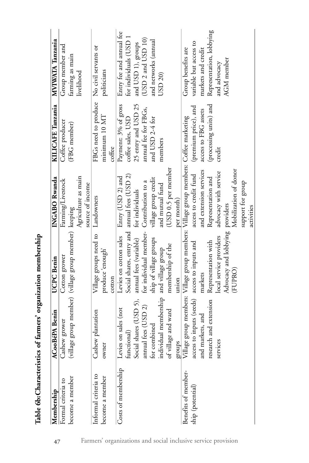| Membership           | PA Benin<br><b>ACooBél</b> | <b>UCPC</b> Benin                                                                                                                                                | INGABO Rwanda          | KILICAFE Tanzania                         | MVIWATA Tanzania         |
|----------------------|----------------------------|------------------------------------------------------------------------------------------------------------------------------------------------------------------|------------------------|-------------------------------------------|--------------------------|
| Formal criteria to   | Cashew grower              | Cotton grower                                                                                                                                                    | Farming/Livestock      | Coffee producer                           | Group member and         |
| become a member      |                            | (village group member) (village group member) keeping                                                                                                            |                        | (FBG member)                              | farming as main          |
|                      |                            |                                                                                                                                                                  | Agriculture as main    |                                           | livelihood               |
|                      |                            |                                                                                                                                                                  | source of income       |                                           |                          |
| Informal criteria to | Cashew plantation          | Village groups need to                                                                                                                                           | Landowners             | FBGs need to produce No civil servants or |                          |
| become a member      | owner                      | produce 'enough'                                                                                                                                                 |                        | minimum 10 MT                             | politicians              |
|                      |                            | cotton                                                                                                                                                           |                        | coffee                                    |                          |
| Costs of membership  | sales (not<br>Levies on    | Levies on cotton sales                                                                                                                                           | Entry (USD 2) and      | Payment: 3% of gross                      | Entry fee and annual fee |
|                      | functional)                | Social shares, entry and annual fees (USD 2)                                                                                                                     |                        | coffee sales, USD                         | for individuals (USD 1   |
|                      | Social shares (USD 5),     | annual fees (variable)                                                                                                                                           | for individuals        | 25 entry and USD 25                       | and USD 1), groups       |
|                      | annual fees (USD 2)        | for individual member-                                                                                                                                           | Contribution to a      | annual fee for FBGs,                      | (USD 2 and USD 10)       |
|                      | for combined               | ship of village groups                                                                                                                                           | village group credit   | and USD 2-4 for                           | and networks (annual     |
|                      | individual membership      | and village group                                                                                                                                                | and mutual fund        | members                                   | USD 20)                  |
|                      | of village and ward        | membership of the                                                                                                                                                | (USD 0.5 per member    |                                           |                          |
|                      |                            |                                                                                                                                                                  |                        |                                           |                          |
| Benefits of member-  |                            | groups<br>Village group members: Village group members: Village group members: Coffee marketing<br>Village group members: Village group members: Offee marketing |                        |                                           | Group benefits are       |
| ship (potential)     | access to inputs (seeds)   | access to inputs and                                                                                                                                             | access to credit fund  | (premium price), and                      | variable but access to   |
|                      | and markets, and           | markets                                                                                                                                                          | and extension services | access to FBG assets                      | markets and credit       |
|                      | research and extension     | Representation with                                                                                                                                              | Representation and     | (processing units) and                    | Representation, lobbying |
|                      | services                   | local service providers                                                                                                                                          | advocacy with service  | credit                                    | and advocacy             |
|                      |                            | Advocacy and lobbying providers                                                                                                                                  |                        |                                           | AGM member               |
|                      |                            | (FUPRO)                                                                                                                                                          | Mobilization of donor  |                                           |                          |
|                      |                            |                                                                                                                                                                  | support for group      |                                           |                          |
|                      |                            |                                                                                                                                                                  | activities             |                                           |                          |

Table 6b: Characteristics of farmers' organization membership **Table 6b:Characteristics of farmers' organization membership**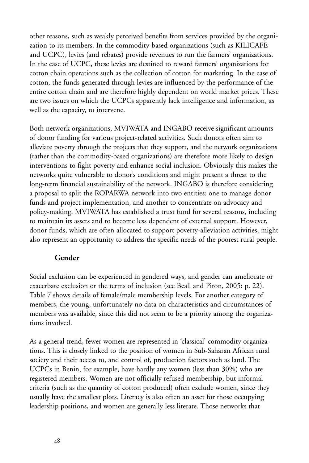other reasons, such as weakly perceived benefits from services provided by the organization to its members. In the commodity-based organizations (such as KILICAFE and UCPC), levies (and rebates) provide revenues to run the farmers' organizations. In the case of UCPC, these levies are destined to reward farmers' organizations for cotton chain operations such as the collection of cotton for marketing. In the case of cotton, the funds generated through levies are influenced by the performance of the entire cotton chain and are therefore highly dependent on world market prices. These are two issues on which the UCPCs apparently lack intelligence and information, as well as the capacity, to intervene.

Both network organizations, MVIWATA and INGABO receive significant amounts of donor funding for various project-related activities. Such donors often aim to alleviate poverty through the projects that they support, and the network organizations (rather than the commodity-based organizations) are therefore more likely to design interventions to fight poverty and enhance social inclusion. Obviously this makes the networks quite vulnerable to donor's conditions and might present a threat to the long-term financial sustainability of the network. INGABO is therefore considering a proposal to split the ROPARWA network into two entities: one to manage donor funds and project implementation, and another to concentrate on advocacy and policy-making. MVIWATA has established a trust fund for several reasons, including to maintain its assets and to become less dependent of external support. However, donor funds, which are often allocated to support poverty-alleviation activities, might also represent an opportunity to address the specific needs of the poorest rural people.

#### **Gender**

Social exclusion can be experienced in gendered ways, and gender can ameliorate or exacerbate exclusion or the terms of inclusion (see Beall and Piron, 2005: p. 22). Table 7 shows details of female/male membership levels. For another category of members, the young, unfortunately no data on characteristics and circumstances of members was available, since this did not seem to be a priority among the organizations involved.

As a general trend, fewer women are represented in 'classical' commodity organizations. This is closely linked to the position of women in Sub-Saharan African rural society and their access to, and control of, production factors such as land. The UCPCs in Benin, for example, have hardly any women (less than 30%) who are registered members. Women are not officially refused membership, but informal criteria (such as the quantity of cotton produced) often exclude women, since they usually have the smallest plots. Literacy is also often an asset for those occupying leadership positions, and women are generally less literate. Those networks that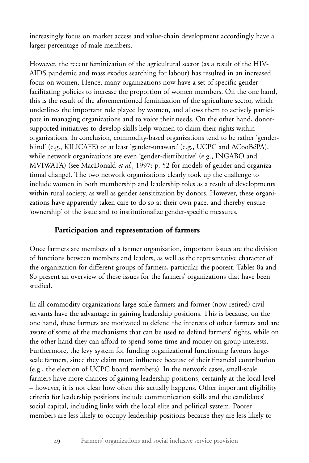increasingly focus on market access and value-chain development accordingly have a larger percentage of male members.

However, the recent feminization of the agricultural sector (as a result of the HIV-AIDS pandemic and mass exodus searching for labour) has resulted in an increased focus on women. Hence, many organizations now have a set of specific genderfacilitating policies to increase the proportion of women members. On the one hand, this is the result of the aforementioned feminization of the agriculture sector, which underlines the important role played by women, and allows them to actively participate in managing organizations and to voice their needs. On the other hand, donorsupported initiatives to develop skills help women to claim their rights within organizations. In conclusion, commodity-based organizations tend to be rather 'genderblind' (e.g., KILICAFE) or at least 'gender-unaware' (e.g., UCPC and ACooBéPA), while network organizations are even 'gender-distributive' (e.g., INGABO and MVIWATA) (see MacDonald *et al.*, 1997: p. 52 for models of gender and organizational change). The two network organizations clearly took up the challenge to include women in both membership and leadership roles as a result of developments within rural society, as well as gender sensitization by donors. However, these organizations have apparently taken care to do so at their own pace, and thereby ensure 'ownership' of the issue and to institutionalize gender-specific measures.

## **Participation and representation of farmers**

Once farmers are members of a farmer organization, important issues are the division of functions between members and leaders, as well as the representative character of the organization for different groups of farmers, particular the poorest. Tables 8a and 8b present an overview of these issues for the farmers' organizations that have been studied.

In all commodity organizations large-scale farmers and former (now retired) civil servants have the advantage in gaining leadership positions. This is because, on the one hand, these farmers are motivated to defend the interests of other farmers and are aware of some of the mechanisms that can be used to defend farmers' rights, while on the other hand they can afford to spend some time and money on group interests. Furthermore, the levy system for funding organizational functioning favours largescale farmers, since they claim more influence because of their financial contribution (e.g., the election of UCPC board members). In the network cases, small-scale farmers have more chances of gaining leadership positions, certainly at the local level – however, it is not clear how often this actually happens. Other important eligibility criteria for leadership positions include communication skills and the candidates' social capital, including links with the local elite and political system. Poorer members are less likely to occupy leadership positions because they are less likely to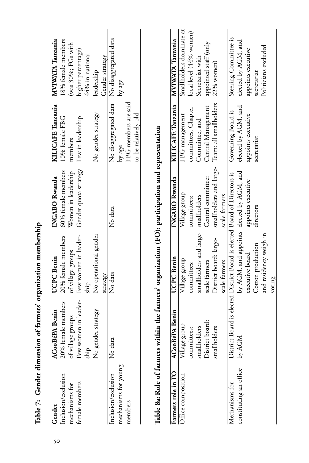| Table 7: Gender dimension of |                                                                                                   | f farmers' organization membership                                        |                         |                        |                          |
|------------------------------|---------------------------------------------------------------------------------------------------|---------------------------------------------------------------------------|-------------------------|------------------------|--------------------------|
| Gender                       | <b>ACooBéPA Benin</b>                                                                             | <b>UCPC</b> Benin                                                         | INGABO Rwanda           | KILICAFE Tanzania      | MVIWATA Tanzania         |
| Inclusion/exclusion          | 20% female members                                                                                | 20% female members                                                        | 60% female members      | 10% female FBG         | 18% female members       |
| mechanisms for               | of village groups                                                                                 | of village groups                                                         | Women in leadership     | members                | (was 30%; FGs with       |
| female members               | Few women in leader-                                                                              | Few women in leader-                                                      | Gender quota strategy   | Few in leadership      | higher percentage)       |
|                              | ship                                                                                              | $\sin p$                                                                  |                         |                        | 44% in national          |
|                              | No gender strategy                                                                                | No operational gender                                                     |                         | No gender strategy     | leadership               |
|                              |                                                                                                   | strategy                                                                  |                         |                        | Gender strategy          |
| Indusion/exclusion           | No data                                                                                           | No data                                                                   | No data                 | No disaggregated data  | No disaggregated data    |
| mechanisms for young         |                                                                                                   |                                                                           |                         | by age                 | by age                   |
| members                      |                                                                                                   |                                                                           |                         | FBG members are said   |                          |
|                              |                                                                                                   |                                                                           |                         | to be relatively old   |                          |
|                              | Table 8a: Role of farmers within the farmers' organization (FO): participation and representation |                                                                           |                         |                        |                          |
| Farmers role in FO           | ACooBéPA Benin                                                                                    | <b>UCPC</b> Benin                                                         | INGABO Rwanda           | KILICAFE Tanzania      | MVIWATA Tanzania         |
| Office composition           | Village group                                                                                     | Village group                                                             | Village group           | FBG management         | Smallholders dominate at |
|                              | committees:                                                                                       | committees:                                                               | committees:             | committees, Chapter    | local level (44% women)  |
|                              | smallholders                                                                                      | smallholders and large-                                                   | smallholders            | Committee, and         | Secretariat with         |
|                              | District board:                                                                                   | scale farmers                                                             | Central committee:      | Central Management     | appointed staff (only    |
|                              | smallholders                                                                                      | District board: large-                                                    | smallholders and large- | Team: all smallholders | $22%$ women)             |
|                              |                                                                                                   | scale farmers                                                             | scale farmers           |                        |                          |
| Mechanisms for               |                                                                                                   | District Board is elected District Board is elected Board of Directors is |                         | Governing Board is     | Steering Committee is    |
| constituting an office       | by AGM                                                                                            | by AGM, and appoints elected by AGM, and                                  |                         | elected by AGM, and    | elected by AGM, and      |
|                              |                                                                                                   | executive board                                                           | appoints executive      | appoints executive     | appoints executive       |
|                              |                                                                                                   | Cotton production                                                         | directors               | secretariat            | secretariat              |
|                              |                                                                                                   | and residency weigh in                                                    |                         |                        | Politicians excluded     |

voting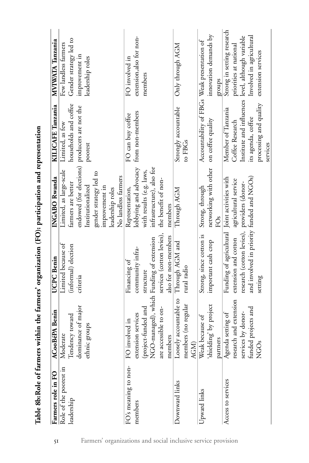| Farmers role in FO     | <b>ACooBéPA Benin</b>                                                     | <b>UCPC</b> Benin                             | INGABO Rwanda                                 | <b>KILICAFE Tanzania</b>                          | MVIWATA Tanzania           |
|------------------------|---------------------------------------------------------------------------|-----------------------------------------------|-----------------------------------------------|---------------------------------------------------|----------------------------|
| Role of the poorest in | Moderate                                                                  | Limited because of                            | Limited, as large-scale                       | Limited, as few                                   | Few landless farmers       |
| leadership             | Tendency toward                                                           | (informal) election                           | farmers are better                            | households and coffee                             | Gender strategy led to     |
|                        | dominance of major                                                        | criteria                                      | endowed (for elections) producers are not the |                                                   | improvement in             |
|                        | ethnic groups                                                             |                                               | Institutionalized                             | poorest                                           | leadership roles           |
|                        |                                                                           |                                               | gender strategy led to                        |                                                   |                            |
|                        |                                                                           |                                               | improvement in                                |                                                   |                            |
|                        |                                                                           |                                               | No landless farmers<br>leadership roles       |                                                   |                            |
| FO's meaning to non-   | FO involved in                                                            | Financing of                                  | Representation,                               | FO can buy coffee                                 | FO involved in             |
| members                | extension services                                                        | community infra-                              | lobbying and advocacy from non-members        |                                                   | extension, also for non-   |
|                        | (project-funded and structure<br>NGO-managed), which Funding of extension |                                               | with results (e.g. laws,                      |                                                   | members                    |
|                        |                                                                           |                                               | infrastructure), also for                     |                                                   |                            |
|                        | are accessible to on-                                                     | services (cotton levies),                     | the benefit of non-                           |                                                   |                            |
|                        | members                                                                   | also for non-members                          | members                                       |                                                   |                            |
| Downward links         | Loosely accountable to                                                    | Through AGM and                               | Through AGM                                   | Strongly accountable                              | Only through AGM           |
|                        | members (no regular                                                       | rural radio                                   |                                               | to FBGs                                           |                            |
|                        | AGM)                                                                      |                                               |                                               |                                                   |                            |
| Upward links           | Weak because of                                                           | Strong, since cotton is                       | Strong, through                               | Accountability of FBGs Weak presentation of       |                            |
|                        | shielding by project                                                      | important cash crop                           | networking with other                         | on coffee quality                                 | innovation demands by      |
|                        | partners                                                                  |                                               | FOs                                           |                                                   | groups                     |
| Access to services     | Agenda setting of                                                         | Funding of agricultural Joint activities with |                                               | Member of Tanzania                                | Strong in setting research |
|                        | research and extension                                                    | extension and cotton                          | agricultural service                          | Coffee Research                                   | priorities at national     |
|                        | y donor-<br>services b                                                    | research (cotton levies), providers (donor-   |                                               | Institute and influences level, although variable |                            |
|                        | funded projects and                                                       | and involved in priority funded and NGOs)     |                                               | its agenda, coffee                                | Involved in agricultural   |
|                        | <b>NGOs</b>                                                               | setting                                       |                                               | processing and quality                            | extension services         |
|                        |                                                                           |                                               |                                               | services                                          |                            |

Table 8b:Role of farmers within the farmers' organization (FO): participation and representation **Table 8b:Role of farmers within the farmers' organization (FO): participation and representation**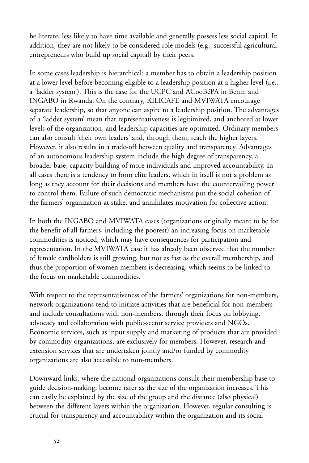be literate, less likely to have time available and generally possess less social capital. In addition, they are not likely to be considered role models (e.g., successful agricultural entrepreneurs who build up social capital) by their peers.

In some cases leadership is hierarchical: a member has to obtain a leadership position at a lower level before becoming eligible to a leadership position at a higher level (i.e., a 'ladder system'). This is the case for the UCPC and ACooBéPA in Benin and INGABO in Rwanda. On the contrary, KILICAFE and MVIWATA encourage separate leadership, so that anyone can aspire to a leadership position. The advantages of a 'ladder system' mean that representativeness is legitimized, and anchored at lower levels of the organization, and leadership capacities are optimized. Ordinary members can also consult 'their own leaders' and, through them, reach the higher layers. However, it also results in a trade-off between quality and transparency. Advantages of an autonomous leadership system include the high degree of transparency, a broader base, capacity building of more individuals and improved accountability. In all cases there is a tendency to form elite leaders, which in itself is not a problem as long as they account for their decisions and members have the countervailing power to control them. Failure of such democratic mechanisms put the social cohesion of the farmers' organization at stake, and annihilates motivation for collective action.

In both the INGABO and MVIWATA cases (organizations originally meant to be for the benefit of all farmers, including the poorest) an increasing focus on marketable commodities is noticed, which may have consequences for participation and representation. In the MVIWATA case it has already been observed that the number of female cardholders is still growing, but not as fast as the overall membership, and thus the proportion of women members is decreasing, which seems to be linked to the focus on marketable commodities.

With respect to the representativeness of the farmers' organizations for non-members, network organizations tend to initiate activities that are beneficial for non-members and include consultations with non-members, through their focus on lobbying, advocacy and collaboration with public-sector service providers and NGOs. Economic services, such as input supply and marketing of products that are provided by commodity organizations, are exclusively for members. However, research and extension services that are undertaken jointly and/or funded by commodity organizations are also accessible to non-members.

Downward links, where the national organizations consult their membership base to guide decision-making, become rarer as the size of the organization increases. This can easily be explained by the size of the group and the distance (also physical) between the different layers within the organization. However, regular consulting is crucial for transparency and accountability within the organization and its social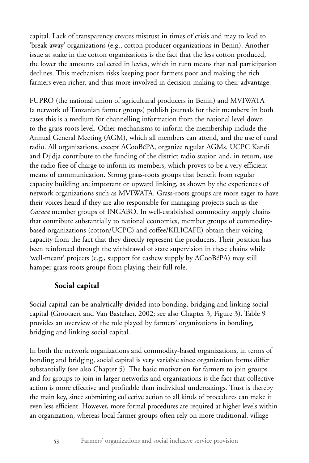capital. Lack of transparency creates mistrust in times of crisis and may to lead to 'break-away' organizations (e.g., cotton producer organizations in Benin). Another issue at stake in the cotton organizations is the fact that the less cotton produced, the lower the amounts collected in levies, which in turn means that real participation declines. This mechanism risks keeping poor farmers poor and making the rich farmers even richer, and thus more involved in decision-making to their advantage.

FUPRO (the national union of agricultural producers in Benin) and MVIWATA (a network of Tanzanian farmer groups) publish journals for their members: in both cases this is a medium for channelling information from the national level down to the grass-roots level. Other mechanisms to inform the membership include the Annual General Meeting (AGM), which all members can attend, and the use of rural radio. All organizations, except ACooBéPA, organize regular AGMs. UCPC Kandi and Djidja contribute to the funding of the district radio station and, in return, use the radio free of charge to inform its members, which proves to be a very efficient means of communication. Strong grass-roots groups that benefit from regular capacity building are important or upward linking, as shown by the experiences of network organizations such as MVIWATA. Grass-roots groups are more eager to have their voices heard if they are also responsible for managing projects such as the *Gacaca* member groups of INGABO. In well-established commodity supply chains that contribute substantially to national economies, member groups of commoditybased organizations (cotton/UCPC) and coffee/KILICAFE) obtain their voicing capacity from the fact that they directly represent the producers. Their position has been reinforced through the withdrawal of state supervision in these chains while 'well-meant' projects (e.g., support for cashew supply by ACooBéPA) may still hamper grass-roots groups from playing their full role.

## **Social capital**

Social capital can be analytically divided into bonding, bridging and linking social capital (Grootaert and Van Bastelaer, 2002; see also Chapter 3, Figure 3). Table 9 provides an overview of the role played by farmers' organizations in bonding, bridging and linking social capital.

In both the network organizations and commodity-based organizations, in terms of bonding and bridging, social capital is very variable since organization forms differ substantially (see also Chapter 5). The basic motivation for farmers to join groups and for groups to join in larger networks and organizations is the fact that collective action is more effective and profitable than individual undertakings. Trust is thereby the main key, since submitting collective action to all kinds of procedures can make it even less efficient. However, more formal procedures are required at higher levels within an organization, whereas local farmer groups often rely on more traditional, village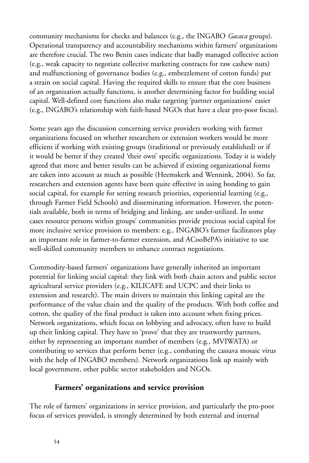community mechanisms for checks and balances (e.g., the INGABO *Gacaca* groups). Operational transparency and accountability mechanisms within farmers' organizations are therefore crucial. The two Benin cases indicate that badly managed collective action (e.g., weak capacity to negotiate collective marketing contracts for raw cashew nuts) and malfunctioning of governance bodies (e.g., embezzlement of cotton funds) put a strain on social capital. Having the required skills to ensure that the core business of an organization actually functions, is another determining factor for building social capital. Well-defined core functions also make targeting 'partner organizations' easier (e.g., INGABO's relationship with faith-based NGOs that have a clear pro-poor focus).

Some years ago the discussion concerning service providers working with farmer organizations focused on whether researchers or extension workers would be more efficient if working with existing groups (traditional or previously established) or if it would be better if they created 'their own' specific organizations. Today it is widely agreed that more and better results can be achieved if existing organizational forms are taken into account as much as possible (Heemskerk and Wennink, 2004). So far, researchers and extension agents have been quite effective in using bonding to gain social capital, for example for setting research priorities, experiential learning (e.g., through Farmer Field Schools) and disseminating information. However, the potentials available, both in terms of bridging and linking, are under-utilized. In some cases resource persons within groups' communities provide precious social capital for more inclusive service provision to members: e.g., INGABO's farmer facilitators play an important role in farmer-to-farmer extension, and ACooBéPA's initiative to use well-skilled community members to enhance contract negotiations.

Commodity-based farmers' organizations have generally inherited an important potential for linking social capital: they link with both chain actors and public sector agricultural service providers (e.g., KILICAFE and UCPC and their links to extension and research). The main drivers to maintain this linking capital are the performance of the value chain and the quality of the products. With both coffee and cotton, the quality of the final product is taken into account when fixing prices. Network organizations, which focus on lobbying and advocacy, often have to build up their linking capital. They have to 'prove' that they are trustworthy partners, either by representing an important number of members (e.g., MVIWATA) or contributing to services that perform better (e.g., combating the cassava mosaic virus with the help of INGABO members). Network organizations link up mainly with local government, other public sector stakeholders and NGOs.

#### **Farmers' organizations and service provision**

The role of farmers' organizations in service provision, and particularly the pro-poor focus of services provided, is strongly determined by both external and internal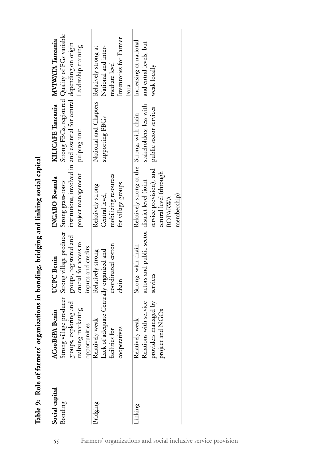| Social capital  | ACooBéPA Benin                                                                | <b>UCPC Benin</b>                                                                              | INGABO Rwanda                                  | KILICAFE Tanzania MVIWATA Tanzania              |                        |
|-----------------|-------------------------------------------------------------------------------|------------------------------------------------------------------------------------------------|------------------------------------------------|-------------------------------------------------|------------------------|
| <b>Bonding</b>  |                                                                               | Strong village producer Strong village producer Strong grass-roots                             |                                                | Strong FBGs, registered Quality of FGs variable |                        |
|                 |                                                                               | groups, registered and institutions, involved in and essential for central depending on origin |                                                |                                                 |                        |
|                 | groups, exploring and<br>realizing marketing                                  | crucial for access to                                                                          | project management                             | pulping unit                                    | Leadership training    |
|                 | opportunities                                                                 | inputs and credits                                                                             |                                                |                                                 |                        |
| <b>Bridging</b> | Relatively weak Relatively strong<br>Lack of adequate Centrally organized and |                                                                                                | Relatively strong                              | National and Chapters Relatively strong at      |                        |
|                 |                                                                               |                                                                                                | Central level,                                 | supporting FBGs                                 | National and inter-    |
|                 | facilities for                                                                | coordinated cotton                                                                             | mobilizing resources                           |                                                 | mediate level          |
|                 | cooperatives                                                                  | chain                                                                                          | for village groups                             |                                                 | Inventories for Farmer |
|                 |                                                                               |                                                                                                |                                                |                                                 | Fora                   |
| inking          | Relatively weak                                                               | Strong, with chain                                                                             | Relatively strong at the Strong, with chain    |                                                 | Increasing at national |
|                 | with service<br>Relations                                                     | actors and public sector district level (joint                                                 |                                                | stakeholders; less with                         | and entral levels, but |
|                 | managed by<br>providers                                                       | services                                                                                       | service provision), and public sector services |                                                 | weak locally           |
|                 | project and NGOs                                                              |                                                                                                | central level (through                         |                                                 |                        |
|                 |                                                                               |                                                                                                | ROPARWA                                        |                                                 |                        |
|                 |                                                                               |                                                                                                | membership)                                    |                                                 |                        |

| Table 9: Role of farmers' organizations in bonding, bridging and linking social capire |
|----------------------------------------------------------------------------------------|
|                                                                                        |
|                                                                                        |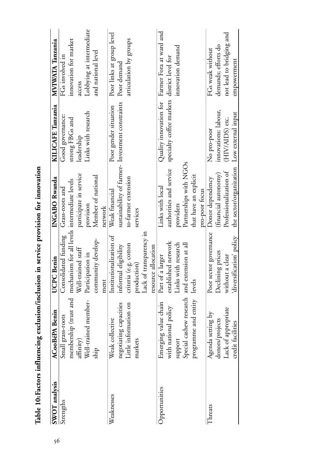| <b>SWOT</b> analysis | <b>ACooBéPA Benin</b>                           | <b>UCPC</b> Benin                            | INGABO Rwanda                                    | KILICAFE Tanzania                           | MVIWATA Tanzania                               |
|----------------------|-------------------------------------------------|----------------------------------------------|--------------------------------------------------|---------------------------------------------|------------------------------------------------|
| Strengths            | Small grass-roots                               | Consolidated funding                         | Grass-roots and                                  | Good governance:                            | FGs involved in                                |
|                      | membership (trust and                           | mechanism for all levels intermediate levels |                                                  | strong FBGs and                             | innovation for market                          |
|                      | affinity)                                       | Well-trained staff                           | participate in service                           | leadership                                  | access                                         |
|                      | Well-trained member-                            | Participation in                             | provision                                        | Links with research                         | Lobbying at intermediate                       |
|                      | ship                                            | community develop-                           | Member of national                               |                                             | and national level                             |
|                      |                                                 | ment                                         | network                                          |                                             |                                                |
| Weaknesses           | Weak collective                                 | Institutionalization of                      | Weak financial                                   | Poor gender situation                       | Poor links at group level                      |
|                      | negotiating capacities<br>Little information on | informal eligibility                         | sustainability of farmer- Investment constraints |                                             | Poor demand                                    |
|                      |                                                 | criteria (e.g. cotton                        | to-farmer extension                              |                                             | articulation by groups                         |
|                      | markets                                         | production)                                  | services                                         |                                             |                                                |
|                      |                                                 | Lack of transparency in                      |                                                  |                                             |                                                |
|                      |                                                 | resource allocation                          |                                                  |                                             |                                                |
| Opportunities        | Emerging value chain                            | Part of a larger                             | Links with local                                 |                                             | Quality innovation for Farmer Fora at ward and |
|                      | with national policy                            | established network                          | authorities and service                          | specialty coffee markets district level for |                                                |
|                      | support                                         | Links with research                          | providers                                        |                                             | innovation demand                              |
|                      | Special cashew research                         | and extension at all                         | Partnerships with NGOs                           |                                             |                                                |
|                      | programme and entity                            | levels                                       | that have an explicit                            |                                             |                                                |
|                      |                                                 |                                              | pro-poor focus                                   |                                             |                                                |
| Threats              | Agenda setting by                               | Poor sector governance                       | Donor dependency                                 | No pro-poor                                 | FGs weak without                               |
|                      |                                                 | Declining prices                             | (financial autonomy)                             | innovations: labour,                        | demands; efforts do                            |
|                      | donors/projects<br>Lack of appropriate          | without a clear                              | Professionalization of                           | (HIV/AIDS) etc.                             | not lead to bridging and                       |
|                      | credit facilities                               | 'diversification' policy                     | the sector/organization                          | Low external input                          | empowerment                                    |

Table 10: Factors influencing exclusion/inclusion in service provision for innovation **Table 10:Factors influencing exclusion/inclusion in service provision for innovation**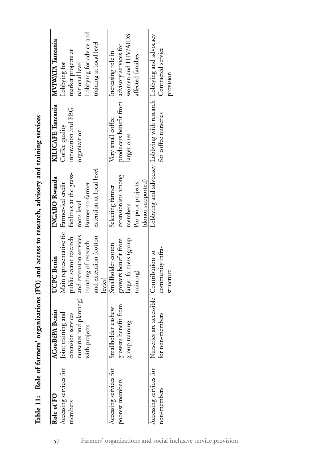| Role of FO                                | ACooBéPA Benin             | <b>UCPC</b> Benin                               | INGABO Rwanda            | KILICAFE Tanzania MVIWATA Tanzania                                 |                         |
|-------------------------------------------|----------------------------|-------------------------------------------------|--------------------------|--------------------------------------------------------------------|-------------------------|
| Accessing services for Joint training and |                            | Main representative for Farmer-led credit       |                          | Coffee quality                                                     | Lobbying for            |
| members                                   | services<br>extension      | public sector research facilities at the grass- |                          | innovation and FBG                                                 | market projects at      |
|                                           | and planting)<br>nurseries | and extension services                          | roots level              | organization                                                       | national level          |
|                                           | ects<br>with proj          | Funding of research                             | Farmer-to-farmer         |                                                                    | Lobbying for advice and |
|                                           |                            | and extension (cotton                           | extension at local level |                                                                    | training at local level |
|                                           |                            | levies)                                         |                          |                                                                    |                         |
| Accessing services for                    | Smallholder cashew         | Smallholder cotton                              | Selecting farmer         | Very small coffee                                                  | Increasing role in      |
| poorest members                           | growers benefit from       | growers benefit from                            | extensionists among      | producers benefit from advisory services for                       |                         |
|                                           | group training             | larger farmers (group                           | members                  | larger ones                                                        | women and HIV/AIDS      |
|                                           |                            | training)                                       | Pro-poor projects        |                                                                    | affected families       |
|                                           |                            |                                                 | (donor supported)        |                                                                    |                         |
| Accessing services for                    | Nurseries                  | are accessible Contribution to                  |                          | Lobbying and advocacy Lobbying with research Lobbying and advocacy |                         |
| non-members                               | for non-members            | community infra-                                |                          | for coffee nurseries                                               | Contracted service      |
|                                           |                            | structure                                       |                          |                                                                    | provision               |
|                                           |                            |                                                 |                          |                                                                    |                         |

Table 11: Role of farmers' organizations (FO) and access to research, advisory and training services **Table 11: Role of farmers' organizations (FO) and access to research, advisory and training services**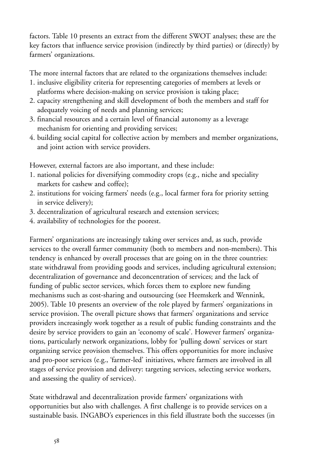factors. Table 10 presents an extract from the different SWOT analyses; these are the key factors that influence service provision (indirectly by third parties) or (directly) by farmers' organizations.

The more internal factors that are related to the organizations themselves include:

- 1. inclusive eligibility criteria for representing categories of members at levels or platforms where decision-making on service provision is taking place;
- 2. capacity strengthening and skill development of both the members and staff for adequately voicing of needs and planning services;
- 3. financial resources and a certain level of financial autonomy as a leverage mechanism for orienting and providing services;
- 4. building social capital for collective action by members and member organizations, and joint action with service providers.

However, external factors are also important, and these include:

- 1. national policies for diversifying commodity crops (e.g., niche and speciality markets for cashew and coffee);
- 2. institutions for voicing farmers' needs (e.g., local farmer fora for priority setting in service delivery);
- 3. decentralization of agricultural research and extension services;
- 4. availability of technologies for the poorest.

Farmers' organizations are increasingly taking over services and, as such, provide services to the overall farmer community (both to members and non-members). This tendency is enhanced by overall processes that are going on in the three countries: state withdrawal from providing goods and services, including agricultural extension; decentralization of governance and deconcentration of services; and the lack of funding of public sector services, which forces them to explore new funding mechanisms such as cost-sharing and outsourcing (see Heemskerk and Wennink, 2005). Table 10 presents an overview of the role played by farmers' organizations in service provision. The overall picture shows that farmers' organizations and service providers increasingly work together as a result of public funding constraints and the desire by service providers to gain an 'economy of scale'. However farmers' organizations, particularly network organizations, lobby for 'pulling down' services or start organizing service provision themselves. This offers opportunities for more inclusive and pro-poor services (e.g., 'farmer-led' initiatives, where farmers are involved in all stages of service provision and delivery: targeting services, selecting service workers, and assessing the quality of services).

State withdrawal and decentralization provide farmers' organizations with opportunities but also with challenges. A first challenge is to provide services on a sustainable basis. INGABO's experiences in this field illustrate both the successes (in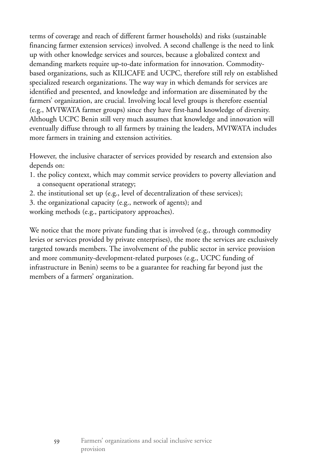terms of coverage and reach of different farmer households) and risks (sustainable financing farmer extension services) involved. A second challenge is the need to link up with other knowledge services and sources, because a globalized context and demanding markets require up-to-date information for innovation. Commoditybased organizations, such as KILICAFE and UCPC, therefore still rely on established specialized research organizations. The way way in which demands for services are identified and presented, and knowledge and information are disseminated by the farmers' organization, are crucial. Involving local level groups is therefore essential (e.g., MVIWATA farmer groups) since they have first-hand knowledge of diversity. Although UCPC Benin still very much assumes that knowledge and innovation will eventually diffuse through to all farmers by training the leaders, MVIWATA includes more farmers in training and extension activities.

However, the inclusive character of services provided by research and extension also depends on:

- 1. the policy context, which may commit service providers to poverty alleviation and a consequent operational strategy;
- 2. the institutional set up (e.g., level of decentralization of these services);
- 3. the organizational capacity (e.g., network of agents); and
- working methods (e.g., participatory approaches).

We notice that the more private funding that is involved (e.g., through commodity levies or services provided by private enterprises), the more the services are exclusively targeted towards members. The involvement of the public sector in service provision and more community-development-related purposes (e.g., UCPC funding of infrastructure in Benin) seems to be a guarantee for reaching far beyond just the members of a farmers' organization.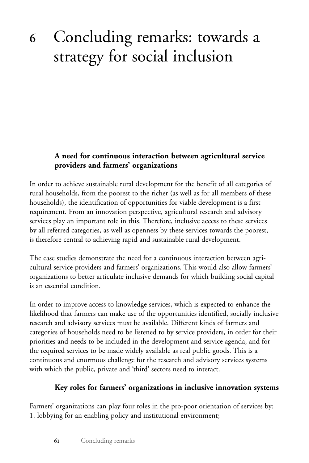# **6** Concluding remarks: towards a strategy for social inclusion

## **A need for continuous interaction between agricultural service providers and farmers' organizations**

In order to achieve sustainable rural development for the benefit of all categories of rural households, from the poorest to the richer (as well as for all members of these households), the identification of opportunities for viable development is a first requirement. From an innovation perspective, agricultural research and advisory services play an important role in this. Therefore, inclusive access to these services by all referred categories, as well as openness by these services towards the poorest, is therefore central to achieving rapid and sustainable rural development.

The case studies demonstrate the need for a continuous interaction between agricultural service providers and farmers' organizations. This would also allow farmers' organizations to better articulate inclusive demands for which building social capital is an essential condition.

In order to improve access to knowledge services, which is expected to enhance the likelihood that farmers can make use of the opportunities identified, socially inclusive research and advisory services must be available. Different kinds of farmers and categories of households need to be listened to by service providers, in order for their priorities and needs to be included in the development and service agenda, and for the required services to be made widely available as real public goods. This is a continuous and enormous challenge for the research and advisory services systems with which the public, private and 'third' sectors need to interact.

## **Key roles for farmers' organizations in inclusive innovation systems**

Farmers' organizations can play four roles in the pro-poor orientation of services by: 1. lobbying for an enabling policy and institutional environment;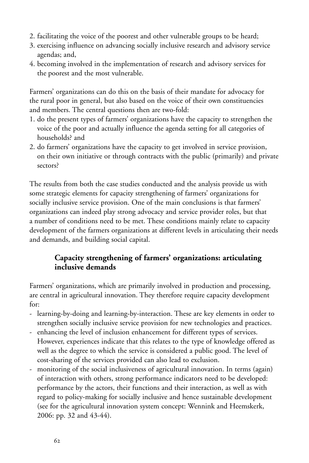- 2. facilitating the voice of the poorest and other vulnerable groups to be heard;
- 3. exercising influence on advancing socially inclusive research and advisory service agendas; and,
- 4. becoming involved in the implementation of research and advisory services for the poorest and the most vulnerable.

Farmers' organizations can do this on the basis of their mandate for advocacy for the rural poor in general, but also based on the voice of their own constituencies and members. The central questions then are two-fold:

- 1. do the present types of farmers' organizations have the capacity to strengthen the voice of the poor and actually influence the agenda setting for all categories of households? and
- 2. do farmers' organizations have the capacity to get involved in service provision, on their own initiative or through contracts with the public (primarily) and private sectors?

The results from both the case studies conducted and the analysis provide us with some strategic elements for capacity strengthening of farmers' organizations for socially inclusive service provision. One of the main conclusions is that farmers' organizations can indeed play strong advocacy and service provider roles, but that a number of conditions need to be met. These conditions mainly relate to capacity development of the farmers organizations at different levels in articulating their needs and demands, and building social capital.

## **Capacity strengthening of farmers' organizations: articulating inclusive demands**

Farmers' organizations, which are primarily involved in production and processing, are central in agricultural innovation. They therefore require capacity development for:

- learning-by-doing and learning-by-interaction. These are key elements in order to strengthen socially inclusive service provision for new technologies and practices.
- enhancing the level of inclusion enhancement for different types of services. However, experiences indicate that this relates to the type of knowledge offered as well as the degree to which the service is considered a public good. The level of cost-sharing of the services provided can also lead to exclusion.
- monitoring of the social inclusiveness of agricultural innovation. In terms (again) of interaction with others, strong performance indicators need to be developed: performance by the actors, their functions and their interaction, as well as with regard to policy-making for socially inclusive and hence sustainable development (see for the agricultural innovation system concept: Wennink and Heemskerk, 2006: pp. 32 and 43-44).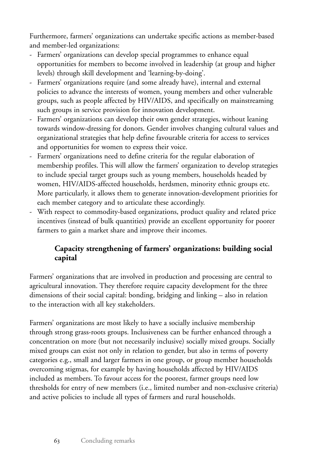Furthermore, farmers' organizations can undertake specific actions as member-based and member-led organizations:

- Farmers' organizations can develop special programmes to enhance equal opportunities for members to become involved in leadership (at group and higher levels) through skill development and 'learning-by-doing'.
- Farmers' organizations require (and some already have), internal and external policies to advance the interests of women, young members and other vulnerable groups, such as people affected by HIV/AIDS, and specifically on mainstreaming such groups in service provision for innovation development.
- Farmers' organizations can develop their own gender strategies, without leaning towards window-dressing for donors. Gender involves changing cultural values and organizational strategies that help define favourable criteria for access to services and opportunities for women to express their voice.
- Farmers' organizations need to define criteria for the regular elaboration of membership profiles. This will allow the farmers' organization to develop strategies to include special target groups such as young members, households headed by women, HIV/AIDS-affected households, herdsmen, minority ethnic groups etc. More particularly, it allows them to generate innovation-development priorities for each member category and to articulate these accordingly.
- With respect to commodity-based organizations, product quality and related price incentives (instead of bulk quantities) provide an excellent opportunity for poorer farmers to gain a market share and improve their incomes.

## **Capacity strengthening of farmers' organizations: building social capital**

Farmers' organizations that are involved in production and processing are central to agricultural innovation. They therefore require capacity development for the three dimensions of their social capital: bonding, bridging and linking – also in relation to the interaction with all key stakeholders.

Farmers' organizations are most likely to have a socially inclusive membership through strong grass-roots groups. Inclusiveness can be further enhanced through a concentration on more (but not necessarily inclusive) socially mixed groups. Socially mixed groups can exist not only in relation to gender, but also in terms of poverty categories e.g., small and larger farmers in one group, or group member households overcoming stigmas, for example by having households affected by HIV/AIDS included as members. To favour access for the poorest, farmer groups need low thresholds for entry of new members (i.e., limited number and non-exclusive criteria) and active policies to include all types of farmers and rural households.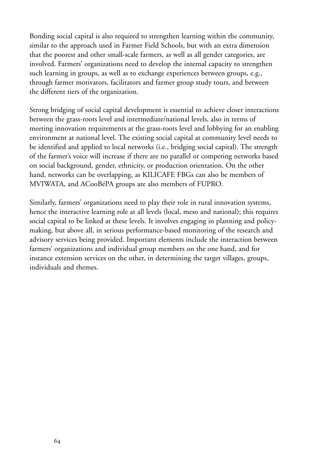Bonding social capital is also required to strengthen learning within the community, similar to the approach used in Farmer Field Schools, but with an extra dimension that the poorest and other small-scale farmers, as well as all gender categories, are involved. Farmers' organizations need to develop the internal capacity to strengthen such learning in groups, as well as to exchange experiences between groups, e.g., through farmer motivators, facilitators and farmer group study tours, and between the different tiers of the organization.

Strong bridging of social capital development is essential to achieve closer interactions between the grass-roots level and intermediate/national levels, also in terms of meeting innovation requirements at the grass-roots level and lobbying for an enabling environment at national level. The existing social capital at community level needs to be identified and applied to local networks (i.e., bridging social capital). The strength of the farmer's voice will increase if there are no parallel or competing networks based on social background, gender, ethnicity, or production orientation. On the other hand, networks can be overlapping, as KILICAFE FBGs can also be members of MVIWATA, and ACooBéPA groups are also members of FUPRO.

Similarly, farmers' organizations need to play their role in rural innovation systems, hence the interactive learning role at all levels (local, meso and national); this requires social capital to be linked at these levels. It involves engaging in planning and policymaking, but above all, in serious performance-based monitoring of the research and advisory services being provided. Important elements include the interaction between farmers' organizations and individual group members on the one hand, and for instance extension services on the other, in determining the target villages, groups, individuals and themes.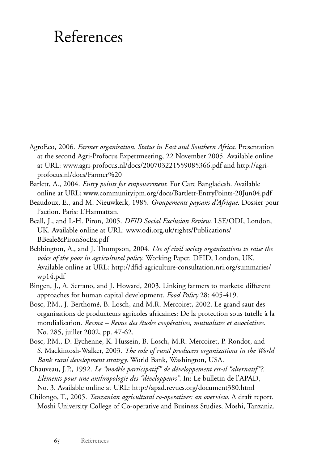## References

- AgroEco, 2006. *Farmer organisation. Status in East and Southern Africa*. Presentation at the second Agri-Profocus Expertmeeting, 22 November 2005. Available online at URL: www.agri-profocus.nl/docs/200703221559085366.pdf and http://agriprofocus.nl/docs/Farmer%20
- Barlett, A., 2004. *Entry points for empowerment*. For Care Bangladesh. Available online at URL: www.communityipm.org/docs/Bartlett-EntryPoints-20Jun04.pdf
- Beaudoux, E., and M. Nieuwkerk, 1985. *Groupements paysans d'Afrique*. Dossier pour l'action. Paris: L'Harmattan.
- Beall, J., and L-H. Piron, 2005. *DFID Social Exclusion Review*. LSE/ODI, London, UK. Available online at URL: www.odi.org.uk/rights/Publications/ BBeale&PironSocEx.pdf
- Bebbington, A., and J. Thompson, 2004. *Use of civil society organizations to raise the voice of the poor in agricultural policy*. Working Paper. DFID, London, UK. Available online at URL: http://dfid-agriculture-consultation.nri.org/summaries/ wp14.pdf
- Bingen, J., A. Serrano, and J. Howard, 2003. Linking farmers to markets: different approaches for human capital development. *Food Policy* 28: 405-419.
- Bosc, P.M., J. Berthomé, B. Losch, and M.R. Mercoiret, 2002. Le grand saut des organisations de producteurs agricoles africaines: De la protection sous tutelle à la mondialisation. *Recma – Revue des études coopératives, mutualistes et associatives*. No. 285, juillet 2002, pp. 47-62.
- Bosc, P.M., D. Eychenne, K. Hussein, B. Losch, M.R. Mercoiret, P. Rondot, and S. Mackintosh-Walker, 2003. *The role of rural producers organizations in the World Bank rural development strategy*. World Bank, Washington, USA.
- Chauveau, J.P., 1992. *Le "modèle participatif" de développement est-il "alternatif"?. Eléments pour une anthropologie des "développeurs"*. In: Le bulletin de l'APAD, No. 3. Available online at URL: http://apad.revues.org/document380.html
- Chilongo, T., 2005. *Tanzanian agricultural co-operatives: an overview*. A draft report. Moshi University College of Co-operative and Business Studies, Moshi, Tanzania.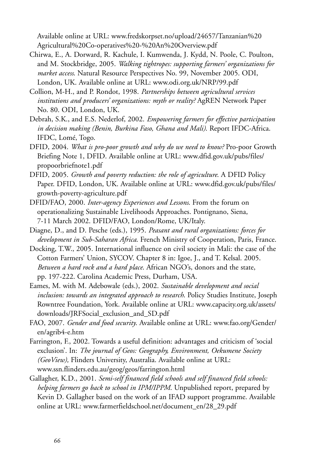Available online at URL: www.fredskorpset.no/upload/24657/Tanzanian%20 Agricultural%20Co-operatives%20-%20An%20Overview.pdf

- Chirwa, E., A. Dorward, R. Kachule, I. Kumwenda, J. Kydd, N. Poole, C. Poulton, and M. Stockbridge, 2005. *Walking tightropes: supporting farmers' organizations for market access*. Natural Resource Perspectives No. 99, November 2005. ODI, London, UK. Available online at URL: www.odi.org.uk/NRP/99.pdf
- Collion, M-H., and P. Rondot, 1998. *Partnerships between agricultural services institutions and producers' organizations: myth or reality?* AgREN Network Paper No. 80. ODI, London, UK.
- Debrah, S.K., and E.S. Nederlof, 2002. *Empowering farmers for effective participation in decision making (Benin, Burkina Faso, Ghana and Mali)*. Report IFDC-Africa. IFDC, Lomé, Togo.
- DFID, 2004. *What is pro-poor growth and why do we need to know?* Pro-poor Growth Briefing Note 1, DFID. Available online at URL: www.dfid.gov.uk/pubs/files/ propoorbriefnote1.pdf
- DFID, 2005. *Growth and poverty reduction: the role of agriculture*. A DFID Policy Paper. DFID, London, UK. Available online at URL: www.dfid.gov.uk/pubs/files/ growth-poverty-agriculture.pdf
- DFID/FAO, 2000. *Inter-agency Experiences and Lessons*. From the forum on operationalizing Sustainable Livelihoods Approaches. Pontignano, Siena, 7-11 March 2002. DFID/FAO, London/Rome, UK/Italy.
- Diagne, D., and D. Pesche (eds.), 1995. *Peasant and rural organizations: forces for development in Sub-Saharan Africa*. French Ministry of Cooperation, Paris, France.
- Docking, T.W., 2005. International influence on civil society in Mali: the case of the Cotton Farmers' Union, SYCOV. Chapter 8 in: Igoe, J., and T. Kelsal. 2005. *Between a hard rock and a hard place*. African NGO's, donors and the state, pp. 197-222. Carolina Academic Press, Durham, USA.
- Eames, M. with M. Adebowale (eds.), 2002. *Sustainable development and social inclusion: towards an integrated approach to research*. Policy Studies Institute, Joseph Rowntree Foundation, York. Available online at URL: www.capacity.org.uk/assets/ downloads/JRFSocial\_exclusion\_and\_SD.pdf
- FAO, 2007. *Gender and food security*. Available online at URL: www.fao.org/Gender/ en/agrib4-e.htm
- Farrington, F., 2002. Towards a useful definition: advantages and criticism of 'social exclusion'. In: *The journal of Geos: Geography, Environment, Oekumene Society (GeoView),* Flinders University, Australia. Available online at URL: www.ssn.flinders.edu.au/geog/geos/farrington.html
- Gallagher, K.D., 2001. *Semi-self financed field schools and self financed field schools: helping farmers go back to school in IPM/IPPM*. Unpublished report, prepared by Kevin D. Gallagher based on the work of an IFAD support programme. Available online at URL: www.farmerfieldschool.net/document\_en/28\_29.pdf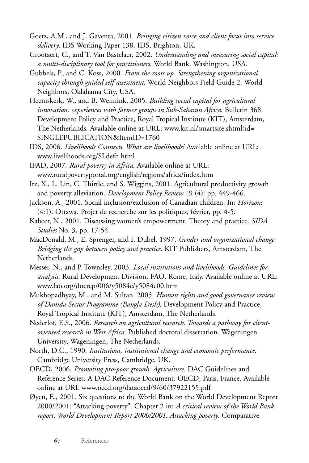- Goetz, A.M., and J. Gaventa, 2001. *Bringing citizen voice and client focus into service delivery*. IDS Working Paper 138. IDS, Brighton, UK.
- Grootaert, C., and T. Van Bastelaer, 2002. *Understanding and measuring social capital: a multi-disciplinary tool for practitioners*. World Bank, Washington, USA.
- Gubbels, P., and C. Koss, 2000. *From the roots up. Strengthening organizational capacity through guided self-assessment*. World Neighbors Field Guide 2. World Neighbors, Oklahama City, USA.
- Heemskerk, W., and B. Wennink, 2005. *Building social capital for agricultural innovation: experiences with farmer groups in Sub-Saharan Africa*. Bulletin 368. Development Policy and Practice, Royal Tropical Institute (KIT), Amsterdam, The Netherlands. Available online at URL: www.kit.nl/smartsite.shtml?id= SINGLEPUBLICATION&ItemID=1760
- IDS, 2006. *Livelihoods Connects. What are livelihoods?* Available online at URL: www.livelihoods.org/SLdefn.html
- IFAD, 2007. *Rural poverty in Africa*. Available online at URL: www.ruralpovertyportal.org/english/regions/africa/index.htm
- Irz, X., L. Lin, C. Thirtle, and S. Wiggins, 2001. Agricultural productivity growth and poverty alleviation. *Development Policy Review* 19 (4): pp. 449-466.
- Jackson, A., 2001. Social inclusion/exclusion of Canadian children: In: *Horizons* (4:1). Ottawa. Projet de recherche sur les politiques, février, pp. 4-5.
- Kabeer, N., 2001. Discussing women's empowerment. Theory and practice. *SIDA Studies* No. 3, pp. 17-54.
- MacDonald, M., E. Sprenger, and I. Dubel, 1997. *Gender and organizational change. Bridging the gap between policy and practice*. KIT Publishers, Amsterdam, The Netherlands.
- Messer, N., and P. Townsley, 2003. *Local institutions and livelihoods. Guidelines for analysis*. Rural Development Division, FAO, Rome, Italy. Available online at URL: www.fao.org/docrep/006/y5084e/y5084e00.htm
- Mukhopadhyay, M., and M. Sultan. 2005. *Human rights and good governance review of Danida Sector Programme (Bangla Desh)*. Development Policy and Practice, Royal Tropical Institute (KIT), Amsterdam, The Netherlands.
- Nederlof, E.S., 2006. *Research on agricultural research. Towards a pathway for clientoriented research in West Africa*. Published doctoral dissertation. Wageningen University, Wageningen, The Netherlands.
- North, D.C., 1990. *Institutions, institutional change and economic performance.* Cambridge University Press, Cambridge, UK.
- OECD, 2006. *Promoting pro-poor growth. Agriculture*. DAC Guidelines and Reference Series. A DAC Reference Document. OECD, Paris, France. Available online at URL www.oecd.org/dataoecd/9/60/37922155.pdf
- Øyen, E., 2001. Six questions to the World Bank on the World Development Report 2000/2001: "Attacking poverty". Chapter 2 in: *A critical review of the World Bank report: World Development Report 2000/2001. Attacking poverty*. Comparative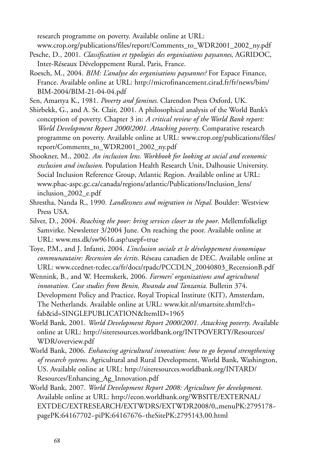research programme on poverty. Available online at URL: www.crop.org/publications/files/report/Comments\_to\_WDR2001\_2002\_ny.pdf

- Pesche, D., 2001. *Classification et typologies des organisations paysannes*, AGRIDOC, Inter-Réseaux Développement Rural, Paris, France.
- Roesch, M., 2004. *BIM: L'analyse des organisations paysannes?* For Espace Finance, France. Available online at URL: http://microfinancement.cirad.fr/fr/news/bim/ BIM-2004/BIM-21-04-04.pdf

Sen, Amartya K., 1981. *Poverty and famines*. Clarendon Press Oxford, UK.

- Shirbekk, G., and A. St. Clair, 2001. A philosophical analysis of the World Bank's conception of poverty. Chapter 3 in: *A critical review of the World Bank report: World Development Report 2000/2001. Attacking poverty*. Comparative research programme on poverty. Available online at URL: www.crop.org/publications/files/ report/Comments\_to\_WDR2001\_2002\_ny.pdf
- Shookner, M., 2002. *An inclusion lens. Workbook for looking at social and economic exclusion and inclusion*. Population Health Research Unit, Dalhousie University. Social Inclusion Reference Group, Atlantic Region. Available online at URL: www.phac-aspc.gc.ca/canada/regions/atlantic/Publications/Inclusion\_lens/ inclusion\_2002\_e.pdf
- Shrestha, Nanda R., 1990. *Landlessness and migration in Nepal.* Boulder: Westview Press USA.
- Silver, D., 2004. *Reaching the poor: bring services closer to the poor*. Mellemfolkeligt Samvirke. Newsletter 3/2004 June. On reaching the poor. Available online at URL: www.ms.dk/sw9616.asp?usepf=true
- Toye, P.M., and J. Infanti, 2004. *L'inclusion sociale et le développement économique communautaire: Recension des écrits.* Réseau canadien de DEC. Available online at URL: www.ccednet-rcdec.ca/fr/docs/rpadc/PCCDLN\_20040803\_RecensionB.pdf
- Wennink, B., and W. Heemskerk, 2006. *Farmers' organizations and agricultural innovation. Case studies from Benin, Rwanda and Tanzania*. Bulletin 374. Development Policy and Practice, Royal Tropical Institute (KIT), Amsterdam, The Netherlands. Available online at URL: www.kit.nl/smartsite.shtml?ch= fab&id=SINGLEPUBLICATION&ItemID=1965
- World Bank, 2001. *World Development Report 2000/2001. Attacking poverty*. Available online at URL: http://siteresources.worldbank.org/INTPOVERTY/Resources/ WDR/overview.pdf
- World Bank, 2006. *Enhancing agricultural innovation: how to go beyond strengthening of research systems*. Agricultural and Rural Development, World Bank, Washington, US. Available online at URL: http://siteresources.worldbank.org/INTARD/ Resources/Enhancing\_Ag\_Innovation.pdf
- World Bank, 2007. *World Development Report 2008: Agriculture for development*. Available online at URL: http://econ.worldbank.org/WBSITE/EXTERNAL/ EXTDEC/EXTRESEARCH/EXTWDRS/EXTWDR2008/0,,menuPK:2795178~ pagePK:64167702~piPK:64167676~theSitePK:2795143,00.html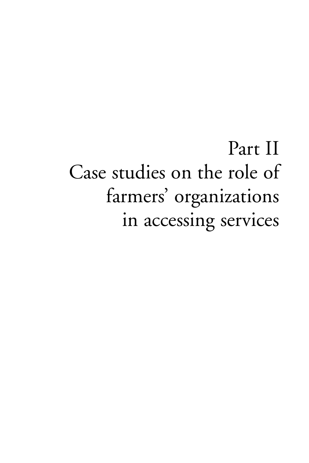Part II Case studies on the role of farmers' organizations in accessing services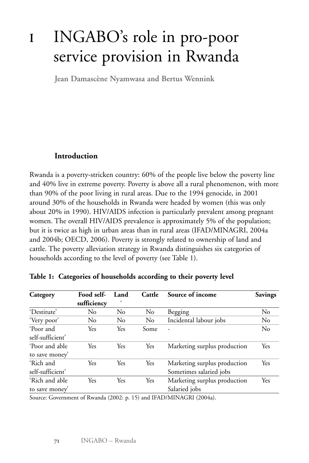# **I** INGABO's role in pro-poor service provision in Rwanda

**Jean Damascène Nyamwasa and Bertus Wennink**

#### **Introduction**

Rwanda is a poverty-stricken country: 60% of the people live below the poverty line and 40% live in extreme poverty. Poverty is above all a rural phenomenon, with more than 90% of the poor living in rural areas. Due to the 1994 genocide, in 2001 around 30% of the households in Rwanda were headed by women (this was only about 20% in 1990). HIV/AIDS infection is particularly prevalent among pregnant women. The overall HIV/AIDS prevalence is approximately 5% of the population; but it is twice as high in urban areas than in rural areas (IFAD/MINAGRI, 2004a and 2004b; OECD, 2006). Poverty is strongly related to ownership of land and cattle. The poverty alleviation strategy in Rwanda distinguishes six categories of households according to the level of poverty (see Table 1).

| Category         | Food self-  | Land     | Cattle   | Source of income             | <b>Savings</b> |
|------------------|-------------|----------|----------|------------------------------|----------------|
|                  | sufficiency |          |          |                              |                |
| 'Destitute'      | No          | $\rm No$ | $\rm No$ | Begging                      | $\rm No$       |
| 'Very poor'      | $\rm No$    | $\rm No$ | $\rm No$ | Incidental labour jobs       | $\rm No$       |
| 'Poor and        | Yes         | Yes      | Some     |                              | $\rm No$       |
| self-sufficient' |             |          |          |                              |                |
| 'Poor and able   | Yes         | Yes      | Yes      | Marketing surplus production | Yes            |
| to save money    |             |          |          |                              |                |
| 'Rich and        | Yes         | Yes      | Yes      | Marketing surplus production | Yes            |
| self-sufficient' |             |          |          | Sometimes salaried jobs      |                |
| 'Rich and able   | Yes         | Yes      | Yes      | Marketing surplus production | Yes            |
| to save money    |             |          |          | Salaried jobs                |                |

|  |  | Table 1: Categories of households according to their poverty level |  |  |
|--|--|--------------------------------------------------------------------|--|--|
|  |  |                                                                    |  |  |

Source: Government of Rwanda (2002: p. 15) and IFAD/MINAGRI (2004a).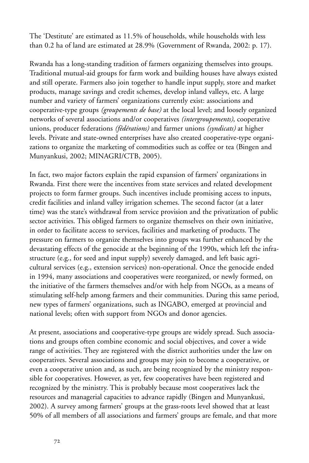The 'Destitute' are estimated as 11.5% of households, while households with less than 0.2 ha of land are estimated at 28.9% (Government of Rwanda, 2002: p. 17).

Rwanda has a long-standing tradition of farmers organizing themselves into groups. Traditional mutual-aid groups for farm work and building houses have always existed and still operate. Farmers also join together to handle input supply, store and market products, manage savings and credit schemes, develop inland valleys, etc. A large number and variety of farmers' organizations currently exist: associations and cooperative-type groups *(groupements de base)* at the local level; and loosely organized networks of several associations and/or cooperatives *(intergroupements)*, cooperative unions, producer federations *(fédérations)* and farmer unions *(syndicats)* at higher levels. Private and state-owned enterprises have also created cooperative-type organizations to organize the marketing of commodities such as coffee or tea (Bingen and Munyankusi, 2002; MINAGRI/CTB, 2005).

In fact, two major factors explain the rapid expansion of farmers' organizations in Rwanda. First there were the incentives from state services and related development projects to form farmer groups. Such incentives include promising access to inputs, credit facilities and inland valley irrigation schemes. The second factor (at a later time) was the state's withdrawal from service provision and the privatization of public sector activities. This obliged farmers to organize themselves on their own initiative, in order to facilitate access to services, facilities and marketing of products. The pressure on farmers to organize themselves into groups was further enhanced by the devastating effects of the genocide at the beginning of the 1990s, which left the infrastructure (e.g., for seed and input supply) severely damaged, and left basic agricultural services (e.g., extension services) non-operational. Once the genocide ended in 1994, many associations and cooperatives were reorganized, or newly formed, on the initiative of the farmers themselves and/or with help from NGOs, as a means of stimulating self-help among farmers and their communities. During this same period, new types of farmers' organizations, such as INGABO, emerged at provincial and national levels; often with support from NGOs and donor agencies.

At present, associations and cooperative-type groups are widely spread. Such associations and groups often combine economic and social objectives, and cover a wide range of activities. They are registered with the district authorities under the law on cooperatives. Several associations and groups may join to become a cooperative, or even a cooperative union and, as such, are being recognized by the ministry responsible for cooperatives. However, as yet, few cooperatives have been registered and recognized by the ministry. This is probably because most cooperatives lack the resources and managerial capacities to advance rapidly (Bingen and Munyankusi, 2002). A survey among farmers' groups at the grass-roots level showed that at least 50% of all members of all associations and farmers' groups are female, and that more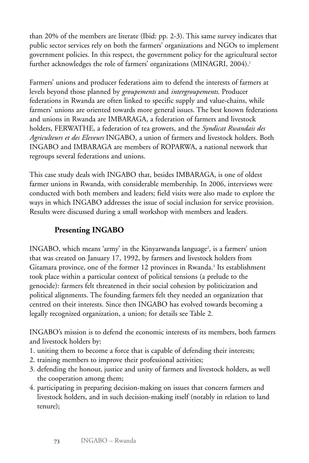than 20% of the members are literate (Ibid: pp. 2-3). This same survey indicates that public sector services rely on both the farmers' organizations and NGOs to implement government policies. In this respect, the government policy for the agricultural sector further acknowledges the role of farmers' organizations (MINAGRI, 2004).<sup>1</sup>

Farmers' unions and producer federations aim to defend the interests of farmers at levels beyond those planned by *groupements* and *intergroupements*. Producer federations in Rwanda are often linked to specific supply and value-chains, while farmers' unions are oriented towards more general issues. The best known federations and unions in Rwanda are IMBARAGA, a federation of farmers and livestock holders, FERWATHE, a federation of tea growers, and the *Syndicat Rwandais des Agriculteurs et des Eleveurs* INGABO, a union of farmers and livestock holders. Both INGABO and IMBARAGA are members of ROPARWA, a national network that regroups several federations and unions.

This case study deals with INGABO that, besides IMBARAGA, is one of oldest farmer unions in Rwanda, with considerable membership. In 2006, interviews were conducted with both members and leaders; field visits were also made to explore the ways in which INGABO addresses the issue of social inclusion for service provision. Results were discussed during a small workshop with members and leaders.

# **Presenting INGABO**

INGABO, which means 'army' in the Kinyarwanda language<sup>2</sup>, is a farmers' union that was created on January 17, 1992, by farmers and livestock holders from Gitamara province, one of the former 12 provinces in Rwanda.3 Its establishment took place within a particular context of political tensions (a prelude to the genocide): farmers felt threatened in their social cohesion by politicization and political alignments. The founding farmers felt they needed an organization that centred on their interests. Since then INGABO has evolved towards becoming a legally recognized organization, a union; for details see Table 2.

INGABO's mission is to defend the economic interests of its members, both farmers and livestock holders by:

- 1. uniting them to become a force that is capable of defending their interests;
- 2. training members to improve their professional activities;
- 3. defending the honour, justice and unity of farmers and livestock holders, as well the cooperation among them;
- 4. participating in preparing decision-making on issues that concern farmers and livestock holders, and in such decision-making itself (notably in relation to land tenure);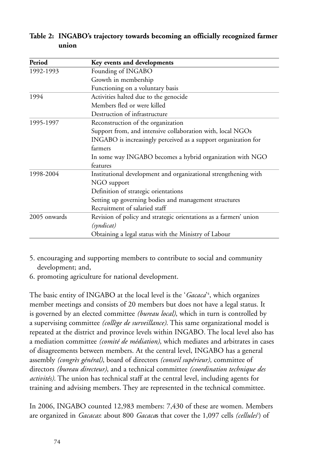| Period       | Key events and developments                                       |  |  |
|--------------|-------------------------------------------------------------------|--|--|
| 1992-1993    | Founding of INGABO                                                |  |  |
|              | Growth in membership                                              |  |  |
|              | Functioning on a voluntary basis                                  |  |  |
| 1994         | Activities halted due to the genocide                             |  |  |
|              | Members fled or were killed                                       |  |  |
|              | Destruction of infrastructure                                     |  |  |
| 1995-1997    | Reconstruction of the organization                                |  |  |
|              | Support from, and intensive collaboration with, local NGOs        |  |  |
|              | INGABO is increasingly perceived as a support organization for    |  |  |
|              | farmers                                                           |  |  |
|              | In some way INGABO becomes a hybrid organization with NGO         |  |  |
|              | features                                                          |  |  |
| 1998-2004    | Institutional development and organizational strengthening with   |  |  |
|              | NGO support                                                       |  |  |
|              | Definition of strategic orientations                              |  |  |
|              | Setting up governing bodies and management structures             |  |  |
|              | Recruitment of salaried staff                                     |  |  |
| 2005 onwards | Revision of policy and strategic orientations as a farmers' union |  |  |
|              | (syndicat)                                                        |  |  |
|              | Obtaining a legal status with the Ministry of Labour              |  |  |

**Table 2: INGABO's trajectory towards becoming an officially recognized farmer union** 

5. encouraging and supporting members to contribute to social and community development; and,

6. promoting agriculture for national development.

The basic entity of INGABO at the local level is the '*Gacaca*' 4 , which organizes member meetings and consists of 20 members but does not have a legal status. It is governed by an elected committee *(bureau local)*, which in turn is controlled by a supervising committee *(collège de surveillance)*. This same organizational model is repeated at the district and province levels within INGABO. The local level also has a mediation committee *(comité de médiation)*, which mediates and arbitrates in cases of disagreements between members. At the central level, INGABO has a general assembly *(congrès général)*, board of directors *(conseil supérieur)*, committee of directors *(bureau directeur)*, and a technical committee *(coordination technique des activités)*. The union has technical staff at the central level, including agents for training and advising members. They are represented in the technical committee.

In 2006, INGABO counted 12,983 members: 7,430 of these are women. Members are organized in *Gacacas*: about 800 *Gacaca*s that cover the 1,097 cells *(cellules*<sup>s</sup>) of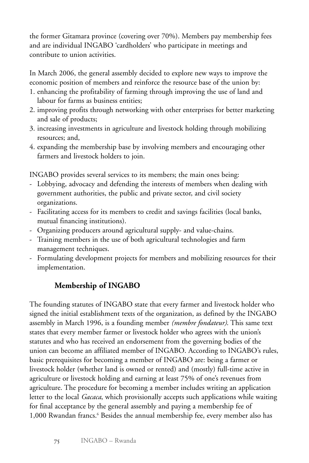the former Gitamara province (covering over 70%). Members pay membership fees and are individual INGABO 'cardholders' who participate in meetings and contribute to union activities.

In March 2006, the general assembly decided to explore new ways to improve the economic position of members and reinforce the resource base of the union by:

- 1. enhancing the profitability of farming through improving the use of land and labour for farms as business entities;
- 2. improving profits through networking with other enterprises for better marketing and sale of products;
- 3. increasing investments in agriculture and livestock holding through mobilizing resources; and,
- 4. expanding the membership base by involving members and encouraging other farmers and livestock holders to join.

INGABO provides several services to its members; the main ones being:

- Lobbying, advocacy and defending the interests of members when dealing with government authorities, the public and private sector, and civil society organizations.
- Facilitating access for its members to credit and savings facilities (local banks, mutual financing institutions).
- Organizing producers around agricultural supply- and value-chains.
- Training members in the use of both agricultural technologies and farm management techniques.
- Formulating development projects for members and mobilizing resources for their implementation.

# **Membership of INGABO**

The founding statutes of INGABO state that every farmer and livestock holder who signed the initial establishment texts of the organization, as defined by the INGABO assembly in March 1996, is a founding member *(membre fondateur)*. This same text states that every member farmer or livestock holder who agrees with the union's statutes and who has received an endorsement from the governing bodies of the union can become an affiliated member of INGABO. According to INGABO's rules, basic prerequisites for becoming a member of INGABO are: being a farmer or livestock holder (whether land is owned or rented) and (mostly) full-time active in agriculture or livestock holding and earning at least 75% of one's revenues from agriculture. The procedure for becoming a member includes writing an application letter to the local *Gacaca*, which provisionally accepts such applications while waiting for final acceptance by the general assembly and paying a membership fee of 1,000 Rwandan francs.<sup>6</sup> Besides the annual membership fee, every member also has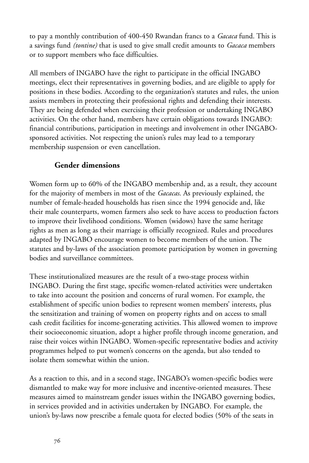to pay a monthly contribution of 400-450 Rwandan francs to a *Gacaca* fund. This is a savings fund *(tontine)* that is used to give small credit amounts to *Gacaca* members or to support members who face difficulties.

All members of INGABO have the right to participate in the official INGABO meetings, elect their representatives in governing bodies, and are eligible to apply for positions in these bodies. According to the organization's statutes and rules, the union assists members in protecting their professional rights and defending their interests. They are being defended when exercising their profession or undertaking INGABO activities. On the other hand, members have certain obligations towards INGABO: financial contributions, participation in meetings and involvement in other INGABOsponsored activities. Not respecting the union's rules may lead to a temporary membership suspension or even cancellation.

## **Gender dimensions**

Women form up to 60% of the INGABO membership and, as a result, they account for the majority of members in most of the *Gacacas*. As previously explained, the number of female-headed households has risen since the 1994 genocide and, like their male counterparts, women farmers also seek to have access to production factors to improve their livelihood conditions. Women (widows) have the same heritage rights as men as long as their marriage is officially recognized. Rules and procedures adapted by INGABO encourage women to become members of the union. The statutes and by-laws of the association promote participation by women in governing bodies and surveillance committees.

These institutionalized measures are the result of a two-stage process within INGABO. During the first stage, specific women-related activities were undertaken to take into account the position and concerns of rural women. For example, the establishment of specific union bodies to represent women members' interests, plus the sensitization and training of women on property rights and on access to small cash credit facilities for income-generating activities. This allowed women to improve their socioeconomic situation, adopt a higher profile through income generation, and raise their voices within INGABO. Women-specific representative bodies and activity programmes helped to put women's concerns on the agenda, but also tended to isolate them somewhat within the union.

As a reaction to this, and in a second stage, INGABO's women-specific bodies were dismantled to make way for more inclusive and incentive-oriented measures. These measures aimed to mainstream gender issues within the INGABO governing bodies, in services provided and in activities undertaken by INGABO. For example, the union's by-laws now prescribe a female quota for elected bodies (50% of the seats in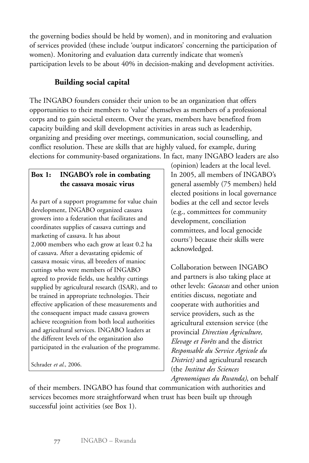the governing bodies should be held by women), and in monitoring and evaluation of services provided (these include 'output indicators' concerning the participation of women). Monitoring and evaluation data currently indicate that women's participation levels to be about 40% in decision-making and development activities.

# **Building social capital**

The INGABO founders consider their union to be an organization that offers opportunities to their members to 'value' themselves as members of a professional corps and to gain societal esteem. Over the years, members have benefited from capacity building and skill development activities in areas such as leadership, organizing and presiding over meetings, communication, social counselling, and conflict resolution. These are skills that are highly valued, for example, during elections for community-based organizations. In fact, many INGABO leaders are also

# **Box 1: INGABO's role in combating the cassava mosaic virus**

As part of a support programme for value chain development, INGABO organized cassava growers into a federation that facilitates and coordinates supplies of cassava cuttings and marketing of cassava. It has about 2,000 members who each grow at least 0.2 ha of cassava. After a devastating epidemic of cassava mosaic virus, all breeders of manioc cuttings who were members of INGABO agreed to provide fields, use healthy cuttings supplied by agricultural research (ISAR), and to be trained in appropriate technologies. Their effective application of these measurements and the consequent impact made cassava growers achieve recognition from both local authorities and agricultural services. INGABO leaders at the different levels of the organization also participated in the evaluation of the programme.

Schrader *et al.*, 2006.

(opinion) leaders at the local level. In 2005, all members of INGABO's general assembly (75 members) held elected positions in local governance bodies at the cell and sector levels (e.g., committees for community development, conciliation committees, and local genocide courts7 ) because their skills were acknowledged.

Collaboration between INGABO and partners is also taking place at other levels: *Gacacas* and other union entities discuss, negotiate and cooperate with authorities and service providers, such as the agricultural extension service (the provincial *Direction Agriculture, Elevage et Forêts* and the district *Responsable du Service Agricole du District)* and agricultural research (the *Institut des Sciences Agronomiques du Rwanda)*, on behalf

of their members. INGABO has found that communication with authorities and services becomes more straightforward when trust has been built up through successful joint activities (see Box 1).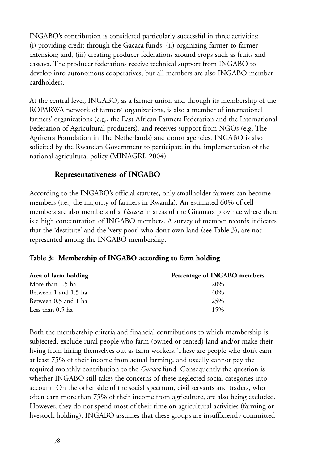INGABO's contribution is considered particularly successful in three activities: (i) providing credit through the Gacaca funds; (ii) organizing farmer-to-farmer extension; and, (iii) creating producer federations around crops such as fruits and cassava. The producer federations receive technical support from INGABO to develop into autonomous cooperatives, but all members are also INGABO member cardholders.

At the central level, INGABO, as a farmer union and through its membership of the ROPARWA network of farmers' organizations, is also a member of international farmers' organizations (e.g., the East African Farmers Federation and the International Federation of Agricultural producers), and receives support from NGOs (e.g. The Agriterra Foundation in The Netherlands) and donor agencies. INGABO is also solicited by the Rwandan Government to participate in the implementation of the national agricultural policy (MINAGRI, 2004).

## **Representativeness of INGABO**

According to the INGABO's official statutes, only smallholder farmers can become members (i.e., the majority of farmers in Rwanda). An estimated 60% of cell members are also members of a *Gacaca* in areas of the Gitamara province where there is a high concentration of INGABO members. A survey of member records indicates that the 'destitute' and the 'very poor' who don't own land (see Table 3), are not represented among the INGABO membership.

| Area of farm holding | Percentage of INGABO members |
|----------------------|------------------------------|
| More than 1.5 ha     | 20\%                         |
| Between 1 and 1.5 ha | 40%                          |
| Between 0.5 and 1 ha | 25%                          |
| Less than 0.5 ha     | 15%                          |

**Table 3: Membership of INGABO according to farm holding**

Both the membership criteria and financial contributions to which membership is subjected, exclude rural people who farm (owned or rented) land and/or make their living from hiring themselves out as farm workers. These are people who don't earn at least 75% of their income from actual farming, and usually cannot pay the required monthly contribution to the *Gacaca* fund. Consequently the question is whether INGABO still takes the concerns of these neglected social categories into account. On the other side of the social spectrum, civil servants and traders, who often earn more than 75% of their income from agriculture, are also being excluded. However, they do not spend most of their time on agricultural activities (farming or livestock holding). INGABO assumes that these groups are insufficiently committed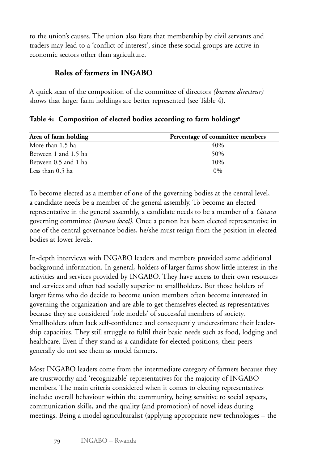to the union's causes. The union also fears that membership by civil servants and traders may lead to a 'conflict of interest', since these social groups are active in economic sectors other than agriculture.

# **Roles of farmers in INGABO**

A quick scan of the composition of the committee of directors *(bureau directeur)* shows that larger farm holdings are better represented (see Table 4).

|  | Table 4: Composition of elected bodies according to farm holdings <sup>8</sup> |  |  |  |  |  |
|--|--------------------------------------------------------------------------------|--|--|--|--|--|
|--|--------------------------------------------------------------------------------|--|--|--|--|--|

| Area of farm holding | Percentage of committee members |
|----------------------|---------------------------------|
| More than 1.5 ha     | 40%                             |
| Between 1 and 1.5 ha | 50%                             |
| Between 0.5 and 1 ha | 10%                             |
| Less than 0.5 ha     | $0\%$                           |

To become elected as a member of one of the governing bodies at the central level, a candidate needs be a member of the general assembly. To become an elected representative in the general assembly, a candidate needs to be a member of a *Gacaca* governing committee *(bureau local)*. Once a person has been elected representative in one of the central governance bodies, he/she must resign from the position in elected bodies at lower levels.

In-depth interviews with INGABO leaders and members provided some additional background information. In general, holders of larger farms show little interest in the activities and services provided by INGABO. They have access to their own resources and services and often feel socially superior to smallholders. But those holders of larger farms who do decide to become union members often become interested in governing the organization and are able to get themselves elected as representatives because they are considered 'role models' of successful members of society. Smallholders often lack self-confidence and consequently underestimate their leadership capacities. They still struggle to fulfil their basic needs such as food, lodging and healthcare. Even if they stand as a candidate for elected positions, their peers generally do not see them as model farmers.

Most INGABO leaders come from the intermediate category of farmers because they are trustworthy and 'recognizable' representatives for the majority of INGABO members. The main criteria considered when it comes to electing representatives include: overall behaviour within the community, being sensitive to social aspects, communication skills, and the quality (and promotion) of novel ideas during meetings. Being a model agriculturalist (applying appropriate new technologies – the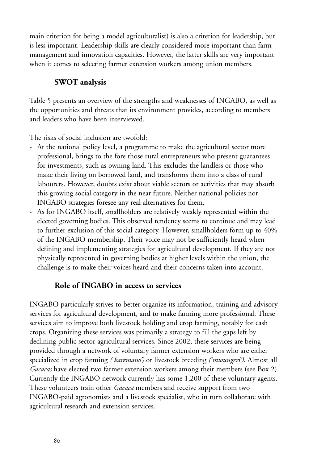main criterion for being a model agriculturalist) is also a criterion for leadership, but is less important. Leadership skills are clearly considered more important than farm management and innovation capacities. However, the latter skills are very important when it comes to selecting farmer extension workers among union members.

## **SWOT analysis**

Table 5 presents an overview of the strengths and weaknesses of INGABO, as well as the opportunities and threats that its environment provides, according to members and leaders who have been interviewed.

The risks of social inclusion are twofold:

- At the national policy level, a programme to make the agricultural sector more professional, brings to the fore those rural entrepreneurs who present guarantees for investments, such as owning land. This excludes the landless or those who make their living on borrowed land, and transforms them into a class of rural labourers. However, doubts exist about viable sectors or activities that may absorb this growing social category in the near future. Neither national policies nor INGABO strategies foresee any real alternatives for them.
- As for INGABO itself, smallholders are relatively weakly represented within the elected governing bodies. This observed tendency seems to continue and may lead to further exclusion of this social category. However, smallholders form up to 40% of the INGABO membership. Their voice may not be sufficiently heard when defining and implementing strategies for agricultural development. If they are not physically represented in governing bodies at higher levels within the union, the challenge is to make their voices heard and their concerns taken into account.

## **Role of INGABO in access to services**

INGABO particularly strives to better organize its information, training and advisory services for agricultural development, and to make farming more professional. These services aim to improve both livestock holding and crop farming, notably for cash crops. Organizing these services was primarily a strategy to fill the gaps left by declining public sector agricultural services. Since 2002, these services are being provided through a network of voluntary farmer extension workers who are either specialized in crop farming *('karemano')* or livestock breeding *('mwungeri')*. Almost all *Gacacas* have elected two farmer extension workers among their members (see Box 2). Currently the INGABO network currently has some 1,200 of these voluntary agents. These volunteers train other *Gacaca* members and receive support from two INGABO-paid agronomists and a livestock specialist, who in turn collaborate with agricultural research and extension services.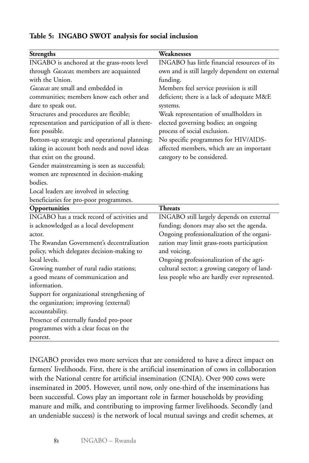| <b>Strengths</b>                                  | Weaknesses                                     |
|---------------------------------------------------|------------------------------------------------|
| INGABO is anchored at the grass-roots level       | INGABO has little financial resources of its   |
| through Gacacas, members are acquainted           | own and is still largely dependent on external |
| with the Union.                                   | funding.                                       |
| Gacacas are small and embedded in                 | Members feel service provision is still        |
| communities; members know each other and          | deficient; there is a lack of adequate M&E     |
| dare to speak out.                                | systems.                                       |
| Structures and procedures are flexible;           | Weak representation of smallholders in         |
| representation and participation of all is there- | elected governing bodies; an ongoing           |
| fore possible.                                    | process of social exclusion.                   |
| Bottom-up strategic and operational planning;     | No specific programmes for HIV/AIDS-           |
| taking in account both needs and novel ideas      | affected members, which are an important       |
| that exist on the ground.                         | category to be considered.                     |
| Gender mainstreaming is seen as successful;       |                                                |
| women are represented in decision-making          |                                                |
| bodies.                                           |                                                |
| Local leaders are involved in selecting           |                                                |
| beneficiaries for pro-poor programmes.            |                                                |
| Opportunities                                     | <b>Threats</b>                                 |
| INGABO has a track record of activities and       | INGABO still largely depends on external       |
| is acknowledged as a local development            | funding; donors may also set the agenda.       |
| actor.                                            | Ongoing professionalization of the organi-     |
| The Rwandan Government's decentralization         | zation may limit grass-roots participation     |
| policy, which delegates decision-making to        | and voicing.                                   |
| local levels.                                     | Ongoing professionalization of the agri-       |
| Growing number of rural radio stations;           | cultural sector; a growing category of land-   |
| a good means of communication and                 | less people who are hardly ever represented.   |
| information.                                      |                                                |
| Support for organizational strengthening of       |                                                |
| the organization; improving (external)            |                                                |
| accountability.                                   |                                                |
| Presence of externally funded pro-poor            |                                                |
| programmes with a clear focus on the              |                                                |
| poorest.                                          |                                                |

#### **Table 5: INGABO SWOT analysis for social inclusion**

INGABO provides two more services that are considered to have a direct impact on farmers' livelihoods. First, there is the artificial insemination of cows in collaboration with the National centre for artificial insemination (CNIA). Over 900 cows were inseminated in 2005. However, until now, only one-third of the inseminations has been successful. Cows play an important role in farmer households by providing manure and milk, and contributing to improving farmer livelihoods. Secondly (and an undeniable success) is the network of local mutual savings and credit schemes, at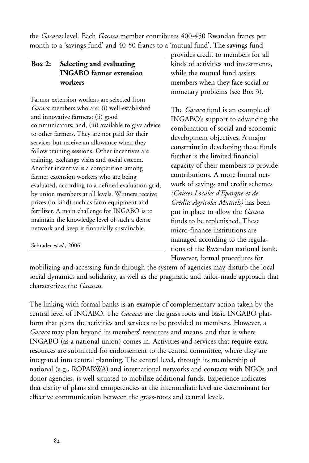the *Gacacas* level. Each *Gacaca* member contributes 400-450 Rwandan francs per month to a 'savings fund' and 40-50 francs to a 'mutual fund'. The savings fund

## **Box 2: Selecting and evaluating INGABO farmer extension workers**

Farmer extension workers are selected from *Gacaca* members who are: (i) well-established and innovative farmers; (ii) good communicators; and, (iii) available to give advice to other farmers. They are not paid for their services but receive an allowance when they follow training sessions. Other incentives are training, exchange visits and social esteem. Another incentive is a competition among farmer extension workers who are being evaluated, according to a defined evaluation grid, by union members at all levels. Winners receive prizes (in kind) such as farm equipment and fertilizer. A main challenge for INGABO is to maintain the knowledge level of such a dense network and keep it financially sustainable.

Schrader *et al.*, 2006.

provides credit to members for all kinds of activities and investments, while the mutual fund assists members when they face social or monetary problems (see Box 3).

The *Gacaca* fund is an example of INGABO's support to advancing the combination of social and economic development objectives. A major constraint in developing these funds further is the limited financial capacity of their members to provide contributions. A more formal network of savings and credit schemes *(Caisses Locales d'Epargne et de Crédits Agricoles Mutuels)* has been put in place to allow the *Gacaca* funds to be replenished. These micro-finance institutions are managed according to the regulations of the Rwandan national bank. However, formal procedures for

mobilizing and accessing funds through the system of agencies may disturb the local social dynamics and solidarity, as well as the pragmatic and tailor-made approach that characterizes the *Gacacas*.

The linking with formal banks is an example of complementary action taken by the central level of INGABO. The *Gacacas* are the grass roots and basic INGABO platform that plans the activities and services to be provided to members. However, a *Gacaca* may plan beyond its members' resources and means, and that is where INGABO (as a national union) comes in. Activities and services that require extra resources are submitted for endorsement to the central committee, where they are integrated into central planning. The central level, through its membership of national (e.g., ROPARWA) and international networks and contacts with NGOs and donor agencies, is well situated to mobilize additional funds. Experience indicates that clarity of plans and competencies at the intermediate level are determinant for effective communication between the grass-roots and central levels.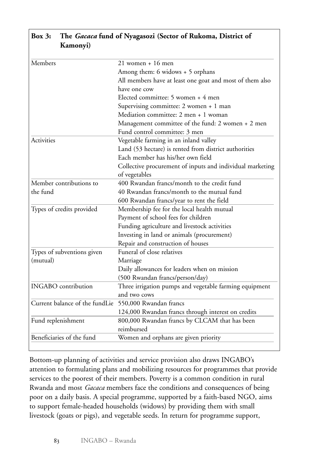| Kamonyi)                                              |                                                                          |
|-------------------------------------------------------|--------------------------------------------------------------------------|
| Members                                               | $21$ women + 16 men                                                      |
|                                                       | Among them: 6 widows + 5 orphans                                         |
|                                                       | All members have at least one goat and most of them also<br>have one cow |
|                                                       | Elected committee: 5 women + 4 men                                       |
|                                                       | Supervising committee: 2 women + 1 man                                   |
|                                                       | Mediation committee: 2 men + 1 woman                                     |
|                                                       | Management committee of the fund: 2 women + 2 men                        |
|                                                       | Fund control committee: 3 men                                            |
| Activities                                            | Vegetable farming in an inland valley                                    |
|                                                       | Land (53 hectare) is rented from district authorities                    |
|                                                       | Each member has his/her own field                                        |
|                                                       | Collective procurement of inputs and individual marketing                |
|                                                       | of vegetables                                                            |
| Member contributions to                               | 400 Rwandan francs/month to the credit fund                              |
| the fund                                              | 40 Rwandan francs/month to the mutual fund                               |
|                                                       | 600 Rwandan francs/year to rent the field                                |
| Types of credits provided                             | Membership fee for the local health mutual                               |
|                                                       | Payment of school fees for children                                      |
|                                                       | Funding agriculture and livestock activities                             |
|                                                       | Investing in land or animals (procurement)                               |
|                                                       | Repair and construction of houses                                        |
| Types of subventions given                            | Funeral of close relatives                                               |
| (mutual)                                              | Marriage                                                                 |
|                                                       | Daily allowances for leaders when on mission                             |
|                                                       | (500 Rwandan francs/person/day)                                          |
| <b>INGABO</b> contribution                            | Three irrigation pumps and vegetable farming equipment                   |
|                                                       | and two cows                                                             |
| Current balance of the fundLie 550,000 Rwandan francs |                                                                          |
|                                                       | 124,000 Rwandan francs through interest on credits                       |
| Fund replenishment                                    | 800,000 Rwandan francs by CLCAM that has been                            |
|                                                       | reimbursed                                                               |
| Beneficiaries of the fund                             | Women and orphans are given priority                                     |
|                                                       |                                                                          |

**Box 3: The** *Gacaca* **fund of Nyagasozi (Sector of Rukoma, District of**

Bottom-up planning of activities and service provision also draws INGABO's attention to formulating plans and mobilizing resources for programmes that provide services to the poorest of their members. Poverty is a common condition in rural Rwanda and most *Gacaca* members face the conditions and consequences of being poor on a daily basis. A special programme, supported by a faith-based NGO, aims to support female-headed households (widows) by providing them with small livestock (goats or pigs), and vegetable seeds. In return for programme support,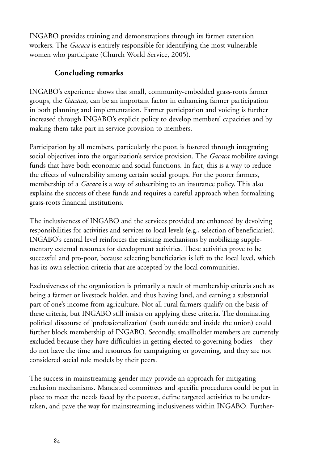INGABO provides training and demonstrations through its farmer extension workers. The *Gacaca* is entirely responsible for identifying the most vulnerable women who participate (Church World Service, 2005).

# **Concluding remarks**

INGABO's experience shows that small, community-embedded grass-roots farmer groups, the *Gacacas*, can be an important factor in enhancing farmer participation in both planning and implementation. Farmer participation and voicing is further increased through INGABO's explicit policy to develop members' capacities and by making them take part in service provision to members.

Participation by all members, particularly the poor, is fostered through integrating social objectives into the organization's service provision. The *Gacaca* mobilize savings funds that have both economic and social functions. In fact, this is a way to reduce the effects of vulnerability among certain social groups. For the poorer farmers, membership of a *Gacaca* is a way of subscribing to an insurance policy. This also explains the success of these funds and requires a careful approach when formalizing grass-roots financial institutions.

The inclusiveness of INGABO and the services provided are enhanced by devolving responsibilities for activities and services to local levels (e.g., selection of beneficiaries). INGABO's central level reinforces the existing mechanisms by mobilizing supplementary external resources for development activities. These activities prove to be successful and pro-poor, because selecting beneficiaries is left to the local level, which has its own selection criteria that are accepted by the local communities.

Exclusiveness of the organization is primarily a result of membership criteria such as being a farmer or livestock holder, and thus having land, and earning a substantial part of one's income from agriculture. Not all rural farmers qualify on the basis of these criteria, but INGABO still insists on applying these criteria. The dominating political discourse of 'professionalization' (both outside and inside the union) could further block membership of INGABO. Secondly, smallholder members are currently excluded because they have difficulties in getting elected to governing bodies – they do not have the time and resources for campaigning or governing, and they are not considered social role models by their peers.

The success in mainstreaming gender may provide an approach for mitigating exclusion mechanisms. Mandated committees and specific procedures could be put in place to meet the needs faced by the poorest, define targeted activities to be undertaken, and pave the way for mainstreaming inclusiveness within INGABO. Further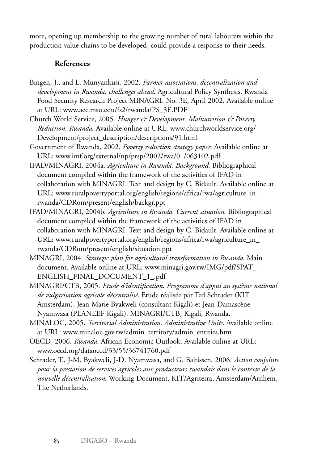more, opening up membership to the growing number of rural labourers within the production value chains to be developed, could provide a response to their needs.

## **References**

- Bingen, J., and L. Munyankusi, 2002. *Farmer associations, decentralization and development in Rwanda: challenges ahead*. Agricultural Policy Synthesis. Rwanda Food Security Research Project MINAGRI. No. 3E, April 2002. Available online at URL: www.aec.msu.edu/fs2/rwanda/PS\_3E.PDF
- Church World Service, 2005. *Hunger & Development. Malnutrition & Poverty Reduction, Rwanda*. Available online at URL: www.churchworldservice.org/ Development/project\_description/descriptions/91.html
- Government of Rwanda, 2002. *Poverty reduction strategy paper*. Available online at URL: www.imf.org/external/np/prsp/2002/rwa/01/063102.pdf
- IFAD/MINAGRI, 2004a. *Agriculture in Rwanda. Background*. Bibliographical document compiled within the framework of the activities of IFAD in collaboration with MINAGRI. Text and design by C. Bidault. Available online at URL: www.ruralpovertyportal.org/english/regions/africa/rwa/agriculture\_in\_ rwanda/CDRom/present/english/backgr.ppt
- IFAD/MINAGRI, 2004b. *Agriculture in Rwanda. Current situation*. Bibliographical document compiled within the framework of the activities of IFAD in collaboration with MINAGRI. Text and design by C. Bidault. Available online at URL: www.ruralpovertyportal.org/english/regions/africa/rwa/agriculture\_in\_ rwanda/CDRom/present/english/situation.ppt
- MINAGRI, 2004. *Strategic plan for agricultural transformation in Rwanda*. Main document. Available online at URL: www.minagri.gov.rw/IMG/pdf/SPAT\_ ENGLISH\_FINAL\_DOCUMENT\_1\_.pdf
- MINAGRI/CTB, 2005. *Etude d'identification. Programme d'appui au système national de vulgarisation agricole décentralisé*. Etude réalisée par Ted Schrader (KIT Amsterdam), Jean-Marie Byakweli (consultant Kigali) et Jean-Damascène Nyamwasa (PLANEEF Kigali). MINAGRI/CTB, Kigali, Rwanda.
- MINALOC, 2005. *Territorial Administration. Administrative Units*. Available online at URL: www.minaloc.gov.rw/admin\_territory/admin\_entities.htm
- OECD, 2006. *Rwanda.* African Economic Outlook. Available online at URL: www.oecd.org/dataoecd/33/55/36741760.pdf
- Schrader, T., J-M. Byakweli, J-D. Nyamwasa, and G. Baltissen, 2006. *Action conjointe pour la prestation de services agricoles aux producteurs rwandais dans le contexte de la nouvelle décentralisation*. Working Document. KIT/Agriterra, Amsterdam/Arnhem, The Netherlands.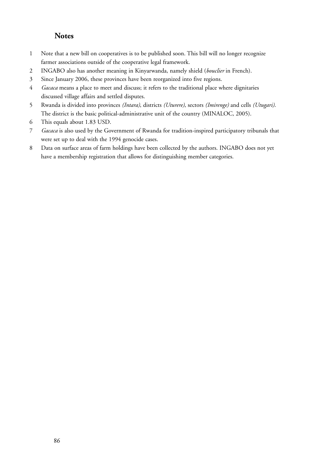#### **Notes**

- 1 Note that a new bill on cooperatives is to be published soon. This bill will no longer recognize farmer associations outside of the cooperative legal framework.
- 2 INGABO also has another meaning in Kinyarwanda, namely shield (*bouclier* in French).
- 3 Since January 2006, these provinces have been reorganized into five regions.
- 4 *Gacaca* means a place to meet and discuss; it refers to the traditional place where dignitaries discussed village affairs and settled disputes.
- 5 Rwanda is divided into provinces *(Intara)*, districts *(Uturere)*, sectors *(Imirenge)* and cells *(Utugari)*. The district is the basic political-administrative unit of the country (MINALOC, 2005).
- 6 This equals about 1.83 USD.
- 7 *Gacaca* is also used by the Government of Rwanda for tradition-inspired participatory tribunals that were set up to deal with the 1994 genocide cases.
- 8 Data on surface areas of farm holdings have been collected by the authors. INGABO does not yet have a membership registration that allows for distinguishing member categories.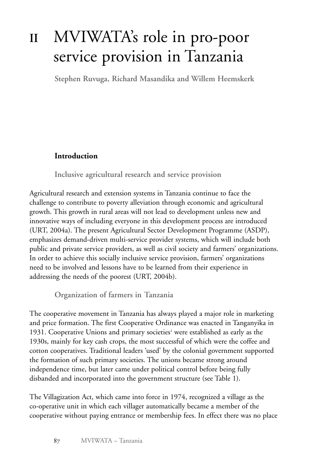# **II** MVIWATA's role in pro-poor service provision in Tanzania

**Stephen Ruvuga, Richard Masandika and Willem Heemskerk**

#### **Introduction**

**Inclusive agricultural research and service provision**

Agricultural research and extension systems in Tanzania continue to face the challenge to contribute to poverty alleviation through economic and agricultural growth. This growth in rural areas will not lead to development unless new and innovative ways of including everyone in this development process are introduced (URT, 2004a). The present Agricultural Sector Development Programme (ASDP), emphasizes demand-driven multi-service provider systems, which will include both public and private service providers, as well as civil society and farmers' organizations. In order to achieve this socially inclusive service provision, farmers' organizations need to be involved and lessons have to be learned from their experience in addressing the needs of the poorest (URT, 2004b).

**Organization of farmers in Tanzania**

The cooperative movement in Tanzania has always played a major role in marketing and price formation. The first Cooperative Ordinance was enacted in Tanganyika in 1931. Cooperative Unions and primary societies<sup>1</sup> were established as early as the 1930s, mainly for key cash crops, the most successful of which were the coffee and cotton cooperatives. Traditional leaders 'used' by the colonial government supported the formation of such primary societies. The unions became strong around independence time, but later came under political control before being fully disbanded and incorporated into the government structure (see Table 1).

The Villagization Act, which came into force in 1974, recognized a village as the co-operative unit in which each villager automatically became a member of the cooperative without paying entrance or membership fees. In effect there was no place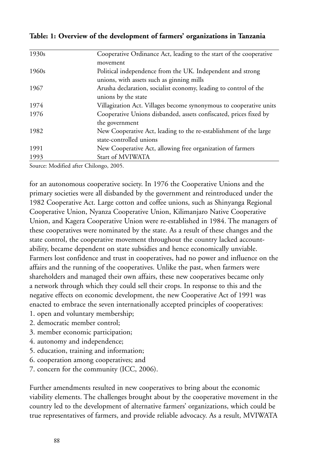#### **Table: 1: Overview of the development of farmers' organizations in Tanzania**

| 1930s | Cooperative Ordinance Act, leading to the start of the cooperative |
|-------|--------------------------------------------------------------------|
|       | movement                                                           |
| 1960s | Political independence from the UK. Independent and strong         |
|       | unions, with assets such as ginning mills                          |
| 1967  | Arusha declaration, socialist economy, leading to control of the   |
|       | unions by the state                                                |
| 1974  | Villagization Act. Villages become synonymous to cooperative units |
| 1976  | Cooperative Unions disbanded, assets confiscated, prices fixed by  |
|       | the government                                                     |
| 1982  | New Cooperative Act, leading to the re-establishment of the large  |
|       | state-controlled unions                                            |
| 1991  | New Cooperative Act, allowing free organization of farmers         |
| 1993  | Start of MVIWATA                                                   |
|       |                                                                    |

Source: Modified after Chilongo, 2005.

for an autonomous cooperative society. In 1976 the Cooperative Unions and the primary societies were all disbanded by the government and reintroduced under the 1982 Cooperative Act. Large cotton and coffee unions, such as Shinyanga Regional Cooperative Union, Nyanza Cooperative Union, Kilimanjaro Native Cooperative Union, and Kagera Cooperative Union were re-established in 1984. The managers of these cooperatives were nominated by the state. As a result of these changes and the state control, the cooperative movement throughout the country lacked accountability, became dependent on state subsidies and hence economically unviable. Farmers lost confidence and trust in cooperatives, had no power and influence on the affairs and the running of the cooperatives. Unlike the past, when farmers were shareholders and managed their own affairs, these new cooperatives became only a network through which they could sell their crops. In response to this and the negative effects on economic development, the new Cooperative Act of 1991 was enacted to embrace the seven internationally accepted principles of cooperatives:

- 1. open and voluntary membership;
- 2. democratic member control;
- 3. member economic participation;
- 4. autonomy and independence;
- 5. education, training and information;
- 6. cooperation among cooperatives; and
- 7. concern for the community (ICC, 2006).

Further amendments resulted in new cooperatives to bring about the economic viability elements. The challenges brought about by the cooperative movement in the country led to the development of alternative farmers' organizations, which could be true representatives of farmers, and provide reliable advocacy. As a result, MVIWATA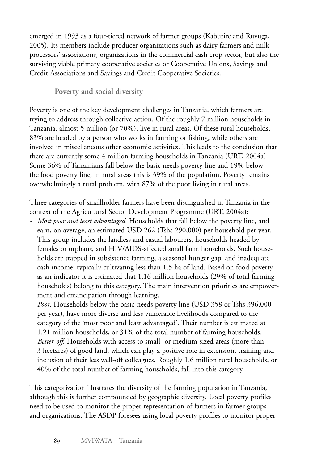emerged in 1993 as a four-tiered network of farmer groups (Kaburire and Ruvuga, 2005). Its members include producer organizations such as dairy farmers and milk processors' associations, organizations in the commercial cash crop sector, but also the surviving viable primary cooperative societies or Cooperative Unions, Savings and Credit Associations and Savings and Credit Cooperative Societies.

**Poverty and social diversity**

Poverty is one of the key development challenges in Tanzania, which farmers are trying to address through collective action. Of the roughly 7 million households in Tanzania, almost 5 million (or 70%), live in rural areas. Of these rural households, 83% are headed by a person who works in farming or fishing, while others are involved in miscellaneous other economic activities. This leads to the conclusion that there are currently some 4 million farming households in Tanzania (URT, 2004a). Some 36% of Tanzanians fall below the basic needs poverty line and 19% below the food poverty line; in rural areas this is 39% of the population. Poverty remains overwhelmingly a rural problem, with 87% of the poor living in rural areas.

Three categories of smallholder farmers have been distinguished in Tanzania in the context of the Agricultural Sector Development Programme (URT, 2004a):

- *Most poor and least advantaged*. Households that fall below the poverty line, and earn, on average, an estimated USD 262 (Tshs 290,000) per household per year. This group includes the landless and casual labourers, households headed by females or orphans, and HIV/AIDS-affected small farm households. Such households are trapped in subsistence farming, a seasonal hunger gap, and inadequate cash income; typically cultivating less than 1.5 ha of land. Based on food poverty as an indicator it is estimated that 1.16 million households (29% of total farming households) belong to this category. The main intervention priorities are empowerment and emancipation through learning.
- *Poor*. Households below the basic-needs poverty line (USD 358 or Tshs 396,000 per year), have more diverse and less vulnerable livelihoods compared to the category of the 'most poor and least advantaged'. Their number is estimated at 1.21 million households, or 31% of the total number of farming households.
- *Better-off*. Households with access to small- or medium-sized areas (more than 3 hectares) of good land, which can play a positive role in extension, training and inclusion of their less well-off colleagues. Roughly 1.6 million rural households, or 40% of the total number of farming households, fall into this category.

This categorization illustrates the diversity of the farming population in Tanzania, although this is further compounded by geographic diversity. Local poverty profiles need to be used to monitor the proper representation of farmers in farmer groups and organizations. The ASDP foresees using local poverty profiles to monitor proper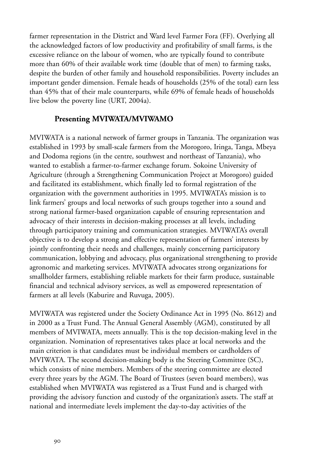farmer representation in the District and Ward level Farmer Fora (FF). Overlying all the acknowledged factors of low productivity and profitability of small farms, is the excessive reliance on the labour of women, who are typically found to contribute more than 60% of their available work time (double that of men) to farming tasks, despite the burden of other family and household responsibilities. Poverty includes an important gender dimension. Female heads of households (25% of the total) earn less than 45% that of their male counterparts, while 69% of female heads of households live below the poverty line (URT, 2004a).

#### **Presenting MVIWATA/MVIWAMO**

MVIWATA is a national network of farmer groups in Tanzania. The organization was established in 1993 by small-scale farmers from the Morogoro, Iringa, Tanga, Mbeya and Dodoma regions (in the centre, southwest and northeast of Tanzania), who wanted to establish a farmer-to-farmer exchange forum. Sokoine University of Agriculture (through a Strengthening Communication Project at Morogoro) guided and facilitated its establishment, which finally led to formal registration of the organization with the government authorities in 1995. MVIWATA's mission is to link farmers' groups and local networks of such groups together into a sound and strong national farmer-based organization capable of ensuring representation and advocacy of their interests in decision-making processes at all levels, including through participatory training and communication strategies. MVIWATA's overall objective is to develop a strong and effective representation of farmers' interests by jointly confronting their needs and challenges, mainly concerning participatory communication, lobbying and advocacy, plus organizational strengthening to provide agronomic and marketing services. MVIWATA advocates strong organizations for smallholder farmers, establishing reliable markets for their farm produce, sustainable financial and technical advisory services, as well as empowered representation of farmers at all levels (Kaburire and Ruvuga, 2005).

MVIWATA was registered under the Society Ordinance Act in 1995 (No. 8612) and in 2000 as a Trust Fund. The Annual General Assembly (AGM), constituted by all members of MVIWATA, meets annually. This is the top decision-making level in the organization. Nomination of representatives takes place at local networks and the main criterion is that candidates must be individual members or cardholders of MVIWATA. The second decision-making body is the Steering Committee (SC), which consists of nine members. Members of the steering committee are elected every three years by the AGM. The Board of Trustees (seven board members), was established when MVIWATA was registered as a Trust Fund and is charged with providing the advisory function and custody of the organization's assets. The staff at national and intermediate levels implement the day-to-day activities of the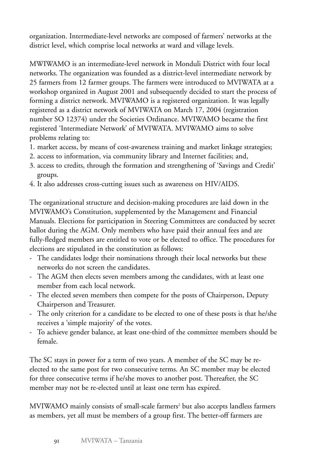organization. Intermediate-level networks are composed of farmers' networks at the district level, which comprise local networks at ward and village levels.

MWIWAMO is an intermediate-level network in Monduli District with four local networks. The organization was founded as a district-level intermediate network by 25 farmers from 12 farmer groups. The farmers were introduced to MVIWATA at a workshop organized in August 2001 and subsequently decided to start the process of forming a district network. MVIWAMO is a registered organization. It was legally registered as a district network of MVIWATA on March 17, 2004 (registration number SO 12374) under the Societies Ordinance. MVIWAMO became the first registered 'Intermediate Network' of MVIWATA. MVIWAMO aims to solve problems relating to:

- 1. market access, by means of cost-awareness training and market linkage strategies;
- 2. access to information, via community library and Internet facilities; and,
- 3. access to credits, through the formation and strengthening of 'Savings and Credit' groups.
- 4. It also addresses cross-cutting issues such as awareness on HIV/AIDS.

The organizational structure and decision-making procedures are laid down in the MVIWAMO's Constitution, supplemented by the Management and Financial Manuals. Elections for participation in Steering Committees are conducted by secret ballot during the AGM. Only members who have paid their annual fees and are fully-fledged members are entitled to vote or be elected to office. The procedures for elections are stipulated in the constitution as follows:

- The candidates lodge their nominations through their local networks but these networks do not screen the candidates.
- The AGM then elects seven members among the candidates, with at least one member from each local network.
- The elected seven members then compete for the posts of Chairperson, Deputy Chairperson and Treasurer.
- The only criterion for a candidate to be elected to one of these posts is that he/she receives a 'simple majority' of the votes.
- To achieve gender balance, at least one-third of the committee members should be female.

The SC stays in power for a term of two years. A member of the SC may be reelected to the same post for two consecutive terms. An SC member may be elected for three consecutive terms if he/she moves to another post. Thereafter, the SC member may not be re-elected until at least one term has expired.

MVIWAMO mainly consists of small-scale farmers<sup>2</sup> but also accepts landless farmers as members, yet all must be members of a group first. The better-off farmers are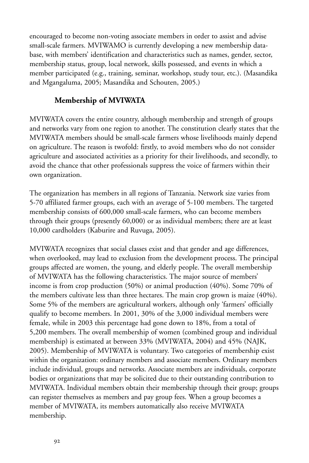encouraged to become non-voting associate members in order to assist and advise small-scale farmers. MVIWAMO is currently developing a new membership database, with members' identification and characteristics such as names, gender, sector, membership status, group, local network, skills possessed, and events in which a member participated (e.g., training, seminar, workshop, study tour, etc.). (Masandika and Mgangaluma, 2005; Masandika and Schouten, 2005.)

## **Membership of MVIWATA**

MVIWATA covers the entire country, although membership and strength of groups and networks vary from one region to another. The constitution clearly states that the MVIWATA members should be small-scale farmers whose livelihoods mainly depend on agriculture. The reason is twofold: firstly, to avoid members who do not consider agriculture and associated activities as a priority for their livelihoods, and secondly, to avoid the chance that other professionals suppress the voice of farmers within their own organization.

The organization has members in all regions of Tanzania. Network size varies from 5-70 affiliated farmer groups, each with an average of 5-100 members. The targeted membership consists of 600,000 small-scale farmers, who can become members through their groups (presently 60,000) or as individual members; there are at least 10,000 cardholders (Kaburire and Ruvuga, 2005).

MVIWATA recognizes that social classes exist and that gender and age differences, when overlooked, may lead to exclusion from the development process. The principal groups affected are women, the young, and elderly people. The overall membership of MVIWATA has the following characteristics. The major source of members' income is from crop production (50%) or animal production (40%). Some 70% of the members cultivate less than three hectares. The main crop grown is maize (40%). Some 5% of the members are agricultural workers, although only 'farmers' officially qualify to become members. In 2001, 30% of the 3,000 individual members were female, while in 2003 this percentage had gone down to 18%, from a total of 5,200 members. The overall membership of women (combined group and individual membership) is estimated at between 33% (MVIWATA, 2004) and 45% (NAJK, 2005). Membership of MVIWATA is voluntary. Two categories of membership exist within the organization: ordinary members and associate members. Ordinary members include individual, groups and networks. Associate members are individuals, corporate bodies or organizations that may be solicited due to their outstanding contribution to MVIWATA. Individual members obtain their membership through their group; groups can register themselves as members and pay group fees. When a group becomes a member of MVIWATA, its members automatically also receive MVIWATA membership.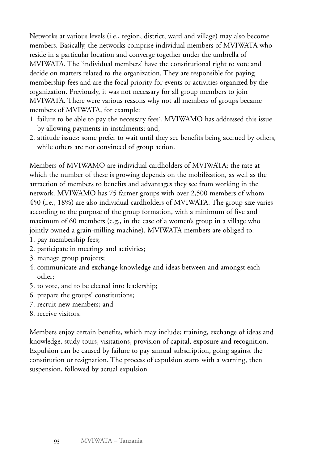Networks at various levels (i.e., region, district, ward and village) may also become members. Basically, the networks comprise individual members of MVIWATA who reside in a particular location and converge together under the umbrella of MVIWATA. The 'individual members' have the constitutional right to vote and decide on matters related to the organization. They are responsible for paying membership fees and are the focal priority for events or activities organized by the organization. Previously, it was not necessary for all group members to join MVIWATA. There were various reasons why not all members of groups became members of MVIWATA, for example:

- 1. failure to be able to pay the necessary fees<sup>3</sup>. MVIWAMO has addressed this issue by allowing payments in instalments; and,
- 2. attitude issues: some prefer to wait until they see benefits being accrued by others, while others are not convinced of group action.

Members of MVIWAMO are individual cardholders of MVIWATA; the rate at which the number of these is growing depends on the mobilization, as well as the attraction of members to benefits and advantages they see from working in the network. MVIWAMO has 75 farmer groups with over 2,500 members of whom 450 (i.e., 18%) are also individual cardholders of MVIWATA. The group size varies according to the purpose of the group formation, with a minimum of five and maximum of 60 members (e.g., in the case of a women's group in a village who jointly owned a grain-milling machine). MVIWATA members are obliged to:

- 1. pay membership fees;
- 2. participate in meetings and activities;
- 3. manage group projects;
- 4. communicate and exchange knowledge and ideas between and amongst each other;
- 5. to vote, and to be elected into leadership;
- 6. prepare the groups' constitutions;
- 7. recruit new members; and
- 8. receive visitors.

Members enjoy certain benefits, which may include; training, exchange of ideas and knowledge, study tours, visitations, provision of capital, exposure and recognition. Expulsion can be caused by failure to pay annual subscription, going against the constitution or resignation. The process of expulsion starts with a warning, then suspension, followed by actual expulsion.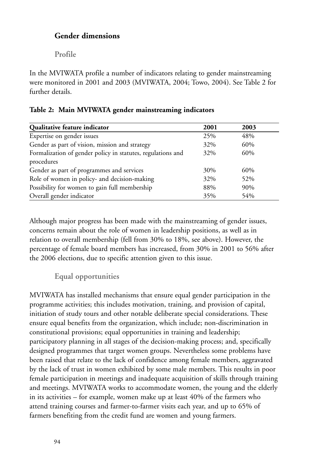## **Gender dimensions**

#### **Profile**

In the MVIWATA profile a number of indicators relating to gender mainstreaming were monitored in 2001 and 2003 (MVIWATA, 2004; Towo, 2004). See Table 2 for further details.

| Qualitative feature indicator                               | 2001 | 2003 |  |
|-------------------------------------------------------------|------|------|--|
| Expertise on gender issues                                  | 25%  | 48%  |  |
| Gender as part of vision, mission and strategy              | 32%  | 60%  |  |
| Formalization of gender policy in statutes, regulations and | 32%  | 60%  |  |
| procedures                                                  |      |      |  |
| Gender as part of programmes and services                   | 30%  | 60%  |  |
| Role of women in policy- and decision-making                | 32%  | 52%  |  |
| Possibility for women to gain full membership               | 88%  | 90%  |  |
| Overall gender indicator                                    | 35%  | 54%  |  |

#### **Table 2: Main MVIWATA gender mainstreaming indicators**

Although major progress has been made with the mainstreaming of gender issues, concerns remain about the role of women in leadership positions, as well as in relation to overall membership (fell from 30% to 18%, see above). However, the percentage of female board members has increased, from 30% in 2001 to 56% after the 2006 elections, due to specific attention given to this issue.

# **Equal opportunities**

MVIWATA has installed mechanisms that ensure equal gender participation in the programme activities; this includes motivation, training, and provision of capital, initiation of study tours and other notable deliberate special considerations. These ensure equal benefits from the organization, which include; non-discrimination in constitutional provisions; equal opportunities in training and leadership; participatory planning in all stages of the decision-making process; and, specifically designed programmes that target women groups. Nevertheless some problems have been raised that relate to the lack of confidence among female members, aggravated by the lack of trust in women exhibited by some male members. This results in poor female participation in meetings and inadequate acquisition of skills through training and meetings. MVIWATA works to accommodate women, the young and the elderly in its activities – for example, women make up at least 40% of the farmers who attend training courses and farmer-to-farmer visits each year, and up to 65% of farmers benefiting from the credit fund are women and young farmers.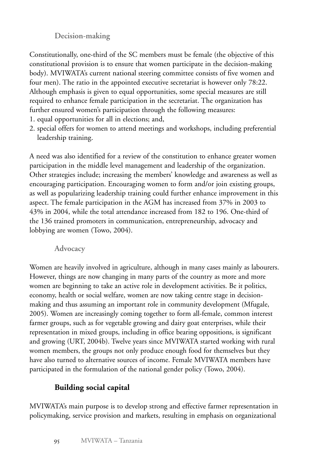# **Decision-making**

Constitutionally, one-third of the SC members must be female (the objective of this constitutional provision is to ensure that women participate in the decision-making body). MVIWATA's current national steering committee consists of five women and four men). The ratio in the appointed executive secretariat is however only 78:22. Although emphasis is given to equal opportunities, some special measures are still required to enhance female participation in the secretariat. The organization has further ensured women's participation through the following measures:

- 1. equal opportunities for all in elections; and,
- 2. special offers for women to attend meetings and workshops, including preferential leadership training.

A need was also identified for a review of the constitution to enhance greater women participation in the middle level management and leadership of the organization. Other strategies include; increasing the members' knowledge and awareness as well as encouraging participation. Encouraging women to form and/or join existing groups, as well as popularizing leadership training could further enhance improvement in this aspect. The female participation in the AGM has increased from 37% in 2003 to 43% in 2004, while the total attendance increased from 182 to 196. One-third of the 136 trained promoters in communication, entrepreneurship, advocacy and lobbying are women (Towo, 2004).

## **Advocacy**

Women are heavily involved in agriculture, although in many cases mainly as labourers. However, things are now changing in many parts of the country as more and more women are beginning to take an active role in development activities. Be it politics, economy, health or social welfare, women are now taking centre stage in decisionmaking and thus assuming an important role in community development (Mfugale, 2005). Women are increasingly coming together to form all-female, common interest farmer groups, such as for vegetable growing and dairy goat enterprises, while their representation in mixed groups, including in office bearing oppositions, is significant and growing (URT, 2004b). Twelve years since MVIWATA started working with rural women members, the groups not only produce enough food for themselves but they have also turned to alternative sources of income. Female MVIWATA members have participated in the formulation of the national gender policy (Towo, 2004).

# **Building social capital**

MVIWATA's main purpose is to develop strong and effective farmer representation in policymaking, service provision and markets, resulting in emphasis on organizational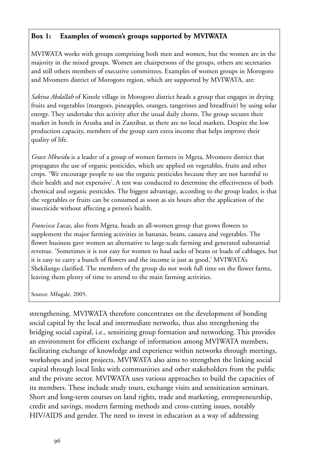#### **Box 1: Examples of women's groups supported by MVIWATA**

MVIWATA works with groups comprising both men and women, but the women are in the majority in the mixed groups. Women are chairpersons of the groups, others are secretaries and still others members of executive committees. Examples of women groups in Morogoro and Mvomero district of Morogoro region, which are supported by MVIWATA, are:

*Sakina Abdallah* of Kinole village in Morogoro district heads a group that engages in drying fruits and vegetables (mangoes, pineapples, oranges, tangerines and breadfruit) by using solar energy. They undertake this activity after the usual daily chores. The group secures their market in hotels in Arusha and in Zanzibar, as there are no local markets. Despite the low production capacity, members of the group earn extra income that helps improve their quality of life.

*Grace Mkwidu* is a leader of a group of women farmers in Mgeta, Mvomero district that propagates the use of organic pesticides, which are applied on vegetables, fruits and other crops. 'We encourage people to use the organic pesticides because they are not harmful to their health and not expensive'. A test was conducted to determine the effectiveness of both chemical and organic pesticides. The biggest advantage, according to the group leader, is that the vegetables or fruits can be consumed as soon as six hours after the application of the insecticide without affecting a person's health.

*Francisca Lucas*, also from Mgeta, heads an all-women group that grows flowers to supplement the major farming activities in bananas, beans, cassava and vegetables. The flower business gave women an alternative to large-scale farming and generated substantial revenue. 'Sometimes it is not easy for women to haul sacks of beans or loads of cabbages, but it is easy to carry a bunch of flowers and the income is just as good,' MVIWATA's Shekilango clarified. The members of the group do not work full time on the flower farms, leaving them plenty of time to attend to the main farming activities.

Source: Mfugale, 2005.

strengthening. MVIWATA therefore concentrates on the development of bonding social capital by the local and intermediate networks, thus also strengthening the bridging social capital, i.e., sensitizing group formation and networking. This provides an environment for efficient exchange of information among MVIWATA members, facilitating exchange of knowledge and experience within networks through meetings, workshops and joint projects. MVIWATA also aims to strengthen the linking social capital through local links with communities and other stakeholders from the public and the private sector. MVIWATA uses various approaches to build the capacities of its members. These include study tours, exchange visits and sensitization seminars. Short and long-term courses on land rights, trade and marketing, entrepreneurship, credit and savings, modern farming methods and cross-cutting issues, notably HIV/AIDS and gender. The need to invest in education as a way of addressing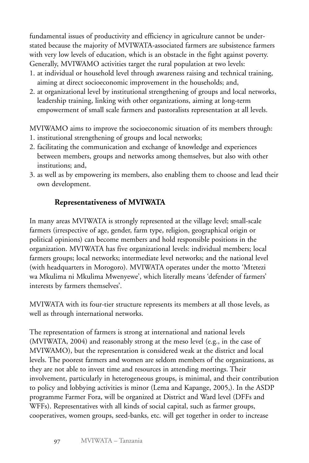fundamental issues of productivity and efficiency in agriculture cannot be understated because the majority of MVIWATA-associated farmers are subsistence farmers with very low levels of education, which is an obstacle in the fight against poverty. Generally, MVIWAMO activities target the rural population at two levels:

- 1. at individual or household level through awareness raising and technical training, aiming at direct socioeconomic improvement in the households; and,
- 2. at organizational level by institutional strengthening of groups and local networks, leadership training, linking with other organizations, aiming at long-term empowerment of small scale farmers and pastoralists representation at all levels.

MVIWAMO aims to improve the socioeconomic situation of its members through:

- 1. institutional strengthening of groups and local networks;
- 2. facilitating the communication and exchange of knowledge and experiences between members, groups and networks among themselves, but also with other institutions; and,
- 3. as well as by empowering its members, also enabling them to choose and lead their own development.

# **Representativeness of MVIWATA**

In many areas MVIWATA is strongly represented at the village level; small-scale farmers (irrespective of age, gender, farm type, religion, geographical origin or political opinions) can become members and hold responsible positions in the organization. MVIWATA has five organizational levels: individual members; local farmers groups; local networks; intermediate level networks; and the national level (with headquarters in Morogoro). MVIWATA operates under the motto 'Mtetezi wa Mkulima ni Mkulima Mwenyewe', which literally means 'defender of farmers' interests by farmers themselves'.

MVIWATA with its four-tier structure represents its members at all those levels, as well as through international networks.

The representation of farmers is strong at international and national levels (MVIWATA, 2004) and reasonably strong at the meso level (e.g., in the case of MVIWAMO), but the representation is considered weak at the district and local levels. The poorest farmers and women are seldom members of the organizations, as they are not able to invest time and resources in attending meetings. Their involvement, particularly in heterogeneous groups, is minimal, and their contribution to policy and lobbying activities is minor (Lema and Kapange, 2005,). In the ASDP programme Farmer Fora, will be organized at District and Ward level (DFFs and WFFs). Representatives with all kinds of social capital, such as farmer groups, cooperatives, women groups, seed-banks, etc. will get together in order to increase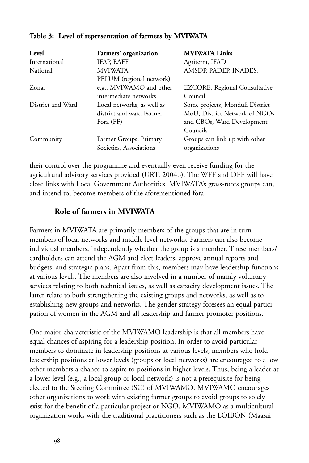| Level             | Farmers' organization      | <b>MVIWATA Links</b>            |
|-------------------|----------------------------|---------------------------------|
| International     | <b>IFAP, EAFF</b>          | Agriterra, IFAD                 |
| National          | <b>MVIWATA</b>             | AMSDP, PADEP, INADES,           |
|                   | PELUM (regional network)   |                                 |
| Zonal             | e.g., MVIWAMO and other    | EZCORE, Regional Consultative   |
|                   | intermediate networks      | Council                         |
| District and Ward | Local networks, as well as | Some projects, Monduli District |
|                   | district and ward Farmer   | MoU, District Network of NGOs   |
|                   | Fora (FF)                  | and CBOs, Ward Development      |
|                   |                            | Councils                        |
| Community         | Farmer Groups, Primary     | Groups can link up with other   |
|                   | Societies, Associations    | organizations                   |

#### **Table 3: Level of representation of farmers by MVIWATA**

their control over the programme and eventually even receive funding for the agricultural advisory services provided (URT, 2004b). The WFF and DFF will have close links with Local Government Authorities. MVIWATA's grass-roots groups can, and intend to, become members of the aforementioned fora.

## **Role of farmers in MVIWATA**

Farmers in MVIWATA are primarily members of the groups that are in turn members of local networks and middle level networks. Farmers can also become individual members, independently whether the group is a member. These members/ cardholders can attend the AGM and elect leaders, approve annual reports and budgets, and strategic plans. Apart from this, members may have leadership functions at various levels. The members are also involved in a number of mainly voluntary services relating to both technical issues, as well as capacity development issues. The latter relate to both strengthening the existing groups and networks, as well as to establishing new groups and networks. The gender strategy foresees an equal participation of women in the AGM and all leadership and farmer promoter positions.

One major characteristic of the MVIWAMO leadership is that all members have equal chances of aspiring for a leadership position. In order to avoid particular members to dominate in leadership positions at various levels, members who hold leadership positions at lower levels (groups or local networks) are encouraged to allow other members a chance to aspire to positions in higher levels. Thus, being a leader at a lower level (e.g., a local group or local network) is not a prerequisite for being elected to the Steering Committee (SC) of MVIWAMO. MVIWAMO encourages other organizations to work with existing farmer groups to avoid groups to solely exist for the benefit of a particular project or NGO. MVIWAMO as a multicultural organization works with the traditional practitioners such as the LOIBON (Maasai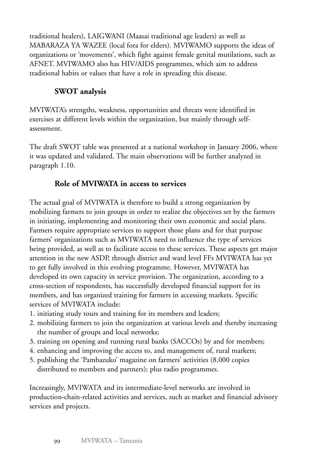traditional healers), LAIGWANI (Maasai traditional age leaders) as well as MABARAZA YA WAZEE (local fora for elders). MVIWAMO supports the ideas of organizations or 'movements', which fight against female genital mutilations, such as AFNET. MVIWAMO also has HIV/AIDS programmes, which aim to address traditional habits or values that have a role in spreading this disease.

# **SWOT analysis**

MVIWATA's strengths, weakness, opportunities and threats were identified in exercises at different levels within the organization, but mainly through selfassessment.

The draft SWOT table was presented at a national workshop in January 2006, where it was updated and validated. The main observations will be further analyzed in paragraph 1.10.

# **Role of MVIWATA in access to services**

The actual goal of MVIWATA is therefore to build a strong organization by mobilizing farmers to join groups in order to realize the objectives set by the farmers in initiating, implementing and monitoring their own economic and social plans. Farmers require appropriate services to support those plans and for that purpose farmers' organizations such as MVIWATA need to influence the type of services being provided, as well as to facilitate access to these services. These aspects get major attention in the new ASDP, through district and ward level FFs MVIWATA has yet to get fully involved in this evolving programme. However, MVIWATA has developed its own capacity in service provision. The organization, according to a cross-section of respondents, has successfully developed financial support for its members, and has organized training for farmers in accessing markets. Specific services of MVIWATA include:

- 1. initiating study tours and training for its members and leaders;
- 2. mobilizing farmers to join the organization at various levels and thereby increasing the number of groups and local networks;
- 3. training on opening and running rural banks (SACCOs) by and for members;
- 4. enhancing and improving the access to, and management of, rural markets;
- 5. publishing the 'Pambazuko' magazine on farmers' activities (8,000 copies distributed to members and partners); plus radio programmes.

Increasingly, MVIWATA and its intermediate-level networks are involved in production-chain-related activities and services, such as market and financial advisory services and projects.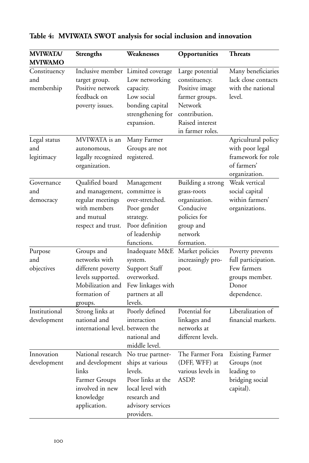| <b>MVIWATA/</b><br><b>MVIWAMO</b> | <b>Strengths</b>                                                                                                     | Weaknesses                                                                                                                                  | Opportunities                                                                                                                           | <b>Threats</b>                                                                                   |
|-----------------------------------|----------------------------------------------------------------------------------------------------------------------|---------------------------------------------------------------------------------------------------------------------------------------------|-----------------------------------------------------------------------------------------------------------------------------------------|--------------------------------------------------------------------------------------------------|
| Constituency<br>and<br>membership | Inclusive member Limited coverage<br>target group.<br>Positive network<br>feedback on<br>poverty issues.             | Low networking<br>capacity.<br>Low social<br>bonding capital<br>strengthening for<br>expansion.                                             | Large potential<br>constituency.<br>Positive image<br>farmer groups.<br>Network<br>contribution.<br>Raised interest<br>in farmer roles. | Many beneficiaries<br>lack close contacts<br>with the national<br>level.                         |
| Legal status<br>and<br>legitimacy | MVIWATA is an<br>autonomous,<br>legally recognized<br>organization.                                                  | Many Farmer<br>Groups are not<br>registered.                                                                                                |                                                                                                                                         | Agricultural policy<br>with poor legal<br>framework for role<br>of farmers'<br>organization.     |
| Governance<br>and<br>democracy    | Qualified board<br>and management,<br>regular meetings<br>with members<br>and mutual<br>respect and trust.           | Management<br>committee is<br>over-stretched.<br>Poor gender<br>strategy.<br>Poor definition<br>of leadership<br>functions.                 | Building a strong<br>grass-roots<br>organization.<br>Conducive<br>policies for<br>group and<br>network<br>formation.                    | Weak vertical<br>social capital<br>within farmers'<br>organizations.                             |
| Purpose<br>and<br>objectives      | Groups and<br>networks with<br>different poverty<br>levels supported.<br>Mobilization and<br>formation of<br>groups. | Inadequate M&E<br>system.<br>Support Staff<br>overworked.<br>Few linkages with<br>partners at all<br>levels.                                | Market policies<br>increasingly pro-<br>poor.                                                                                           | Poverty prevents<br>full participation.<br>Few farmers<br>groups member.<br>Donor<br>dependence. |
| Institutional<br>development      | Strong links at<br>national and<br>international level. between the                                                  | Poorly defined<br>interaction<br>national and<br>middle level.                                                                              | Potential for<br>linkages and<br>networks at<br>different levels.                                                                       | Liberalization of<br>financial markets.                                                          |
| Innovation<br>development         | National research<br>and development<br>links<br>Farmer Groups<br>involved in new<br>knowledge<br>application.       | No true partner-<br>ships at various<br>levels.<br>Poor links at the<br>local level with<br>research and<br>advisory services<br>providers. | The Farmer Fora<br>(DFF, WFF) at<br>various levels in<br>ASDP.                                                                          | <b>Existing Farmer</b><br>Groups (not<br>leading to<br>bridging social<br>capital).              |

# **Table 4: MVIWATA SWOT analysis for social inclusion and innovation**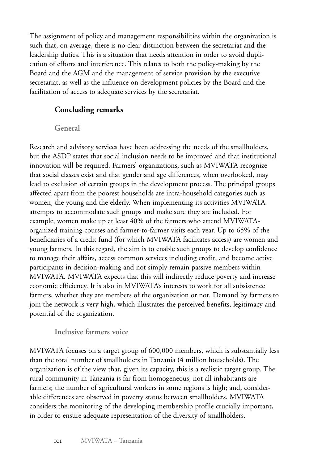The assignment of policy and management responsibilities within the organization is such that, on average, there is no clear distinction between the secretariat and the leadership duties. This is a situation that needs attention in order to avoid duplication of efforts and interference. This relates to both the policy-making by the Board and the AGM and the management of service provision by the executive secretariat, as well as the influence on development policies by the Board and the facilitation of access to adequate services by the secretariat.

## **Concluding remarks**

#### **General**

Research and advisory services have been addressing the needs of the smallholders, but the ASDP states that social inclusion needs to be improved and that institutional innovation will be required. Farmers' organizations, such as MVIWATA recognize that social classes exist and that gender and age differences, when overlooked, may lead to exclusion of certain groups in the development process. The principal groups affected apart from the poorest households are intra-household categories such as women, the young and the elderly. When implementing its activities MVIWATA attempts to accommodate such groups and make sure they are included. For example, women make up at least 40% of the farmers who attend MVIWATAorganized training courses and farmer-to-farmer visits each year. Up to 65% of the beneficiaries of a credit fund (for which MVIWATA facilitates access) are women and young farmers. In this regard, the aim is to enable such groups to develop confidence to manage their affairs, access common services including credit, and become active participants in decision-making and not simply remain passive members within MVIWATA. MVIWATA expects that this will indirectly reduce poverty and increase economic efficiency. It is also in MVIWATA's interests to work for all subsistence farmers, whether they are members of the organization or not. Demand by farmers to join the network is very high, which illustrates the perceived benefits, legitimacy and potential of the organization.

#### **Inclusive farmers voice**

MVIWATA focuses on a target group of 600,000 members, which is substantially less than the total number of smallholders in Tanzania (4 million households). The organization is of the view that, given its capacity, this is a realistic target group. The rural community in Tanzania is far from homogeneous; not all inhabitants are farmers; the number of agricultural workers in some regions is high; and, considerable differences are observed in poverty status between smallholders. MVIWATA considers the monitoring of the developing membership profile crucially important, in order to ensure adequate representation of the diversity of smallholders.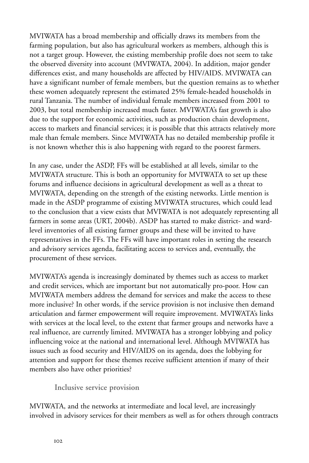MVIWATA has a broad membership and officially draws its members from the farming population, but also has agricultural workers as members, although this is not a target group. However, the existing membership profile does not seem to take the observed diversity into account (MVIWATA, 2004). In addition, major gender differences exist, and many households are affected by HIV/AIDS. MVIWATA can have a significant number of female members, but the question remains as to whether these women adequately represent the estimated 25% female-headed households in rural Tanzania. The number of individual female members increased from 2001 to 2003, but total membership increased much faster. MVIWATA's fast growth is also due to the support for economic activities, such as production chain development, access to markets and financial services; it is possible that this attracts relatively more male than female members. Since MVIWATA has no detailed membership profile it is not known whether this is also happening with regard to the poorest farmers.

In any case, under the ASDP, FFs will be established at all levels, similar to the MVIWATA structure. This is both an opportunity for MVIWATA to set up these forums and influence decisions in agricultural development as well as a threat to MVIWATA, depending on the strength of the existing networks. Little mention is made in the ASDP programme of existing MVIWATA structures, which could lead to the conclusion that a view exists that MVIWATA is not adequately representing all farmers in some areas (URT, 2004b). ASDP has started to make district- and wardlevel inventories of all existing farmer groups and these will be invited to have representatives in the FFs. The FFs will have important roles in setting the research and advisory services agenda, facilitating access to services and, eventually, the procurement of these services.

MVIWATA's agenda is increasingly dominated by themes such as access to market and credit services, which are important but not automatically pro-poor. How can MVIWATA members address the demand for services and make the access to these more inclusive? In other words, if the service provision is not inclusive then demand articulation and farmer empowerment will require improvement. MVIWATA's links with services at the local level, to the extent that farmer groups and networks have a real influence, are currently limited. MVIWATA has a stronger lobbying and policy influencing voice at the national and international level. Although MVIWATA has issues such as food security and HIV/AIDS on its agenda, does the lobbying for attention and support for these themes receive sufficient attention if many of their members also have other priorities?

**Inclusive service provision**

MVIWATA, and the networks at intermediate and local level, are increasingly involved in advisory services for their members as well as for others through contracts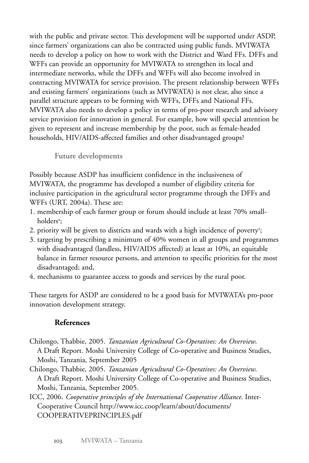with the public and private sector. This development will be supported under ASDP, since farmers' organizations can also be contracted using public funds. MVIWATA needs to develop a policy on how to work with the District and Ward FFs. DFFs and WFFs can provide an opportunity for MVIWATA to strengthen its local and intermediate networks, while the DFFs and WFFs will also become involved in contracting MVIWATA for service provision. The present relationship between WFFs and existing farmers' organizations (such as MVIWATA) is not clear, also since a parallel structure appears to be forming with WFFs, DFFs and National FFs. MVIWATA also needs to develop a policy in terms of pro-poor research and advisory service provision for innovation in general. For example, how will special attention be given to represent and increase membership by the poor, such as female-headed households, HIV/AIDS-affected families and other disadvantaged groups?

## **Future developments**

Possibly because ASDP has insufficient confidence in the inclusiveness of MVIWATA, the programme has developed a number of eligibility criteria for inclusive participation in the agricultural sector programme through the DFFs and WFFs (URT, 2004a). These are:

- 1. membership of each farmer group or forum should include at least 70% smallholders<sup>4</sup>;
- 2. priority will be given to districts and wards with a high incidence of poverty<sup>5</sup>;
- 3. targeting by prescribing a minimum of 40% women in all groups and programmes with disadvantaged (landless, HIV/AIDS affected) at least at 10%, an equitable balance in farmer resource persons, and attention to specific priorities for the most disadvantaged; and,
- 4. mechanisms to guarantee access to goods and services by the rural poor.

These targets for ASDP are considered to be a good basis for MVIWATA's pro-poor innovation development strategy.

## **References**

- Chilongo, Thabbie, 2005. *Tanzanian Agricultural Co-Operatives: An Overview*. A Draft Report. Moshi University College of Co-operative and Business Studies, Moshi, Tanzania, September 2005
- Chilongo, Thabbie, 2005. *Tanzanian Agricultural Co-Operatives: An Overview*. A Draft Report. Moshi University College of Co-operative and Business Studies, Moshi, Tanzania, September 2005.
- ICC, 2006. *Cooperative principles of the International Cooperative Alliance*. Inter-Cooperative Council http://www.icc.coop/learn/about/documents/ COOPERATIVEPRINCIPLES.pdf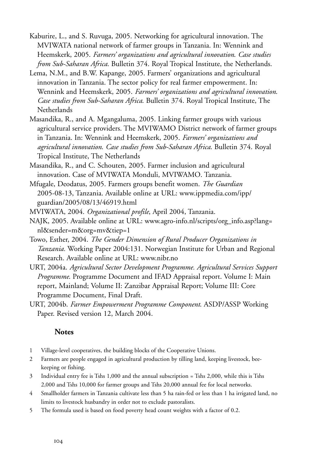- Kaburire, L., and S. Ruvuga, 2005. Networking for agricultural innovation. The MVIWATA national network of farmer groups in Tanzania. In: Wennink and Heemskerk, 2005. *Farmers' organizations and agricultural innovation*. *Case studies from Sub-Saharan Africa*. Bulletin 374. Royal Tropical Institute, the Netherlands.
- Lema, N.M., and B.W. Kapange, 2005. Farmers' organizations and agricultural innovation in Tanzania. The sector policy for real farmer empowerment. In: Wennink and Heemskerk, 2005. *Farmers' organizations and agricultural innovation*. *Case studies from Sub-Saharan Africa*. Bulletin 374. Royal Tropical Institute, The **Netherlands**
- Masandika, R., and A. Mgangaluma, 2005. Linking farmer groups with various agricultural service providers. The MVIWAMO District network of farmer groups in Tanzania. In: Wennink and Heemskerk, 2005. *Farmers' organizations and agricultural innovation*. *Case studies from Sub-Saharan Africa*. Bulletin 374. Royal Tropical Institute, The Netherlands
- Masandika, R., and C. Schouten, 2005. Farmer inclusion and agricultural innovation. Case of MVIWATA Monduli, MVIWAMO. Tanzania.
- Mfugale, Deodatus, 2005. Farmers groups benefit women. *The Guardian* 2005-08-13, Tanzania. Available online at URL: www.ippmedia.com/ipp/ guardian/2005/08/13/46919.html
- MVIWATA, 2004. *Organizational profile*, April 2004, Tanzania.
- NAJK, 2005. Available online at URL: www.agro-info.nl/scripts/org\_info.asp?lang= nl&sender=m&org=mv&tiep=1
- Towo, Esther, 2004. *The Gender Dimension of Rural Producer Organizations in Tanzania.* Working Paper 2004:131. Norwegian Institute for Urban and Regional Research. Available online at URL: www.nibr.no
- URT, 2004a. *Agricultural Sector Development Programme. Agricultural Services Support Programme*. Programme Document and IFAD Appraisal report. Volume I: Main report, Mainland; Volume II: Zanzibar Appraisal Report; Volume III: Core Programme Document, Final Draft.
- URT, 2004b. *Farmer Empowerment Programme Component*. ASDP/ASSP Working Paper. Revised version 12, March 2004.

#### **Notes**

- 1 Village-level cooperatives, the building blocks of the Cooperative Unions.
- 2 Farmers are people engaged in agricultural production by tilling land, keeping livestock, beekeeping or fishing.
- 3 Individual entry fee is Tshs 1,000 and the annual subscription = Tshs 2,000, while this is Tshs 2,000 and Tshs 10,000 for farmer groups and Tshs 20,000 annual fee for local networks.
- 4 Smallholder farmers in Tanzania cultivate less than 5 ha rain-fed or less than 1 ha irrigated land, no limits to livestock husbandry in order not to exclude pastoralists.
- 5 The formula used is based on food poverty head count weights with a factor of 0.2.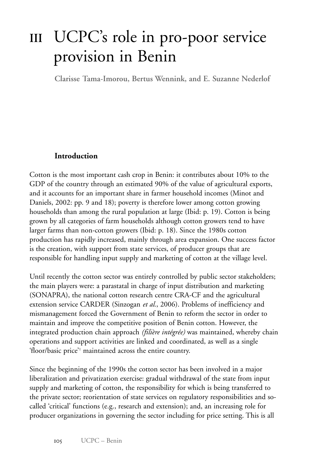# **III** UCPC's role in pro-poor service provision in Benin

**Clarisse Tama-Imorou, Bertus Wennink, and E. Suzanne Nederlof**

#### **Introduction**

Cotton is the most important cash crop in Benin: it contributes about 10% to the GDP of the country through an estimated 90% of the value of agricultural exports, and it accounts for an important share in farmer household incomes (Minot and Daniels, 2002: pp. 9 and 18); poverty is therefore lower among cotton growing households than among the rural population at large (Ibid: p. 19). Cotton is being grown by all categories of farm households although cotton growers tend to have larger farms than non-cotton growers (Ibid: p. 18). Since the 1980s cotton production has rapidly increased, mainly through area expansion. One success factor is the creation, with support from state services, of producer groups that are responsible for handling input supply and marketing of cotton at the village level.

Until recently the cotton sector was entirely controlled by public sector stakeholders; the main players were: a parastatal in charge of input distribution and marketing (SONAPRA), the national cotton research centre CRA-CF and the agricultural extension service CARDER (Sinzogan *et al.*, 2006). Problems of inefficiency and mismanagement forced the Government of Benin to reform the sector in order to maintain and improve the competitive position of Benin cotton. However, the integrated production chain approach *(filière intégrée)* was maintained, whereby chain operations and support activities are linked and coordinated, as well as a single 'floor/basic price'1 maintained across the entire country.

Since the beginning of the 1990s the cotton sector has been involved in a major liberalization and privatization exercise: gradual withdrawal of the state from input supply and marketing of cotton, the responsibility for which is being transferred to the private sector; reorientation of state services on regulatory responsibilities and socalled 'critical' functions (e.g., research and extension); and, an increasing role for producer organizations in governing the sector including for price setting. This is all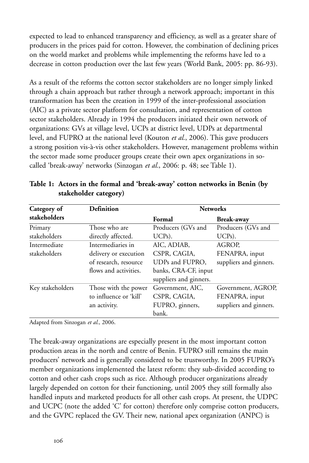expected to lead to enhanced transparency and efficiency, as well as a greater share of producers in the prices paid for cotton. However, the combination of declining prices on the world market and problems while implementing the reforms have led to a decrease in cotton production over the last few years (World Bank, 2005: pp. 86-93).

As a result of the reforms the cotton sector stakeholders are no longer simply linked through a chain approach but rather through a network approach; important in this transformation has been the creation in 1999 of the inter-professional association (AIC) as a private sector platform for consultation, and representation of cotton sector stakeholders. Already in 1994 the producers initiated their own network of organizations: GVs at village level, UCPs at district level, UDPs at departmental level, and FUPRO at the national level (Kouton *et al.*, 2006). This gave producers a strong position vis-à-vis other stakeholders. However, management problems within the sector made some producer groups create their own apex organizations in socalled 'break-away' networks (Sinzogan *et al.*, 2006: p. 48; see Table 1).

| <b>Definition</b><br>Category of |                        | <b>Networks</b>        |                        |  |
|----------------------------------|------------------------|------------------------|------------------------|--|
| stakeholders                     |                        | Formal                 | <b>Break-away</b>      |  |
| Primary                          | Those who are          | Producers (GVs and     | Producers (GVs and     |  |
| stakeholders                     | directly affected.     | $UCPs$ ).              | $UCPs$ ).              |  |
| Intermediate                     | Intermediaries in      | AIC, ADIAB,            | AGROP,                 |  |
| stakeholders                     | delivery or execution  | CSPR, CAGIA,           | FENAPRA, input         |  |
|                                  | of research, resource  | UDPs and FUPRO,        | suppliers and ginners. |  |
|                                  | flows and activities.  | banks, CRA-CF, input   |                        |  |
|                                  |                        | suppliers and ginners. |                        |  |
| Key stakeholders                 | Those with the power   | Government, AIC,       | Government, AGROP,     |  |
|                                  | to influence or 'kill' | CSPR, CAGIA,           | FENAPRA, input         |  |
|                                  | an activity.           | FUPRO, ginners,        | suppliers and ginners. |  |
|                                  |                        | bank.                  |                        |  |

**Table 1: Actors in the formal and 'break-away' cotton networks in Benin (by stakeholder category)**

Adapted from Sinzogan *et al.*, 2006.

The break-away organizations are especially present in the most important cotton production areas in the north and centre of Benin. FUPRO still remains the main producers' network and is generally considered to be trustworthy. In 2005 FUPRO's member organizations implemented the latest reform: they sub-divided according to cotton and other cash crops such as rice. Although producer organizations already largely depended on cotton for their functioning, until 2005 they still formally also handled inputs and marketed products for all other cash crops. At present, the UDPC and UCPC (note the added 'C' for cotton) therefore only comprise cotton producers, and the GVPC replaced the GV. Their new, national apex organization (ANPC) is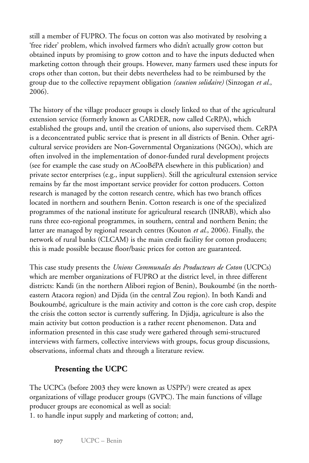still a member of FUPRO. The focus on cotton was also motivated by resolving a 'free rider' problem, which involved farmers who didn't actually grow cotton but obtained inputs by promising to grow cotton and to have the inputs deducted when marketing cotton through their groups. However, many farmers used these inputs for crops other than cotton, but their debts nevertheless had to be reimbursed by the group due to the collective repayment obligation *(caution solidaire)* (Sinzogan *et al.*, 2006).

The history of the village producer groups is closely linked to that of the agricultural extension service (formerly known as CARDER, now called CeRPA), which established the groups and, until the creation of unions, also supervised them. CeRPA is a deconcentrated public service that is present in all districts of Benin. Other agricultural service providers are Non-Governmental Organizations (NGOs), which are often involved in the implementation of donor-funded rural development projects (see for example the case study on ACooBéPA elsewhere in this publication) and private sector enterprises (e.g., input suppliers). Still the agricultural extension service remains by far the most important service provider for cotton producers. Cotton research is managed by the cotton research centre, which has two branch offices located in northern and southern Benin. Cotton research is one of the specialized programmes of the national institute for agricultural research (INRAB), which also runs three eco-regional programmes, in southern, central and northern Benin; the latter are managed by regional research centres (Kouton *et al.*, 2006). Finally, the network of rural banks (CLCAM) is the main credit facility for cotton producers; this is made possible because floor/basic prices for cotton are guaranteed.

This case study presents the *Unions Communales des Producteurs de Coton* (UCPCs) which are member organizations of FUPRO at the district level, in three different districts: Kandi (in the northern Alibori region of Benin), Boukoumbé (in the northeastern Atacora region) and Djida (in the central Zou region). In both Kandi and Boukoumbé, agriculture is the main activity and cotton is the core cash crop, despite the crisis the cotton sector is currently suffering. In Djidja, agriculture is also the main activity but cotton production is a rather recent phenomenon. Data and information presented in this case study were gathered through semi-structured interviews with farmers, collective interviews with groups, focus group discussions, observations, informal chats and through a literature review.

# **Presenting the UCPC**

The UCPCs (before 2003 they were known as USPPs<sup>2</sup>) were created as apex organizations of village producer groups (GVPC). The main functions of village producer groups are economical as well as social:

1. to handle input supply and marketing of cotton; and,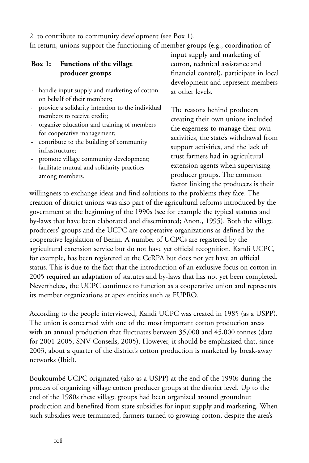2. to contribute to community development (see Box 1).

In return, unions support the functioning of member groups (e.g., coordination of

## **Box 1: Functions of the village producer groups**

- handle input supply and marketing of cotton on behalf of their members;
- provide a solidarity intention to the individual members to receive credit;
- organize education and training of members for cooperative management;
- contribute to the building of community infrastructure;
- promote village community development;
- facilitate mutual and solidarity practices among members.

input supply and marketing of cotton, technical assistance and financial control), participate in local development and represent members at other levels.

The reasons behind producers creating their own unions included the eagerness to manage their own activities, the state's withdrawal from support activities, and the lack of trust farmers had in agricultural extension agents when supervising producer groups. The common factor linking the producers is their

willingness to exchange ideas and find solutions to the problems they face. The creation of district unions was also part of the agricultural reforms introduced by the government at the beginning of the 1990s (see for example the typical statutes and by-laws that have been elaborated and disseminated; Anon., 1995). Both the village producers' groups and the UCPC are cooperative organizations as defined by the cooperative legislation of Benin. A number of UCPCs are registered by the agricultural extension service but do not have yet official recognition. Kandi UCPC, for example, has been registered at the CeRPA but does not yet have an official status. This is due to the fact that the introduction of an exclusive focus on cotton in 2005 required an adaptation of statutes and by-laws that has not yet been completed. Nevertheless, the UCPC continues to function as a cooperative union and represents its member organizations at apex entities such as FUPRO.

According to the people interviewed, Kandi UCPC was created in 1985 (as a USPP). The union is concerned with one of the most important cotton production areas with an annual production that fluctuates between 35,000 and 45,000 tonnes (data for 2001-2005; SNV Conseils, 2005). However, it should be emphasized that, since 2003, about a quarter of the district's cotton production is marketed by break-away networks (Ibid).

Boukoumbé UCPC originated (also as a USPP) at the end of the 1990s during the process of organizing village cotton producer groups at the district level. Up to the end of the 1980s these village groups had been organized around groundnut production and benefited from state subsidies for input supply and marketing. When such subsidies were terminated, farmers turned to growing cotton, despite the area's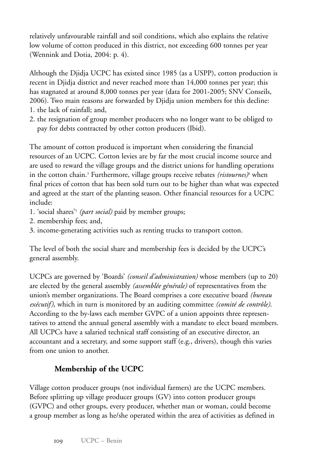relatively unfavourable rainfall and soil conditions, which also explains the relative low volume of cotton produced in this district, not exceeding 600 tonnes per year (Wennink and Dotia, 2004: p. 4).

Although the Djidja UCPC has existed since 1985 (as a USPP), cotton production is recent in Djidja district and never reached more than 14,000 tonnes per year; this has stagnated at around 8,000 tonnes per year (data for 2001-2005; SNV Conseils, 2006). Two main reasons are forwarded by Djidja union members for this decline: 1. the lack of rainfall; and,

2. the resignation of group member producers who no longer want to be obliged to pay for debts contracted by other cotton producers (Ibid).

The amount of cotton produced is important when considering the financial resources of an UCPC. Cotton levies are by far the most crucial income source and are used to reward the village groups and the district unions for handling operations in the cotton chain.<sup>3</sup> Furthermore, village groups receive rebates *(ristournes)*<sup>4</sup> when final prices of cotton that has been sold turn out to be higher than what was expected and agreed at the start of the planting season. Other financial resources for a UCPC include:

- 1. 'social shares'5 *(part social)* paid by member groups;
- 2. membership fees; and,
- 3. income-generating activities such as renting trucks to transport cotton.

The level of both the social share and membership fees is decided by the UCPC's general assembly.

UCPCs are governed by 'Boards' *(conseil d'administration)* whose members (up to 20) are elected by the general assembly *(assemblée générale)* of representatives from the union's member organizations. The Board comprises a core executive board *(bureau exécutif)*, which in turn is monitored by an auditing committee *(comité de contrôle)*. According to the by-laws each member GVPC of a union appoints three representatives to attend the annual general assembly with a mandate to elect board members. All UCPCs have a salaried technical staff consisting of an executive director, an accountant and a secretary, and some support staff (e.g., drivers), though this varies from one union to another.

# **Membership of the UCPC**

Village cotton producer groups (not individual farmers) are the UCPC members. Before splitting up village producer groups (GV) into cotton producer groups (GVPC) and other groups, every producer, whether man or woman, could become a group member as long as he/she operated within the area of activities as defined in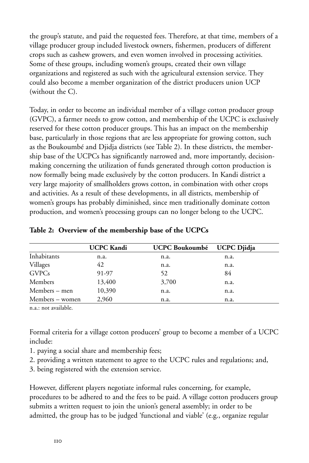the group's statute, and paid the requested fees. Therefore, at that time, members of a village producer group included livestock owners, fishermen, producers of different crops such as cashew growers, and even women involved in processing activities. Some of these groups, including women's groups, created their own village organizations and registered as such with the agricultural extension service. They could also become a member organization of the district producers union UCP (without the C).

Today, in order to become an individual member of a village cotton producer group (GVPC), a farmer needs to grow cotton, and membership of the UCPC is exclusively reserved for these cotton producer groups. This has an impact on the membership base, particularly in those regions that are less appropriate for growing cotton, such as the Boukoumbé and Djidja districts (see Table 2). In these districts, the membership base of the UCPCs has significantly narrowed and, more importantly, decisionmaking concerning the utilization of funds generated through cotton production is now formally being made exclusively by the cotton producers. In Kandi district a very large majority of smallholders grows cotton, in combination with other crops and activities. As a result of these developments, in all districts, membership of women's groups has probably diminished, since men traditionally dominate cotton production, and women's processing groups can no longer belong to the UCPC.

|                 | <b>UCPC Kandi</b> | UCPC Boukoumbé | UCPC Djidja |
|-----------------|-------------------|----------------|-------------|
| Inhabitants     | n.a.              | n.a.           | n.a.        |
| Villages        | 42                | n.a.           | n.a.        |
| <b>GVPCs</b>    | 91-97             | 52             | 84          |
| <b>Members</b>  | 13,400            | 3,700          | n.a.        |
| Members – men   | 10,390            | n.a.           | n.a.        |
| Members - women | 2,960             | n.a.           | n.a.        |

**Table 2: Overview of the membership base of the UCPCs**

n.a.: not available.

Formal criteria for a village cotton producers' group to become a member of a UCPC include:

- 1. paying a social share and membership fees;
- 2. providing a written statement to agree to the UCPC rules and regulations; and,
- 3. being registered with the extension service.

However, different players negotiate informal rules concerning, for example, procedures to be adhered to and the fees to be paid. A village cotton producers group submits a written request to join the union's general assembly; in order to be admitted, the group has to be judged 'functional and viable' (e.g., organize regular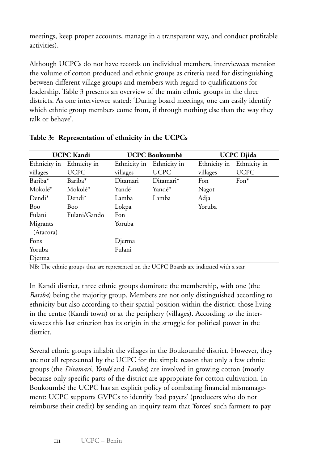meetings, keep proper accounts, manage in a transparent way, and conduct profitable activities).

Although UCPCs do not have records on individual members, interviewees mention the volume of cotton produced and ethnic groups as criteria used for distinguishing between different village groups and members with regard to qualifications for leadership. Table 3 presents an overview of the main ethnic groups in the three districts. As one interviewee stated: 'During board meetings, one can easily identify which ethnic group members come from, if through nothing else than the way they talk or behave'.

| <b>UCPC Kandi</b>  |                    | <b>UCPC Boukoumbé</b> |              | <b>UCPC</b> Djida |              |
|--------------------|--------------------|-----------------------|--------------|-------------------|--------------|
| Ethnicity in       | Ethnicity in       | Ethnicity in          | Ethnicity in | Ethnicity in      | Ethnicity in |
| villages           | <b>UCPC</b>        | villages              | <b>UCPC</b>  | villages          | <b>UCPC</b>  |
| Bariba*            | Bariba*            | Ditamari              | Ditamari*    | Fon               | $Fon^*$      |
| Mokolé*            | Mokolé*            | Yandé                 | Yandé*       | Nagot             |              |
| Dendi <sup>*</sup> | Dendi <sup>*</sup> | Lamba                 | Lamba        | Adja              |              |
| Boo                | Boo                | Lokpa                 |              | Yoruba            |              |
| Fulani             | Fulani/Gando       | Fon                   |              |                   |              |
| Migrants           |                    | Yoruba                |              |                   |              |
| (Atacora)          |                    |                       |              |                   |              |
| Fons               |                    | Djerma                |              |                   |              |
| Yoruba             |                    | Fulani                |              |                   |              |
| Dierma             |                    |                       |              |                   |              |

## **Table 3: Representation of ethnicity in the UCPCs**

NB: The ethnic groups that are represented on the UCPC Boards are indicated with a star.

In Kandi district, three ethnic groups dominate the membership, with one (the *Bariba*) being the majority group. Members are not only distinguished according to ethnicity but also according to their spatial position within the district: those living in the centre (Kandi town) or at the periphery (villages). According to the interviewees this last criterion has its origin in the struggle for political power in the district.

Several ethnic groups inhabit the villages in the Boukoumbé district. However, they are not all represented by the UCPC for the simple reason that only a few ethnic groups (the *Ditamari*, *Yandé* and *Lamba*) are involved in growing cotton (mostly because only specific parts of the district are appropriate for cotton cultivation. In Boukoumbé the UCPC has an explicit policy of combating financial mismanagement: UCPC supports GVPCs to identify 'bad payers' (producers who do not reimburse their credit) by sending an inquiry team that 'forces' such farmers to pay.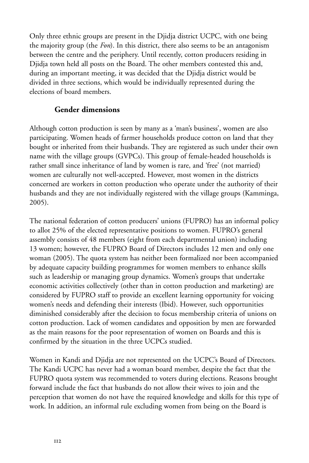Only three ethnic groups are present in the Djidja district UCPC, with one being the majority group (the *Fon*). In this district, there also seems to be an antagonism between the centre and the periphery. Until recently, cotton producers residing in Djidja town held all posts on the Board. The other members contested this and, during an important meeting, it was decided that the Djidja district would be divided in three sections, which would be individually represented during the elections of board members.

#### **Gender dimensions**

Although cotton production is seen by many as a 'man's business', women are also participating. Women heads of farmer households produce cotton on land that they bought or inherited from their husbands. They are registered as such under their own name with the village groups (GVPCs). This group of female-headed households is rather small since inheritance of land by women is rare, and 'free' (not married) women are culturally not well-accepted. However, most women in the districts concerned are workers in cotton production who operate under the authority of their husbands and they are not individually registered with the village groups (Kamminga, 2005).

The national federation of cotton producers' unions (FUPRO) has an informal policy to allot 25% of the elected representative positions to women. FUPRO's general assembly consists of 48 members (eight from each departmental union) including 13 women; however, the FUPRO Board of Directors includes 12 men and only one woman (2005). The quota system has neither been formalized nor been accompanied by adequate capacity building programmes for women members to enhance skills such as leadership or managing group dynamics. Women's groups that undertake economic activities collectively (other than in cotton production and marketing) are considered by FUPRO staff to provide an excellent learning opportunity for voicing women's needs and defending their interests (Ibid). However, such opportunities diminished considerably after the decision to focus membership criteria of unions on cotton production. Lack of women candidates and opposition by men are forwarded as the main reasons for the poor representation of women on Boards and this is confirmed by the situation in the three UCPCs studied.

Women in Kandi and Djidja are not represented on the UCPC's Board of Directors. The Kandi UCPC has never had a woman board member, despite the fact that the FUPRO quota system was recommended to voters during elections. Reasons brought forward include the fact that husbands do not allow their wives to join and the perception that women do not have the required knowledge and skills for this type of work. In addition, an informal rule excluding women from being on the Board is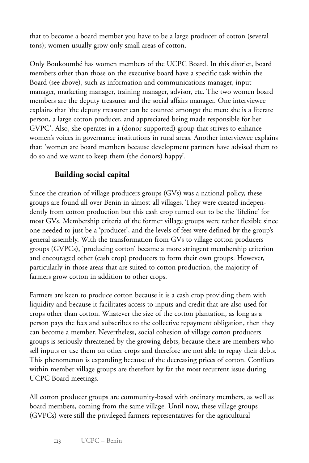that to become a board member you have to be a large producer of cotton (several tons); women usually grow only small areas of cotton.

Only Boukoumbé has women members of the UCPC Board. In this district, board members other than those on the executive board have a specific task within the Board (see above), such as information and communications manager, input manager, marketing manager, training manager, advisor, etc. The two women board members are the deputy treasurer and the social affairs manager. One interviewee explains that 'the deputy treasurer can be counted amongst the men: she is a literate person, a large cotton producer, and appreciated being made responsible for her GVPC'. Also, she operates in a (donor-supported) group that strives to enhance women's voices in governance institutions in rural areas. Another interviewee explains that: 'women are board members because development partners have advised them to do so and we want to keep them (the donors) happy'.

# **Building social capital**

Since the creation of village producers groups (GVs) was a national policy, these groups are found all over Benin in almost all villages. They were created independently from cotton production but this cash crop turned out to be the 'lifeline' for most GVs. Membership criteria of the former village groups were rather flexible since one needed to just be a 'producer', and the levels of fees were defined by the group's general assembly. With the transformation from GVs to village cotton producers groups (GVPCs), 'producing cotton' became a more stringent membership criterion and encouraged other (cash crop) producers to form their own groups. However, particularly in those areas that are suited to cotton production, the majority of farmers grow cotton in addition to other crops.

Farmers are keen to produce cotton because it is a cash crop providing them with liquidity and because it facilitates access to inputs and credit that are also used for crops other than cotton. Whatever the size of the cotton plantation, as long as a person pays the fees and subscribes to the collective repayment obligation, then they can become a member. Nevertheless, social cohesion of village cotton producers groups is seriously threatened by the growing debts, because there are members who sell inputs or use them on other crops and therefore are not able to repay their debts. This phenomenon is expanding because of the decreasing prices of cotton. Conflicts within member village groups are therefore by far the most recurrent issue during UCPC Board meetings.

All cotton producer groups are community-based with ordinary members, as well as board members, coming from the same village. Until now, these village groups (GVPCs) were still the privileged farmers representatives for the agricultural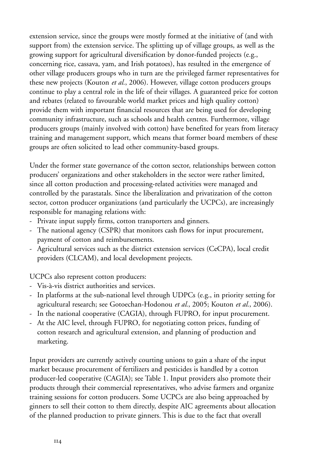extension service, since the groups were mostly formed at the initiative of (and with support from) the extension service. The splitting up of village groups, as well as the growing support for agricultural diversification by donor-funded projects (e.g., concerning rice, cassava, yam, and Irish potatoes), has resulted in the emergence of other village producers groups who in turn are the privileged farmer representatives for these new projects (Kouton *et al.*, 2006). However, village cotton producers groups continue to play a central role in the life of their villages. A guaranteed price for cotton and rebates (related to favourable world market prices and high quality cotton) provide them with important financial resources that are being used for developing community infrastructure, such as schools and health centres. Furthermore, village producers groups (mainly involved with cotton) have benefited for years from literacy training and management support, which means that former board members of these groups are often solicited to lead other community-based groups.

Under the former state governance of the cotton sector, relationships between cotton producers' organizations and other stakeholders in the sector were rather limited, since all cotton production and processing-related activities were managed and controlled by the parastatals. Since the liberalization and privatization of the cotton sector, cotton producer organizations (and particularly the UCPCs), are increasingly responsible for managing relations with:

- Private input supply firms, cotton transporters and ginners.
- The national agency (CSPR) that monitors cash flows for input procurement, payment of cotton and reimbursements.
- Agricultural services such as the district extension services (CeCPA), local credit providers (CLCAM), and local development projects.

UCPCs also represent cotton producers:

- Vis-à-vis district authorities and services.
- In platforms at the sub-national level through UDPCs (e.g., in priority setting for agricultural research; see Gotoechan-Hodonou *et al.*, 2005; Kouton *et al.*, 2006).
- In the national cooperative (CAGIA), through FUPRO, for input procurement.
- At the AIC level, through FUPRO, for negotiating cotton prices, funding of cotton research and agricultural extension, and planning of production and marketing.

Input providers are currently actively courting unions to gain a share of the input market because procurement of fertilizers and pesticides is handled by a cotton producer-led cooperative (CAGIA); see Table 1. Input providers also promote their products through their commercial representatives, who advise farmers and organize training sessions for cotton producers. Some UCPCs are also being approached by ginners to sell their cotton to them directly, despite AIC agreements about allocation of the planned production to private ginners. This is due to the fact that overall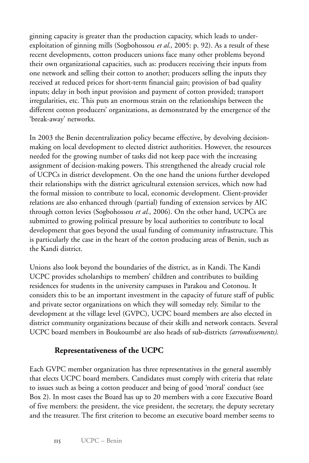ginning capacity is greater than the production capacity, which leads to underexploitation of ginning mills (Sogbohossou *et al.*, 2005: p. 92). As a result of these recent developments, cotton producers unions face many other problems beyond their own organizational capacities, such as: producers receiving their inputs from one network and selling their cotton to another; producers selling the inputs they received at reduced prices for short-term financial gain; provision of bad quality inputs; delay in both input provision and payment of cotton provided; transport irregularities, etc. This puts an enormous strain on the relationships between the different cotton producers' organizations, as demonstrated by the emergence of the 'break-away' networks.

In 2003 the Benin decentralization policy became effective, by devolving decisionmaking on local development to elected district authorities. However, the resources needed for the growing number of tasks did not keep pace with the increasing assignment of decision-making powers. This strengthened the already crucial role of UCPCs in district development. On the one hand the unions further developed their relationships with the district agricultural extension services, which now had the formal mission to contribute to local, economic development. Client-provider relations are also enhanced through (partial) funding of extension services by AIC through cotton levies (Sogbohossou *et al.*, 2006). On the other hand, UCPCs are submitted to growing political pressure by local authorities to contribute to local development that goes beyond the usual funding of community infrastructure. This is particularly the case in the heart of the cotton producing areas of Benin, such as the Kandi district.

Unions also look beyond the boundaries of the district, as in Kandi. The Kandi UCPC provides scholarships to members' children and contributes to building residences for students in the university campuses in Parakou and Cotonou. It considers this to be an important investment in the capacity of future staff of public and private sector organizations on which they will someday rely. Similar to the development at the village level (GVPC), UCPC board members are also elected in district community organizations because of their skills and network contacts. Several UCPC board members in Boukoumbé are also heads of sub-districts *(arrondissements)*.

## **Representativeness of the UCPC**

Each GVPC member organization has three representatives in the general assembly that elects UCPC board members. Candidates must comply with criteria that relate to issues such as being a cotton producer and being of good 'moral' conduct (see Box 2). In most cases the Board has up to 20 members with a core Executive Board of five members: the president, the vice president, the secretary, the deputy secretary and the treasurer. The first criterion to become an executive board member seems to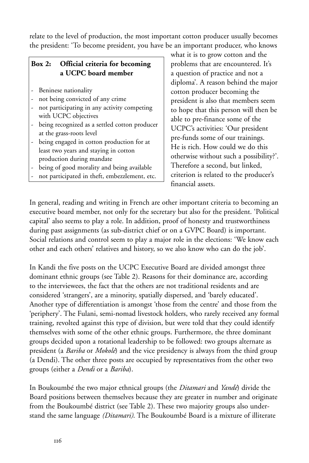relate to the level of production, the most important cotton producer usually becomes the president: 'To become president, you have be an important producer, who knows

#### **Box 2: Official criteria for becoming a UCPC board member**

- Beninese nationality
- not being convicted of any crime
- not participating in any activity competing with UCPC objectives
- being recognized as a settled cotton producer at the grass-roots level
- being engaged in cotton production for at least two years and staying in cotton production during mandate
- being of good morality and being available
- not participated in theft, embezzlement, etc.

what it is to grow cotton and the problems that are encountered. It's a question of practice and not a diploma'. A reason behind the major cotton producer becoming the president is also that members seem to hope that this person will then be able to pre-finance some of the UCPC's activities: 'Our president pre-funds some of our trainings. He is rich. How could we do this otherwise without such a possibility?'. Therefore a second, but linked, criterion is related to the producer's financial assets.

In general, reading and writing in French are other important criteria to becoming an executive board member, not only for the secretary but also for the president. 'Political capital' also seems to play a role. In addition, proof of honesty and trustworthiness during past assignments (as sub-district chief or on a GVPC Board) is important. Social relations and control seem to play a major role in the elections: 'We know each other and each others' relatives and history, so we also know who can do the job'.

In Kandi the five posts on the UCPC Executive Board are divided amongst three dominant ethnic groups (see Table 2). Reasons for their dominance are, according to the interviewees, the fact that the others are not traditional residents and are considered 'strangers', are a minority, spatially dispersed, and 'barely educated'. Another type of differentiation is amongst 'those from the centre' and those from the 'periphery'. The Fulani, semi-nomad livestock holders, who rarely received any formal training, revolted against this type of division, but were told that they could identify themselves with some of the other ethnic groups. Furthermore, the three dominant groups decided upon a rotational leadership to be followed: two groups alternate as president (a *Bariba* or *Mokolé*) and the vice presidency is always from the third group (a Dendi). The other three posts are occupied by representatives from the other two groups (either a *Dendi* or a *Bariba*).

In Boukoumbé the two major ethnical groups (the *Ditamari* and *Yandé*) divide the Board positions between themselves because they are greater in number and originate from the Boukoumbé district (see Table 2). These two majority groups also understand the same language *(Ditamari)*. The Boukoumbé Board is a mixture of illiterate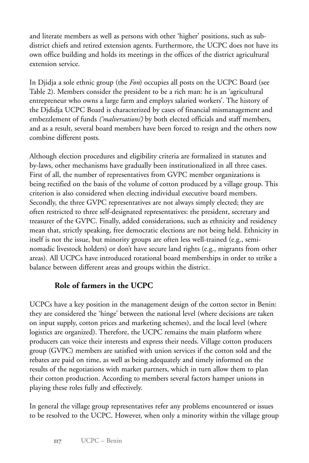and literate members as well as persons with other 'higher' positions, such as subdistrict chiefs and retired extension agents. Furthermore, the UCPC does not have its own office building and holds its meetings in the offices of the district agricultural extension service.

In Djidja a sole ethnic group (the *Fon*) occupies all posts on the UCPC Board (see Table 2). Members consider the president to be a rich man: he is an 'agricultural entrepreneur who owns a large farm and employs salaried workers'. The history of the Djdidja UCPC Board is characterized by cases of financial mismanagement and embezzlement of funds *('malversations')* by both elected officials and staff members, and as a result, several board members have been forced to resign and the others now combine different posts.

Although election procedures and eligibility criteria are formalized in statutes and by-laws, other mechanisms have gradually been institutionalized in all three cases. First of all, the number of representatives from GVPC member organizations is being rectified on the basis of the volume of cotton produced by a village group. This criterion is also considered when electing individual executive board members. Secondly, the three GVPC representatives are not always simply elected; they are often restricted to three self-designated representatives: the president, secretary and treasurer of the GVPC. Finally, added considerations, such as ethnicity and residency mean that, strictly speaking, free democratic elections are not being held. Ethnicity in itself is not the issue, but minority groups are often less well-trained (e.g., seminomadic livestock holders) or don't have secure land rights (e.g., migrants from other areas). All UCPCs have introduced rotational board memberships in order to strike a balance between different areas and groups within the district.

# **Role of farmers in the UCPC**

UCPCs have a key position in the management design of the cotton sector in Benin: they are considered the 'hinge' between the national level (where decisions are taken on input supply, cotton prices and marketing schemes), and the local level (where logistics are organized). Therefore, the UCPC remains the main platform where producers can voice their interests and express their needs. Village cotton producers group (GVPC) members are satisfied with union services if the cotton sold and the rebates are paid on time, as well as being adequately and timely informed on the results of the negotiations with market partners, which in turn allow them to plan their cotton production. According to members several factors hamper unions in playing these roles fully and effectively.

In general the village group representatives refer any problems encountered or issues to be resolved to the UCPC. However, when only a minority within the village group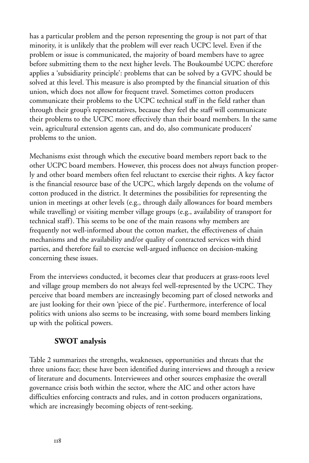has a particular problem and the person representing the group is not part of that minority, it is unlikely that the problem will ever reach UCPC level. Even if the problem or issue is communicated, the majority of board members have to agree before submitting them to the next higher levels. The Boukoumbé UCPC therefore applies a 'subsidiarity principle': problems that can be solved by a GVPC should be solved at this level. This measure is also prompted by the financial situation of this union, which does not allow for frequent travel. Sometimes cotton producers communicate their problems to the UCPC technical staff in the field rather than through their group's representatives, because they feel the staff will communicate their problems to the UCPC more effectively than their board members. In the same vein, agricultural extension agents can, and do, also communicate producers' problems to the union.

Mechanisms exist through which the executive board members report back to the other UCPC board members. However, this process does not always function properly and other board members often feel reluctant to exercise their rights. A key factor is the financial resource base of the UCPC, which largely depends on the volume of cotton produced in the district. It determines the possibilities for representing the union in meetings at other levels (e.g., through daily allowances for board members while travelling) or visiting member village groups (e.g., availability of transport for technical staff). This seems to be one of the main reasons why members are frequently not well-informed about the cotton market, the effectiveness of chain mechanisms and the availability and/or quality of contracted services with third parties, and therefore fail to exercise well-argued influence on decision-making concerning these issues.

From the interviews conducted, it becomes clear that producers at grass-roots level and village group members do not always feel well-represented by the UCPC. They perceive that board members are increasingly becoming part of closed networks and are just looking for their own 'piece of the pie'. Furthermore, interference of local politics with unions also seems to be increasing, with some board members linking up with the political powers.

## **SWOT analysis**

Table 2 summarizes the strengths, weaknesses, opportunities and threats that the three unions face; these have been identified during interviews and through a review of literature and documents. Interviewees and other sources emphasize the overall governance crisis both within the sector, where the AIC and other actors have difficulties enforcing contracts and rules, and in cotton producers organizations, which are increasingly becoming objects of rent-seeking.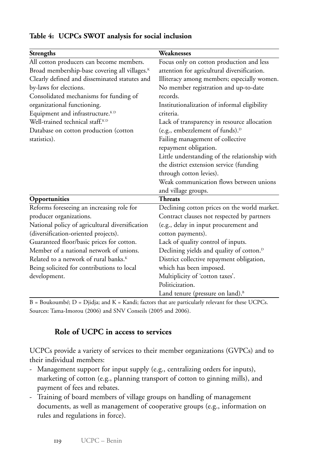| Strengths                                                 | Weaknesses                                           |
|-----------------------------------------------------------|------------------------------------------------------|
| All cotton producers can become members.                  | Focus only on cotton production and less             |
| Broad membership-base covering all villages. <sup>K</sup> | attention for agricultural diversification.          |
| Clearly defined and disseminated statutes and             | Illiteracy among members; especially women.          |
| by-laws for elections.                                    | No member registration and up-to-date                |
| Consolidated mechanisms for funding of                    | records.                                             |
| organizational functioning.                               | Institutionalization of informal eligibility         |
| Equipment and infrastructure. <sup>KD</sup>               | criteria.                                            |
| Well-trained technical staff. <sup>KD</sup>               | Lack of transparency in resource allocation          |
| Database on cotton production (cotton                     | (e.g., embezzlement of funds). <sup>D</sup>          |
| statistics).                                              | Failing management of collective                     |
|                                                           | repayment obligation.                                |
|                                                           | Little understanding of the relationship with        |
|                                                           | the district extension service (funding              |
|                                                           | through cotton levies).                              |
|                                                           | Weak communication flows between unions              |
|                                                           | and village groups.                                  |
| Opportunities                                             | <b>Threats</b>                                       |
| Reforms foreseeing an increasing role for                 | Declining cotton prices on the world market.         |
| producer organizations.                                   | Contract clauses not respected by partners           |
| National policy of agricultural diversification           | (e.g., delay in input procurement and                |
| (diversification-oriented projects).                      | cotton payments).                                    |
| Guaranteed floor/basic prices for cotton.                 | Lack of quality control of inputs.                   |
| Member of a national network of unions.                   | Declining yields and quality of cotton. <sup>D</sup> |
| Related to a network of rural banks. <sup>K</sup>         | District collective repayment obligation,            |
| Being solicited for contributions to local                | which has been imposed.                              |
| development.                                              | Multiplicity of 'cotton taxes'.                      |
|                                                           | Politicization.                                      |
|                                                           | Land tenure (pressure on land). <sup>B</sup>         |

## **Table 4: UCPCs SWOT analysis for social inclusion**

 $B =$  Boukoumbé;  $D =$  Djidja; and  $K =$  Kandi; factors that are particularly relevant for these UCPCs. Sources: Tama-Imorou (2006) and SNV Conseils (2005 and 2006).

# **Role of UCPC in access to services**

UCPCs provide a variety of services to their member organizations (GVPCs) and to their individual members:

- Management support for input supply (e.g., centralizing orders for inputs), marketing of cotton (e.g., planning transport of cotton to ginning mills), and payment of fees and rebates.
- Training of board members of village groups on handling of management documents, as well as management of cooperative groups (e.g., information on rules and regulations in force).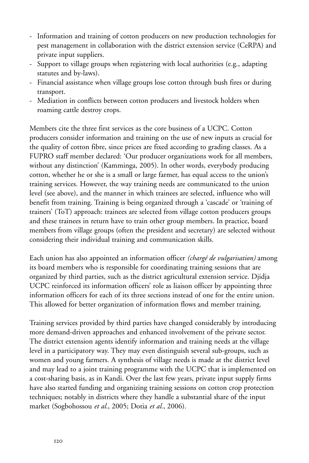- Information and training of cotton producers on new production technologies for pest management in collaboration with the district extension service (CeRPA) and private input suppliers.
- Support to village groups when registering with local authorities (e.g., adapting statutes and by-laws).
- Financial assistance when village groups lose cotton through bush fires or during transport.
- Mediation in conflicts between cotton producers and livestock holders when roaming cattle destroy crops.

Members cite the three first services as the core business of a UCPC. Cotton producers consider information and training on the use of new inputs as crucial for the quality of cotton fibre, since prices are fixed according to grading classes. As a FUPRO staff member declared: 'Our producer organizations work for all members, without any distinction' (Kamminga, 2005). In other words, everybody producing cotton, whether he or she is a small or large farmer, has equal access to the union's training services. However, the way training needs are communicated to the union level (see above), and the manner in which trainees are selected, influence who will benefit from training. Training is being organized through a 'cascade' or 'training of trainers' (ToT) approach: trainees are selected from village cotton producers groups and these trainees in return have to train other group members. In practice, board members from village groups (often the president and secretary) are selected without considering their individual training and communication skills.

Each union has also appointed an information officer *(chargé de vulgarisation)* among its board members who is responsible for coordinating training sessions that are organized by third parties, such as the district agricultural extension service. Djidja UCPC reinforced its information officers' role as liaison officer by appointing three information officers for each of its three sections instead of one for the entire union. This allowed for better organization of information flows and member training.

Training services provided by third parties have changed considerably by introducing more demand-driven approaches and enhanced involvement of the private sector. The district extension agents identify information and training needs at the village level in a participatory way. They may even distinguish several sub-groups, such as women and young farmers. A synthesis of village needs is made at the district level and may lead to a joint training programme with the UCPC that is implemented on a cost-sharing basis, as in Kandi. Over the last few years, private input supply firms have also started funding and organizing training sessions on cotton crop protection techniques; notably in districts where they handle a substantial share of the input market (Sogbohossou *et al.*, 2005; Dotia *et al.*, 2006).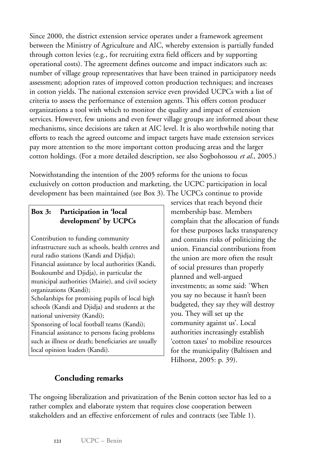Since 2000, the district extension service operates under a framework agreement between the Ministry of Agriculture and AIC, whereby extension is partially funded through cotton levies (e.g., for recruiting extra field officers and by supporting operational costs). The agreement defines outcome and impact indicators such as: number of village group representatives that have been trained in participatory needs assessment; adoption rates of improved cotton production techniques; and increases in cotton yields. The national extension service even provided UCPCs with a list of criteria to assess the performance of extension agents. This offers cotton producer organizations a tool with which to monitor the quality and impact of extension services. However, few unions and even fewer village groups are informed about these mechanisms, since decisions are taken at AIC level. It is also worthwhile noting that efforts to reach the agreed outcome and impact targets have made extension services pay more attention to the more important cotton producing areas and the larger cotton holdings. (For a more detailed description, see also Sogbohossou *et al.*, 2005.)

Notwithstanding the intention of the 2005 reforms for the unions to focus exclusively on cotton production and marketing, the UCPC participation in local development has been maintained (see Box 3). The UCPCs continue to provide

# **Box 3: Participation in 'local development' by UCPCs**

Contribution to funding community infrastructure such as schools, health centres and rural radio stations (Kandi and Djidja); Financial assistance by local authorities (Kandi, Boukoumbé and Djidja), in particular the municipal authorities (Mairie), and civil society organizations (Kandi); Scholarships for promising pupils of local high schools (Kandi and Djidja) and students at the national university (Kandi); Sponsoring of local football teams (Kandi); Financial assistance to persons facing problems such as illness or death; beneficiaries are usually local opinion leaders (Kandi).

services that reach beyond their membership base. Members complain that the allocation of funds for these purposes lacks transparency and contains risks of politicizing the union. Financial contributions from the union are more often the result of social pressures than properly planned and well-argued investments; as some said: 'When you say no because it hasn't been budgeted, they say they will destroy you. They will set up the community against us'. Local authorities increasingly establish 'cotton taxes' to mobilize resources for the municipality (Baltissen and Hilhorst, 2005: p. 39).

# **Concluding remarks**

The ongoing liberalization and privatization of the Benin cotton sector has led to a rather complex and elaborate system that requires close cooperation between stakeholders and an effective enforcement of rules and contracts (see Table 1).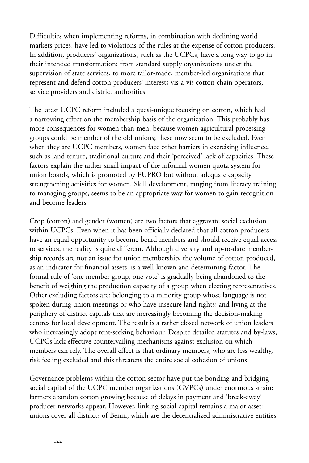Difficulties when implementing reforms, in combination with declining world markets prices, have led to violations of the rules at the expense of cotton producers. In addition, producers' organizations, such as the UCPCs, have a long way to go in their intended transformation: from standard supply organizations under the supervision of state services, to more tailor-made, member-led organizations that represent and defend cotton producers' interests vis-a-vis cotton chain operators, service providers and district authorities.

The latest UCPC reform included a quasi-unique focusing on cotton, which had a narrowing effect on the membership basis of the organization. This probably has more consequences for women than men, because women agricultural processing groups could be member of the old unions; these now seem to be excluded. Even when they are UCPC members, women face other barriers in exercising influence, such as land tenure, traditional culture and their 'perceived' lack of capacities. These factors explain the rather small impact of the informal women quota system for union boards, which is promoted by FUPRO but without adequate capacity strengthening activities for women. Skill development, ranging from literacy training to managing groups, seems to be an appropriate way for women to gain recognition and become leaders.

Crop (cotton) and gender (women) are two factors that aggravate social exclusion within UCPCs. Even when it has been officially declared that all cotton producers have an equal opportunity to become board members and should receive equal access to services, the reality is quite different. Although diversity and up-to-date membership records are not an issue for union membership, the volume of cotton produced, as an indicator for financial assets, is a well-known and determining factor. The formal rule of 'one member group, one vote' is gradually being abandoned to the benefit of weighing the production capacity of a group when electing representatives. Other excluding factors are: belonging to a minority group whose language is not spoken during union meetings or who have insecure land rights; and living at the periphery of district capitals that are increasingly becoming the decision-making centres for local development. The result is a rather closed network of union leaders who increasingly adopt rent-seeking behaviour. Despite detailed statutes and by-laws, UCPCs lack effective countervailing mechanisms against exclusion on which members can rely. The overall effect is that ordinary members, who are less wealthy, risk feeling excluded and this threatens the entire social cohesion of unions.

Governance problems within the cotton sector have put the bonding and bridging social capital of the UCPC member organizations (GVPCs) under enormous strain: farmers abandon cotton growing because of delays in payment and 'break-away' producer networks appear. However, linking social capital remains a major asset: unions cover all districts of Benin, which are the decentralized administrative entities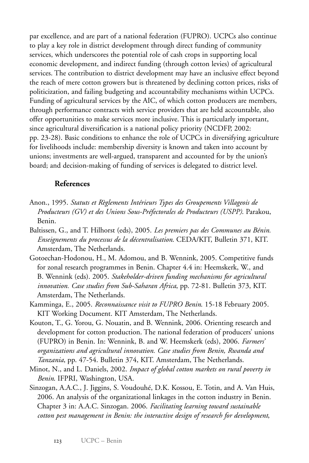par excellence, and are part of a national federation (FUPRO). UCPCs also continue to play a key role in district development through direct funding of community services, which underscores the potential role of cash crops in supporting local economic development, and indirect funding (through cotton levies) of agricultural services. The contribution to district development may have an inclusive effect beyond the reach of mere cotton growers but is threatened by declining cotton prices, risks of politicization, and failing budgeting and accountability mechanisms within UCPCs. Funding of agricultural services by the AIC, of which cotton producers are members, through performance contracts with service providers that are held accountable, also offer opportunities to make services more inclusive. This is particularly important, since agricultural diversification is a national policy priority (NCDFP, 2002: pp. 23-28). Basic conditions to enhance the role of UCPCs in diversifying agriculture for livelihoods include: membership diversity is known and taken into account by unions; investments are well-argued, transparent and accounted for by the union's board; and decision-making of funding of services is delegated to district level.

#### **References**

- Anon., 1995. *Statuts et Règlements Intérieurs Types des Groupements Villageois de Producteurs (GV) et des Unions Sous-Préfectorales de Producteurs (USPP)*. Parakou, Benin.
- Baltissen, G., and T. Hilhorst (eds), 2005. *Les premiers pas des Communes au Bénin. Enseignements du processus de la décentralisation*. CEDA/KIT, Bulletin 371, KIT. Amsterdam, The Netherlands.
- Gotoechan-Hodonou, H., M. Adomou, and B. Wennink, 2005. Competitive funds for zonal research programmes in Benin. Chapter 4.4 in: Heemskerk, W., and B. Wennink (eds). 2005. *Stakeholder-driven funding mechanisms for agricultural innovation. Case studies from Sub-Saharan Africa*, pp. 72-81. Bulletin 373, KIT. Amsterdam, The Netherlands.
- Kamminga, E., 2005. *Reconnaissance visit to FUPRO Benin*. 15-18 February 2005. KIT Working Document. KIT Amsterdam, The Netherlands.
- Kouton, T., G. Yorou, G. Nouatin, and B. Wennink, 2006. Orienting research and development for cotton production. The national federation of producers' unions (FUPRO) in Benin. In: Wennink, B. and W. Heemskerk (eds), 2006. *Farmers' organizations and agricultural innovation. Case studies from Benin, Rwanda and Tanzania*, pp. 47-54. Bulletin 374, KIT. Amsterdam, The Netherlands.
- Minot, N., and L. Daniels, 2002. *Impact of global cotton markets on rural poverty in Benin*. IFPRI, Washington, USA.
- Sinzogan, A.A.C., J. Jiggins, S. Voudouhé, D.K. Kossou, E. Totin, and A. Van Huis, 2006. An analysis of the organizational linkages in the cotton industry in Benin. Chapter 3 in: A.A.C. Sinzogan. 2006. *Facilitating learning toward sustainable cotton pest management in Benin: the interactive design of research for development*,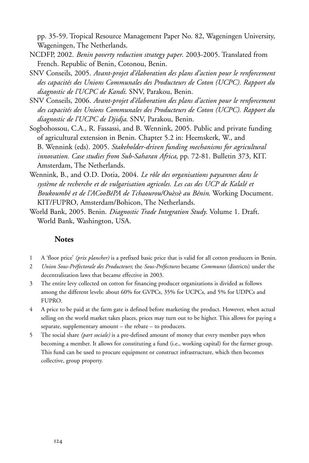pp. 35-59. Tropical Resource Management Paper No. 82, Wageningen University, Wageningen, The Netherlands.

- NCDFP, 2002. *Benin poverty reduction strategy paper*. 2003-2005. Translated from French. Republic of Benin, Cotonou, Benin.
- SNV Conseils, 2005. *Avant-projet d'élaboration des plans d'action pour le renforcement des capacités des Unions Communales des Producteurs de Coton (UCPC). Rapport du diagnostic de l'UCPC de Kandi*. SNV, Parakou, Benin.
- SNV Conseils, 2006. *Avant-projet d'élaboration des plans d'action pour le renforcement des capacités des Unions Communales des Producteurs de Coton (UCPC). Rapport du diagnostic de l'UCPC de Djidja*. SNV, Parakou, Benin.
- Sogbohossou, C.A., R. Fassassi, and B. Wennink, 2005. Public and private funding of agricultural extension in Benin. Chapter 5.2 in: Heemskerk, W., and B. Wennink (eds). 2005. *Stakeholder-driven funding mechanisms for agricultural innovation. Case studies from Sub-Saharan Africa*, pp. 72-81. Bulletin 373, KIT. Amsterdam, The Netherlands.
- Wennink, B., and O.D. Dotia, 2004. *Le rôle des organisations paysannes dans le système de recherche et de vulgarisation agricoles. Les cas des UCP de Kalalé et Boukoumbé et de l'ACooBéPA de Tchaourou/Ouèssè au Bénin*. Working Document. KIT/FUPRO, Amsterdam/Bohicon, The Netherlands.
- World Bank, 2005. Benin. *Diagnostic Trade Integration Study*. Volume 1. Draft. World Bank, Washington, USA.

#### **Notes**

- 1 A 'floor price' *(prix plancher)* is a prefixed basic price that is valid for all cotton producers in Benin.
- 2 *Union Sous-Préfectorale des Producteurs*; the *Sous-Préfectures* became *Communes* (districts) under the decentralization laws that became effective in 2003.
- 3 The entire levy collected on cotton for financing producer organizations is divided as follows among the different levels: about 60% for GVPCs, 35% for UCPCs, and 5% for UDPCs and FUPRO.
- 4 A price to be paid at the farm gate is defined before marketing the product. However, when actual selling on the world market takes places, prices may turn out to be higher. This allows for paying a separate, supplementary amount – the rebate – to producers.
- 5 The social share *(part sociale)* is a pre-defined amount of money that every member pays when becoming a member. It allows for constituting a fund (i.e., working capital) for the farmer group. This fund can be used to procure equipment or construct infrastructure, which then becomes collective, group property.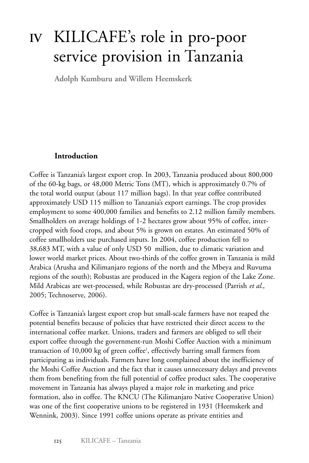# **IV** KILICAFE's role in pro-poor service provision in Tanzania

**Adolph Kumburu and Willem Heemskerk**

#### **Introduction**

Coffee is Tanzania's largest export crop. In 2003, Tanzania produced about 800,000 of the 60-kg bags, or 48,000 Metric Tons (MT), which is approximately 0.7% of the total world output (about 117 million bags). In that year coffee contributed approximately USD 115 million to Tanzania's export earnings. The crop provides employment to some 400,000 families and benefits to 2.12 million family members. Smallholders on average holdings of 1-2 hectares grow about 95% of coffee, intercropped with food crops, and about 5% is grown on estates. An estimated 50% of coffee smallholders use purchased inputs. In 2004, coffee production fell to 38,683 MT, with a value of only USD 50 million, due to climatic variation and lower world market prices. About two-thirds of the coffee grown in Tanzania is mild Arabica (Arusha and Kilimanjaro regions of the north and the Mbeya and Ruvuma regions of the south); Robustas are produced in the Kagera region of the Lake Zone. Mild Arabicas are wet-processed, while Robustas are dry-processed (Parrish *et al.*, 2005; Technoserve, 2006).

Coffee is Tanzania's largest export crop but small-scale farmers have not reaped the potential benefits because of policies that have restricted their direct access to the international coffee market. Unions, traders and farmers are obliged to sell their export coffee through the government-run Moshi Coffee Auction with a minimum transaction of 10,000 kg of green coffee', effectively barring small farmers from participating as individuals. Farmers have long complained about the inefficiency of the Moshi Coffee Auction and the fact that it causes unnecessary delays and prevents them from benefiting from the full potential of coffee product sales. The cooperative movement in Tanzania has always played a major role in marketing and price formation, also in coffee. The KNCU (The Kilimanjaro Native Cooperative Union) was one of the first cooperative unions to be registered in 1931 (Heemskerk and Wennink, 2003). Since 1991 coffee unions operate as private entities and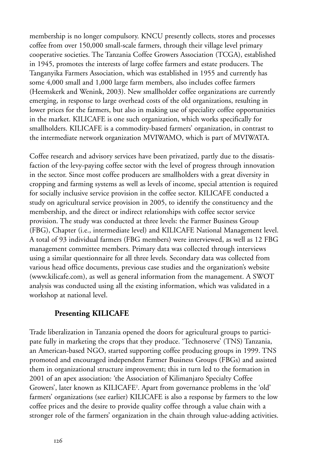membership is no longer compulsory. KNCU presently collects, stores and processes coffee from over 150,000 small-scale farmers, through their village level primary cooperative societies. The Tanzania Coffee Growers Association (TCGA), established in 1945, promotes the interests of large coffee farmers and estate producers. The Tanganyika Farmers Association, which was established in 1955 and currently has some 4,000 small and 1,000 large farm members, also includes coffee farmers (Heemskerk and Wenink, 2003). New smallholder coffee organizations are currently emerging, in response to large overhead costs of the old organizations, resulting in lower prices for the farmers, but also in making use of speciality coffee opportunities in the market. KILICAFE is one such organization, which works specifically for smallholders. KILICAFE is a commodity-based farmers' organization, in contrast to the intermediate network organization MVIWAMO, which is part of MVIWATA.

Coffee research and advisory services have been privatized, partly due to the dissatisfaction of the levy-paying coffee sector with the level of progress through innovation in the sector. Since most coffee producers are smallholders with a great diversity in cropping and farming systems as well as levels of income, special attention is required for socially inclusive service provision in the coffee sector. KILICAFE conducted a study on agricultural service provision in 2005, to identify the constituency and the membership, and the direct or indirect relationships with coffee sector service provision. The study was conducted at three levels: the Farmer Business Group (FBG), Chapter (i.e., intermediate level) and KILICAFE National Management level. A total of 93 individual farmers (FBG members) were interviewed, as well as 12 FBG management committee members. Primary data was collected through interviews using a similar questionnaire for all three levels. Secondary data was collected from various head office documents, previous case studies and the organization's website (www.kilicafe.com), as well as general information from the management. A SWOT analysis was conducted using all the existing information, which was validated in a workshop at national level.

#### **Presenting KILICAFE**

Trade liberalization in Tanzania opened the doors for agricultural groups to participate fully in marketing the crops that they produce. 'Technoserve' (TNS) Tanzania, an American-based NGO, started supporting coffee producing groups in 1999. TNS promoted and encouraged independent Farmer Business Groups (FBGs) and assisted them in organizational structure improvement; this in turn led to the formation in 2001 of an apex association: 'the Association of Kilimanjaro Specialty Coffee Growers', later known as KILICAFE2 . Apart from governance problems in the 'old' farmers' organizations (see earlier) KILICAFE is also a response by farmers to the low coffee prices and the desire to provide quality coffee through a value chain with a stronger role of the farmers' organization in the chain through value-adding activities.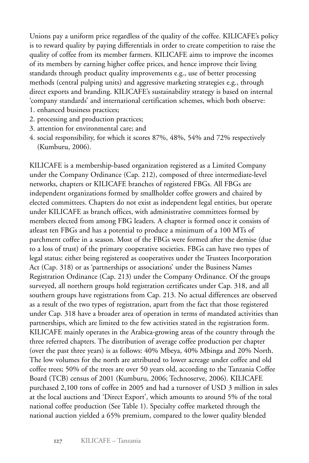Unions pay a uniform price regardless of the quality of the coffee. KILICAFE's policy is to reward quality by paying differentials in order to create competition to raise the quality of coffee from its member farmers. KILICAFE aims to improve the incomes of its members by earning higher coffee prices, and hence improve their living standards through product quality improvements e.g., use of better processing methods (central pulping units) and aggressive marketing strategies e.g., through direct exports and branding. KILICAFE's sustainability strategy is based on internal 'company standards' and international certification schemes, which both observe: 1. enhanced business practices;

- 2. processing and production practices;
- 3. attention for environmental care; and
- 4. social responsibility, for which it scores 87%, 48%, 54% and 72% respectively (Kumburu, 2006).

KILICAFE is a membership-based organization registered as a Limited Company under the Company Ordinance (Cap. 212), composed of three intermediate-level networks, chapters or KILICAFE branches of registered FBGs. All FBGs are independent organizations formed by smallholder coffee growers and chaired by elected committees. Chapters do not exist as independent legal entities, but operate under KILICAFE as branch offices, with administrative committees formed by members elected from among FBG leaders. A chapter is formed once it consists of atleast ten FBGs and has a potential to produce a minimum of a 100 MTs of parchment coffee in a season. Most of the FBGs were formed after the demise (due to a loss of trust) of the primary cooperative societies. FBGs can have two types of legal status: either being registered as cooperatives under the Trustees Incorporation Act (Cap. 318) or as 'partnerships or associations' under the Business Names Registration Ordinance (Cap. 213) under the Company Ordinance. Of the groups surveyed, all northern groups hold registration certificates under Cap. 318, and all southern groups have registrations from Cap. 213. No actual differences are observed as a result of the two types of registration, apart from the fact that those registered under Cap. 318 have a broader area of operation in terms of mandated activities than partnerships, which are limited to the few activities stated in the registration form. KILICAFE mainly operates in the Arabica-growing areas of the country through the three referred chapters. The distribution of average coffee production per chapter (over the past three years) is as follows: 40% Mbeya, 40% Mbinga and 20% North. The low volumes for the north are attributed to lower acreage under coffee and old coffee trees; 50% of the trees are over 50 years old, according to the Tanzania Coffee Board (TCB) census of 2001 (Kumburu, 2006; Technoserve, 2006). KILICAFE purchased 2,100 tons of coffee in 2005 and had a turnover of USD 3 million in sales at the local auctions and 'Direct Export', which amounts to around 5% of the total national coffee production (See Table 1). Specialty coffee marketed through the national auction yielded a 65% premium, compared to the lower quality blended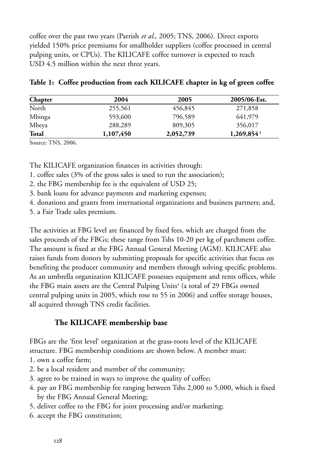coffee over the past two years (Parrish *et al.*, 2005; TNS, 2006). Direct exports yielded 150% price premiums for smallholder suppliers (coffee processed in central pulping units, or CPUs). The KILICAFE coffee turnover is expected to reach USD 4.5 million within the next three years.

| Chapter      | 2004      | 2005      | 2005/06-Est.             |
|--------------|-----------|-----------|--------------------------|
| North        | 255,561   | 456,845   | 271,858                  |
| Mbinga       | 593,600   | 796,589   | 641,979                  |
| Mbeya        | 288,289   | 809,305   | 356,017                  |
| <b>Total</b> | 1,107,450 | 2,052,739 | $1,269,854$ <sup>3</sup> |

#### **Table 1: Coffee production from each KILICAFE chapter in kg of green coffee**

Source: TNS, 2006.

The KILICAFE organization finances its activities through:

1. coffee sales (3% of the gross sales is used to run the association);

2. the FBG membership fee is the equivalent of USD 25;

3. bank loans for advance payments and marketing expenses;

4. donations and grants from international organizations and business partners; and,

5. a Fair Trade sales premium.

The activities at FBG level are financed by fixed fees, which are charged from the sales proceeds of the FBGs; these range from Tshs 10-20 per kg of parchment coffee. The amount is fixed at the FBG Annual General Meeting (AGM). KILICAFE also raises funds from donors by submitting proposals for specific activities that focus on benefiting the producer community and members through solving specific problems. As an umbrella organization KILICAFE possesses equipment and rents offices, while the FBG main assets are the Central Pulping Units<sup>4</sup> (a total of 29 FBGs owned central pulping units in 2005, which rose to 55 in 2006) and coffee storage houses, all acquired through TNS credit facilities.

# **The KILICAFE membership base**

FBGs are the 'first level' organization at the grass-roots level of the KILICAFE structure. FBG membership conditions are shown below. A member must:

- 1. own a coffee farm;
- 2. be a local resident and member of the community;
- 3. agree to be trained in ways to improve the quality of coffee;
- 4. pay an FBG membership fee ranging between Tshs 2,000 to 5,000, which is fixed by the FBG Annual General Meeting;
- 5. deliver coffee to the FBG for joint processing and/or marketing;
- 6. accept the FBG constitution;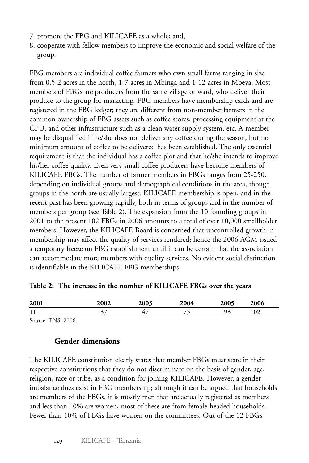- 7. promote the FBG and KILICAFE as a whole; and,
- 8. cooperate with fellow members to improve the economic and social welfare of the group.

FBG members are individual coffee farmers who own small farms ranging in size from 0.5-2 acres in the north, 1-7 acres in Mbinga and 1-12 acres in Mbeya. Most members of FBGs are producers from the same village or ward, who deliver their produce to the group for marketing. FBG members have membership cards and are registered in the FBG ledger; they are different from non-member farmers in the common ownership of FBG assets such as coffee stores, processing equipment at the CPU, and other infrastructure such as a clean water supply system, etc. A member may be disqualified if he/she does not deliver any coffee during the season, but no minimum amount of coffee to be delivered has been established. The only essential requirement is that the individual has a coffee plot and that he/she intends to improve his/her coffee quality. Even very small coffee producers have become members of KILICAFE FBGs. The number of farmer members in FBGs ranges from 25-250, depending on individual groups and demographical conditions in the area, though groups in the north are usually largest. KILICAFE membership is open, and in the recent past has been growing rapidly, both in terms of groups and in the number of members per group (see Table 2). The expansion from the 10 founding groups in 2001 to the present 102 FBGs in 2006 amounts to a total of over 10,000 smallholder members. However, the KILICAFE Board is concerned that uncontrolled growth in membership may affect the quality of services rendered; hence the 2006 AGM issued a temporary freeze on FBG establishment until it can be certain that the association can accommodate more members with quality services. No evident social distinction is identifiable in the KILICAFE FBG memberships.

| 2001 | 2002 | 2003 | 2004 | 2005 | 2006 |  |
|------|------|------|------|------|------|--|

**Table 2: The increase in the number of KILICAFE FBGs over the years**

11 37 47 75 93 102 Source: TNS, 2006.

#### **Gender dimensions**

The KILICAFE constitution clearly states that member FBGs must state in their respective constitutions that they do not discriminate on the basis of gender, age, religion, race or tribe, as a condition for joining KILICAFE. However, a gender imbalance does exist in FBG membership; although it can be argued that households are members of the FBGs, it is mostly men that are actually registered as members and less than 10% are women, most of these are from female-headed households. Fewer than 10% of FBGs have women on the committees. Out of the 12 FBGs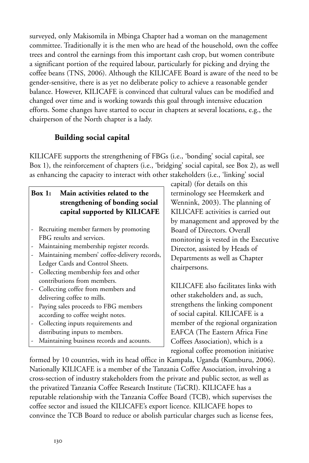surveyed, only Makisomila in Mbinga Chapter had a woman on the management committee. Traditionally it is the men who are head of the household, own the coffee trees and control the earnings from this important cash crop, but women contribute a significant portion of the required labour, particularly for picking and drying the coffee beans (TNS, 2006). Although the KILICAFE Board is aware of the need to be gender-sensitive, there is as yet no deliberate policy to achieve a reasonable gender balance. However, KILICAFE is convinced that cultural values can be modified and changed over time and is working towards this goal through intensive education efforts. Some changes have started to occur in chapters at several locations, e.g., the chairperson of the North chapter is a lady.

# **Building social capital**

KILICAFE supports the strengthening of FBGs (i.e., 'bonding' social capital, see Box 1), the reinforcement of chapters (i.e., 'bridging' social capital, see Box 2), as well as enhancing the capacity to interact with other stakeholders (i.e., 'linking' social

# **Box 1: Main activities related to the strengthening of bonding social capital supported by KILICAFE**

- Recruiting member farmers by promoting FBG results and services.
- Maintaining membership register records.
- Maintaining members' coffee-delivery records, Ledger Cards and Control Sheets.
- Collecting membership fees and other contributions from members.
- Collecting coffee from members and delivering coffee to mills.
- Paying sales proceeds to FBG members according to coffee weight notes.
- Collecting inputs requirements and distributing inputs to members.
- Maintaining business records and acounts.

capital) (for details on this terminology see Heemskerk and Wennink, 2003). The planning of KILICAFE activities is carried out by management and approved by the Board of Directors. Overall monitoring is vested in the Executive Director, assisted by Heads of Departments as well as Chapter chairpersons.

KILICAFE also facilitates links with other stakeholders and, as such, strengthens the linking component of social capital. KILICAFE is a member of the regional organization EAFCA (The Eastern Africa Fine Coffees Association), which is a regional coffee promotion initiative

formed by 10 countries, with its head office in Kampala, Uganda (Kumburu, 2006). Nationally KILICAFE is a member of the Tanzania Coffee Association, involving a cross-section of industry stakeholders from the private and public sector, as well as the privatized Tanzania Coffee Research Institute (TaCRI). KILICAFE has a reputable relationship with the Tanzania Coffee Board (TCB), which supervises the coffee sector and issued the KILICAFE's export licence. KILICAFE hopes to convince the TCB Board to reduce or abolish particular charges such as license fees,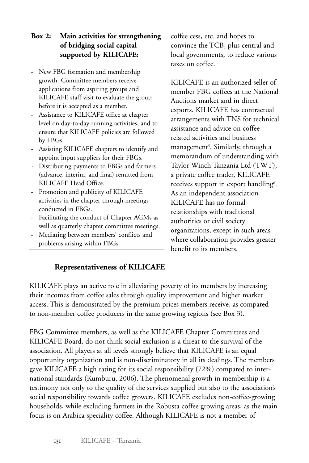## **Box 2: Main activities for strengthening of bridging social capital supported by KILICAFE:**

- New FBG formation and membership growth. Committee members receive applications from aspiring groups and KILICAFE staff visit to evaluate the group before it is accepted as a member.
- Assistance to KILICAFE office at chapter level on day-to-day running activities, and to ensure that KILICAFE policies are followed by FBGs.
- Assisting KILICAFE chapters to identify and appoint input suppliers for their FBGs.
- Distributing payments to FBGs and farmers (advance, interim, and final) remitted from KILICAFE Head Office.
- Promotion and publicity of KILICAFE activities in the chapter through meetings conducted in FBGs.
- Facilitating the conduct of Chapter AGMs as well as quarterly chapter committee meetings.
- Mediating between members' conflicts and problems arising within FBGs.

coffee cess, etc. and hopes to convince the TCB, plus central and local governments, to reduce various taxes on coffee.

KILICAFE is an authorized seller of member FBG coffees at the National Auctions market and in direct exports. KILICAFE has contractual arrangements with TNS for technical assistance and advice on coffeerelated activities and business management<sup>5</sup>. Similarly, through a memorandum of understanding with Taylor Winch Tanzania Ltd (TWT), a private coffee trader, KILICAFE receives support in export handling $\delta$ . As an independent association KILICAFE has no formal relationships with traditional authorities or civil society organizations, except in such areas where collaboration provides greater benefit to its members.

# **Representativeness of KILICAFE**

KILICAFE plays an active role in alleviating poverty of its members by increasing their incomes from coffee sales through quality improvement and higher market access. This is demonstrated by the premium prices members receive, as compared to non-member coffee producers in the same growing regions (see Box 3).

FBG Committee members, as well as the KILICAFE Chapter Committees and KILICAFE Board, do not think social exclusion is a threat to the survival of the association. All players at all levels strongly believe that KILICAFE is an equal opportunity organization and is non-discriminatory in all its dealings. The members gave KILICAFE a high rating for its social responsibility (72%) compared to international standards (Kumburu, 2006). The phenomenal growth in membership is a testimony not only to the quality of the services supplied but also to the association's social responsibility towards coffee growers. KILICAFE excludes non-coffee-growing households, while excluding farmers in the Robusta coffee growing areas, as the main focus is on Arabica speciality coffee. Although KILICAFE is not a member of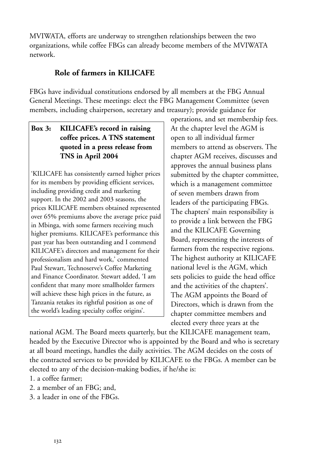MVIWATA, efforts are underway to strengthen relationships between the two organizations, while coffee FBGs can already become members of the MVIWATA network.

## **Role of farmers in KILICAFE**

FBGs have individual constitutions endorsed by all members at the FBG Annual General Meetings. These meetings: elect the FBG Management Committee (seven members, including chairperson, secretary and treasury); provide guidance for

## **Box 3: KILICAFE's record in raising coffee prices. A TNS statement quoted in a press release from TNS in April 2004**

'KILICAFE has consistently earned higher prices for its members by providing efficient services, including providing credit and marketing support. In the 2002 and 2003 seasons, the prices KILICAFE members obtained represented over 65% premiums above the average price paid in Mbinga, with some farmers receiving much higher premiums. KILICAFE's performance this past year has been outstanding and I commend KILICAFE's directors and management for their professionalism and hard work,' commented Paul Stewart, Technoserve's Coffee Marketing and Finance Coordinator. Stewart added, 'I am confident that many more smallholder farmers will achieve these high prices in the future, as Tanzania retakes its rightful position as one of the world's leading specialty coffee origins'.

operations, and set membership fees. At the chapter level the AGM is open to all individual farmer members to attend as observers. The chapter AGM receives, discusses and approves the annual business plans submitted by the chapter committee, which is a management committee of seven members drawn from leaders of the participating FBGs. The chapters' main responsibility is to provide a link between the FBG and the KILICAFE Governing Board, representing the interests of farmers from the respective regions. The highest authority at KILICAFE national level is the AGM, which sets policies to guide the head office and the activities of the chapters'. The AGM appoints the Board of Directors, which is drawn from the chapter committee members and elected every three years at the

national AGM. The Board meets quarterly, but the KILICAFE management team, headed by the Executive Director who is appointed by the Board and who is secretary at all board meetings, handles the daily activities. The AGM decides on the costs of the contracted services to be provided by KILICAFE to the FBGs. A member can be elected to any of the decision-making bodies, if he/she is:

- 1. a coffee farmer;
- 2. a member of an FBG; and,
- 3. a leader in one of the FBGs.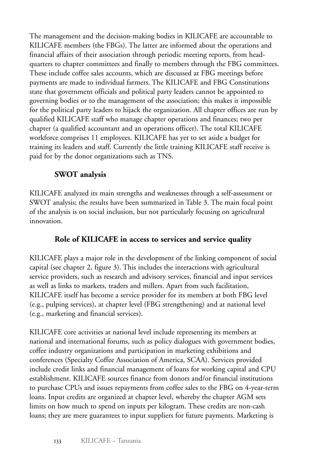The management and the decision-making bodies in KILICAFE are accountable to KILICAFE members (the FBGs). The latter are informed about the operations and financial affairs of their association through periodic meeting reports, from headquarters to chapter committees and finally to members through the FBG committees. These include coffee sales accounts, which are discussed at FBG meetings before payments are made to individual farmers. The KILICAFE and FBG Constitutions state that government officials and political party leaders cannot be appointed to governing bodies or to the management of the association; this makes it impossible for the political party leaders to hijack the organization. All chapter offices are run by qualified KILICAFE staff who manage chapter operations and finances; two per chapter (a qualified accountant and an operations officer). The total KILICAFE workforce comprises 11 employees. KILICAFE has yet to set aside a budget for training its leaders and staff. Currently the little training KILICAFE staff receive is paid for by the donor organizations such as TNS.

# **SWOT analysis**

KILICAFE analyzed its main strengths and weaknesses through a self-assessment or SWOT analysis; the results have been summarized in Table 3. The main focal point of the analysis is on social inclusion, but not particularly focusing on agricultural innovation.

# **Role of KILICAFE in access to services and service quality**

KILICAFE plays a major role in the development of the linking component of social capital (see chapter 2, figure 3). This includes the interactions with agricultural service providers, such as research and advisory services, financial and input services as well as links to markets, traders and millers. Apart from such facilitation, KILICAFE itself has become a service provider for its members at both FBG level (e.g., pulping services), at chapter level (FBG strengthening) and at national level (e.g., marketing and financial services).

KILICAFE core activities at national level include representing its members at national and international forums, such as policy dialogues with government bodies, coffee industry organizations and participation in marketing exhibitions and conferences (Specialty Coffee Association of America, SCAA). Services provided include credit links and financial management of loans for working capital and CPU establishment. KILICAFE sources finance from donors and/or financial institutions to purchase CPUs and issues repayments from coffee sales to the FBG on 4-year-term loans. Input credits are organized at chapter level, whereby the chapter AGM sets limits on how much to spend on inputs per kilogram. These credits are non-cash loans; they are mere guarantees to input suppliers for future payments. Marketing is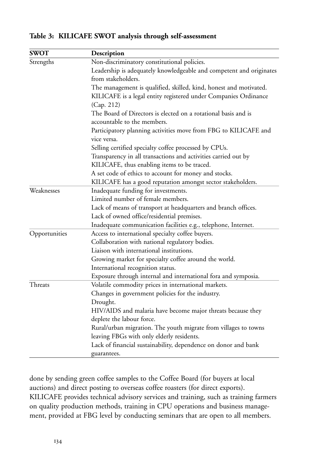**Table 3: KILICAFE SWOT analysis through self-assessment**

| <b>SWOT</b>   | Description                                                                                                                          |  |  |
|---------------|--------------------------------------------------------------------------------------------------------------------------------------|--|--|
| Strengths     | Non-discriminatory constitutional policies.                                                                                          |  |  |
|               | Leadership is adequately knowledgeable and competent and originates                                                                  |  |  |
|               | from stakeholders.                                                                                                                   |  |  |
|               | The management is qualified, skilled, kind, honest and motivated.<br>KILICAFE is a legal entity registered under Companies Ordinance |  |  |
|               | (Cap. 212)                                                                                                                           |  |  |
|               | The Board of Directors is elected on a rotational basis and is<br>accountable to the members.                                        |  |  |
|               | Participatory planning activities move from FBG to KILICAFE and<br>vice versa.                                                       |  |  |
|               | Selling certified specialty coffee processed by CPUs.                                                                                |  |  |
|               | Transparency in all transactions and activities carried out by                                                                       |  |  |
|               | KILICAFE, thus enabling items to be traced.                                                                                          |  |  |
|               | A set code of ethics to account for money and stocks.                                                                                |  |  |
|               | KILICAFE has a good reputation amongst sector stakeholders.                                                                          |  |  |
| Weaknesses    | Inadequate funding for investments.                                                                                                  |  |  |
|               | Limited number of female members.                                                                                                    |  |  |
|               | Lack of means of transport at headquarters and branch offices.                                                                       |  |  |
|               | Lack of owned office/residential premises.                                                                                           |  |  |
|               | Inadequate communication facilities e.g., telephone, Internet.                                                                       |  |  |
| Opportunities | Access to international specialty coffee buyers.                                                                                     |  |  |
|               | Collaboration with national regulatory bodies.                                                                                       |  |  |
|               | Liaison with international institutions.                                                                                             |  |  |
|               | Growing market for specialty coffee around the world.                                                                                |  |  |
|               | International recognition status.                                                                                                    |  |  |
|               | Exposure through internal and international fora and symposia.                                                                       |  |  |
| Threats       | Volatile commodity prices in international markets.                                                                                  |  |  |
|               | Changes in government policies for the industry.                                                                                     |  |  |
|               | Drought.                                                                                                                             |  |  |
|               | HIV/AIDS and malaria have become major threats because they                                                                          |  |  |
|               | deplete the labour force.                                                                                                            |  |  |
|               | Rural/urban migration. The youth migrate from villages to towns                                                                      |  |  |
|               | leaving FBGs with only elderly residents.                                                                                            |  |  |
|               | Lack of financial sustainability, dependence on donor and bank                                                                       |  |  |
|               | guarantees.                                                                                                                          |  |  |

done by sending green coffee samples to the Coffee Board (for buyers at local auctions) and direct posting to overseas coffee roasters (for direct exports). KILICAFE provides technical advisory services and training, such as training farmers on quality production methods, training in CPU operations and business management, provided at FBG level by conducting seminars that are open to all members.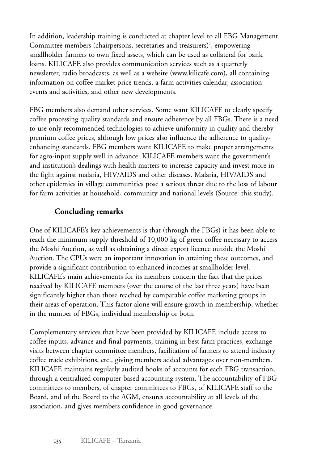In addition, leadership training is conducted at chapter level to all FBG Management Committee members (chairpersons, secretaries and treasurers)<sup>7</sup>, empowering smallholder farmers to own fixed assets, which can be used as collateral for bank loans. KILICAFE also provides communication services such as a quarterly newsletter, radio broadcasts, as well as a website (www.kilicafe.com), all containing information on coffee market price trends, a farm activities calendar, association events and activities, and other new developments.

FBG members also demand other services. Some want KILICAFE to clearly specify coffee processing quality standards and ensure adherence by all FBGs. There is a need to use only recommended technologies to achieve uniformity in quality and thereby premium coffee prices, although low prices also influence the adherence to qualityenhancing standards. FBG members want KILICAFE to make proper arrangements for agro-input supply well in advance. KILICAFE members want the government's and institution's dealings with health matters to increase capacity and invest more in the fight against malaria, HIV/AIDS and other diseases. Malaria, HIV/AIDS and other epidemics in village communities pose a serious threat due to the loss of labour for farm activities at household, community and national levels (Source: this study).

# **Concluding remarks**

One of KILICAFE's key achievements is that (through the FBGs) it has been able to reach the minimum supply threshold of 10,000 kg of green coffee necessary to access the Moshi Auction, as well as obtaining a direct export licence outside the Moshi Auction. The CPUs were an important innovation in attaining these outcomes, and provide a significant contribution to enhanced incomes at smallholder level. KILICAFE's main achievements for its members concern the fact that the prices received by KILICAFE members (over the course of the last three years) have been significantly higher than those reached by comparable coffee marketing groups in their areas of operation. This factor alone will ensure growth in membership, whether in the number of FBGs, individual membership or both.

Complementary services that have been provided by KILICAFE include access to coffee inputs, advance and final payments, training in best farm practices, exchange visits between chapter committee members, facilitation of farmers to attend industry coffee trade exhibitions, etc., giving members added advantages over non-members. KILICAFE maintains regularly audited books of accounts for each FBG transaction, through a centralized computer-based accounting system. The accountability of FBG committees to members, of chapter committees to FBGs, of KILICAFE staff to the Board, and of the Board to the AGM, ensures accountability at all levels of the association, and gives members confidence in good governance.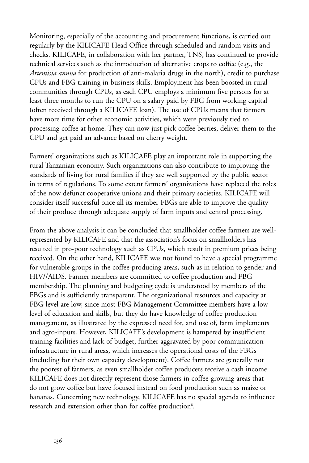Monitoring, especially of the accounting and procurement functions, is carried out regularly by the KILICAFE Head Office through scheduled and random visits and checks. KILICAFE, in collaboration with her partner, TNS, has continued to provide technical services such as the introduction of alternative crops to coffee (e.g., the *Artemisia annua* for production of anti-malaria drugs in the north), credit to purchase CPUs and FBG training in business skills. Employment has been boosted in rural communities through CPUs, as each CPU employs a minimum five persons for at least three months to run the CPU on a salary paid by FBG from working capital (often received through a KILICAFE loan). The use of CPUs means that farmers have more time for other economic activities, which were previously tied to processing coffee at home. They can now just pick coffee berries, deliver them to the CPU and get paid an advance based on cherry weight.

Farmers' organizations such as KILICAFE play an important role in supporting the rural Tanzanian economy. Such organizations can also contribute to improving the standards of living for rural families if they are well supported by the public sector in terms of regulations. To some extent farmers' organizations have replaced the roles of the now defunct cooperative unions and their primary societies. KILICAFE will consider itself successful once all its member FBGs are able to improve the quality of their produce through adequate supply of farm inputs and central processing.

From the above analysis it can be concluded that smallholder coffee farmers are wellrepresented by KILICAFE and that the association's focus on smallholders has resulted in pro-poor technology such as CPUs, which result in premium prices being received. On the other hand, KILICAFE was not found to have a special programme for vulnerable groups in the coffee-producing areas, such as in relation to gender and HIV//AIDS. Farmer members are committed to coffee production and FBG membership. The planning and budgeting cycle is understood by members of the FBGs and is sufficiently transparent. The organizational resources and capacity at FBG level are low, since most FBG Management Committee members have a low level of education and skills, but they do have knowledge of coffee production management, as illustrated by the expressed need for, and use of, farm implements and agro-inputs. However, KILICAFE's development is hampered by insufficient training facilities and lack of budget, further aggravated by poor communication infrastructure in rural areas, which increases the operational costs of the FBGs (including for their own capacity development). Coffee farmers are generally not the poorest of farmers, as even smallholder coffee producers receive a cash income. KILICAFE does not directly represent those farmers in coffee-growing areas that do not grow coffee but have focused instead on food production such as maize or bananas. Concerning new technology, KILICAFE has no special agenda to influence research and extension other than for coffee production<sup>8</sup>.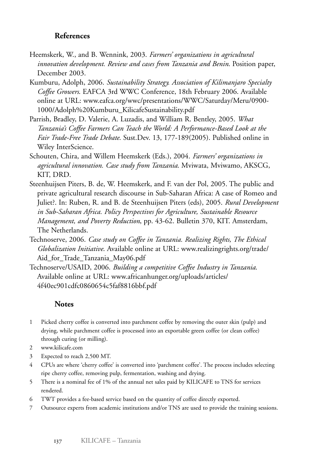#### **References**

- Heemskerk, W., and B. Wennink, 2003. *Farmers' organizations in agricultural innovation development. Review and cases from Tanzania and Benin*. Position paper, December 2003.
- Kumburu, Adolph, 2006. *Sustainability Strategy. Association of Kilimanjaro Specialty Coffee Growers*. EAFCA 3rd WWC Conference, 18th February 2006. Available online at URL: www.eafca.org/wwc/presentations/WWC/Saturday/Meru/0900- 1000/Adolph%20Kumburu\_KilicafeSustainability.pdf
- Parrish, Bradley, D. Valerie, A. Luzadis, and William R. Bentley, 2005. *What Tanzania's Coffee Farmers Can Teach the World: A Performance-Based Look at the Fair Trade-Free Trade Debate*. Sust.Dev. 13, 177-189(2005). Published online in Wiley InterScience.
- Schouten, Chira, and Willem Heemskerk (Eds.), 2004. *Farmers' organizations in agricultural innovation. Case study from Tanzania*. Mviwata, Mviwamo, AKSCG, KIT, DRD.
- Steenhuijsen Piters, B. de, W. Heemskerk, and F. van der Pol, 2005. The public and private agricultural research discourse in Sub-Saharan Africa: A case of Romeo and Juliet?. In: Ruben, R. and B. de Steenhuijsen Piters (eds), 2005. *Rural Development in Sub-Saharan Africa. Policy Perspectives for Agriculture, Sustainable Resource Management, and Poverty Reduction*, pp. 43-62. Bulletin 370, KIT. Amsterdam, The Netherlands.
- Technoserve, 2006. *Case study on Coffee in Tanzania. Realizing Rights, The Ethical Globalization Initiative*. Available online at URL: www.realizingrights.org/trade/ Aid\_for\_Trade\_Tanzania\_May06.pdf
- Technoserve/USAID, 2006. *Building a competitive Coffee Industry in Tanzania*. Available online at URL: www.africanhunger.org/uploads/articles/ 4f40ec901cdfc0860654c5faf8816bbf.pdf

## **Notes**

- 1 Picked cherry coffee is converted into parchment coffee by removing the outer skin (pulp) and drying, while parchment coffee is processed into an exportable green coffee (or clean coffee) through curing (or milling).
- 2 www.kilicafe.com
- 3 Expected to reach 2,500 MT.
- 4 CPUs are where 'cherry coffee' is converted into 'parchment coffee'. The process includes selecting ripe cherry coffee, removing pulp, fermentation, washing and drying.
- 5 There is a nominal fee of 1% of the annual net sales paid by KILICAFE to TNS for services rendered.
- 6 TWT provides a fee-based service based on the quantity of coffee directly exported.
- 7 Outsource experts from academic institutions and/or TNS are used to provide the training sessions.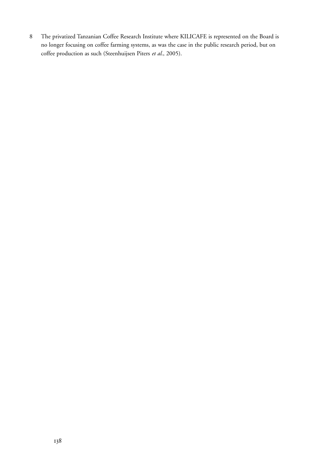8 The privatized Tanzanian Coffee Research Institute where KILICAFE is represented on the Board is no longer focusing on coffee farming systems, as was the case in the public research period, but on coffee production as such (Steenhuijsen Piters *et al.*, 2005).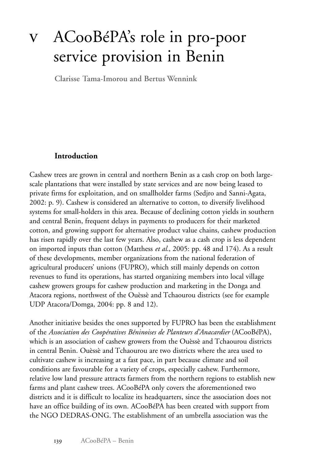# **V** ACooBéPA's role in pro-poor service provision in Benin

**Clarisse Tama-Imorou and Bertus Wennink**

#### **Introduction**

Cashew trees are grown in central and northern Benin as a cash crop on both largescale plantations that were installed by state services and are now being leased to private firms for exploitation, and on smallholder farms (Sedjro and Sanni-Agata, 2002: p. 9). Cashew is considered an alternative to cotton, to diversify livelihood systems for small-holders in this area. Because of declining cotton yields in southern and central Benin, frequent delays in payments to producers for their marketed cotton, and growing support for alternative product value chains, cashew production has risen rapidly over the last few years. Also, cashew as a cash crop is less dependent on imported inputs than cotton (Matthess *et al.*, 2005: pp. 48 and 174). As a result of these developments, member organizations from the national federation of agricultural producers' unions (FUPRO), which still mainly depends on cotton revenues to fund its operations, has started organizing members into local village cashew growers groups for cashew production and marketing in the Donga and Atacora regions, northwest of the Ouèssè and Tchaourou districts (see for example UDP Atacora/Domga, 2004: pp. 8 and 12).

Another initiative besides the ones supported by FUPRO has been the establishment of the *Association des Coopératives Béninoises de Planteurs d'Anacardier* (ACooBéPA), which is an association of cashew growers from the Ouèssè and Tchaourou districts in central Benin. Ouèssè and Tchaourou are two districts where the area used to cultivate cashew is increasing at a fast pace, in part because climate and soil conditions are favourable for a variety of crops, especially cashew. Furthermore, relative low land pressure attracts farmers from the northern regions to establish new farms and plant cashew trees. ACooBéPA only covers the aforementioned two districts and it is difficult to localize its headquarters, since the association does not have an office building of its own. ACooBéPA has been created with support from the NGO DEDRAS-ONG. The establishment of an umbrella association was the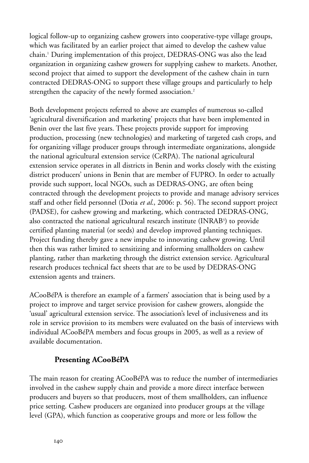logical follow-up to organizing cashew growers into cooperative-type village groups, which was facilitated by an earlier project that aimed to develop the cashew value chain.1 During implementation of this project, DEDRAS-ONG was also the lead organization in organizing cashew growers for supplying cashew to markets. Another, second project that aimed to support the development of the cashew chain in turn contracted DEDRAS-ONG to support these village groups and particularly to help strengthen the capacity of the newly formed association.<sup>2</sup>

Both development projects referred to above are examples of numerous so-called 'agricultural diversification and marketing' projects that have been implemented in Benin over the last five years. These projects provide support for improving production, processing (new technologies) and marketing of targeted cash crops, and for organizing village producer groups through intermediate organizations, alongside the national agricultural extension service (CeRPA). The national agricultural extension service operates in all districts in Benin and works closely with the existing district producers' unions in Benin that are member of FUPRO. In order to actually provide such support, local NGOs, such as DEDRAS-ONG, are often being contracted through the development projects to provide and manage advisory services staff and other field personnel (Dotia *et al.*, 2006: p. 56). The second support project (PADSE), for cashew growing and marketing, which contracted DEDRAS-ONG, also contracted the national agricultural research institute (INRAB3) to provide certified planting material (or seeds) and develop improved planting techniques. Project funding thereby gave a new impulse to innovating cashew growing. Until then this was rather limited to sensitizing and informing smallholders on cashew planting, rather than marketing through the district extension service. Agricultural research produces technical fact sheets that are to be used by DEDRAS-ONG extension agents and trainers.

ACooBéPA is therefore an example of a farmers' association that is being used by a project to improve and target service provision for cashew growers, alongside the 'usual' agricultural extension service. The association's level of inclusiveness and its role in service provision to its members were evaluated on the basis of interviews with individual ACooBéPA members and focus groups in 2005, as well as a review of available documentation.

## **Presenting ACooBéPA**

The main reason for creating ACooBéPA was to reduce the number of intermediaries involved in the cashew supply chain and provide a more direct interface between producers and buyers so that producers, most of them smallholders, can influence price setting. Cashew producers are organized into producer groups at the village level (GPA), which function as cooperative groups and more or less follow the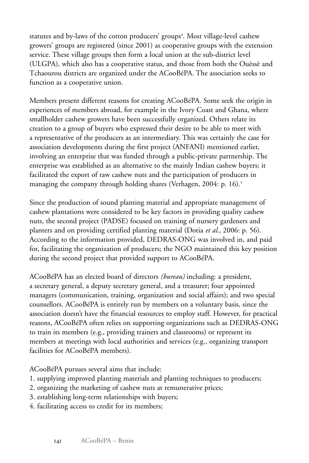statutes and by-laws of the cotton producers' groups<sup>4</sup>. Most village-level cashew growers' groups are registered (since 2001) as cooperative groups with the extension service. These village groups then form a local union at the sub-district level (ULGPA), which also has a cooperative status, and those from both the Ouèssè and Tchaourou districts are organized under the ACooBéPA. The association seeks to function as a cooperative union.

Members present different reasons for creating ACooBéPA. Some seek the origin in experiences of members abroad, for example in the Ivory Coast and Ghana, where smallholder cashew growers have been successfully organized. Others relate its creation to a group of buyers who expressed their desire to be able to meet with a representative of the producers as an intermediary. This was certainly the case for association developments during the first project (ANFANI) mentioned earlier, involving an enterprise that was funded through a public-private partnership. The enterprise was established as an alternative to the mainly Indian cashew buyers; it facilitated the export of raw cashew nuts and the participation of producers in managing the company through holding shares (Verhagen, 2004: p. 16).<sup>5</sup>

Since the production of sound planting material and appropriate management of cashew plantations were considered to be key factors in providing quality cashew nuts, the second project (PADSE) focused on training of nursery gardeners and planters and on providing certified planting material (Dotia *et al.*, 2006: p. 56). According to the information provided, DEDRAS-ONG was involved in, and paid for, facilitating the organization of producers; the NGO maintained this key position during the second project that provided support to ACooBéPA.

ACooBéPA has an elected board of directors *(bureau)* including: a president, a secretary general, a deputy secretary general, and a treasurer; four appointed managers (communication, training, organization and social affairs); and two special counsellors. ACooBéPA is entirely run by members on a voluntary basis, since the association doesn't have the financial resources to employ staff. However, for practical reasons, ACooBéPA often relies on supporting organizations such as DEDRAS-ONG to train its members (e.g., providing trainers and classrooms) or represent its members at meetings with local authorities and services (e.g., organizing transport facilities for ACooBéPA members).

ACooBéPA pursues several aims that include:

- 1. supplying improved planting materials and planting techniques to producers;
- 2. organizing the marketing of cashew nuts at remunerative prices;
- 3. establishing long-term relationships with buyers;
- 4. facilitating access to credit for its members;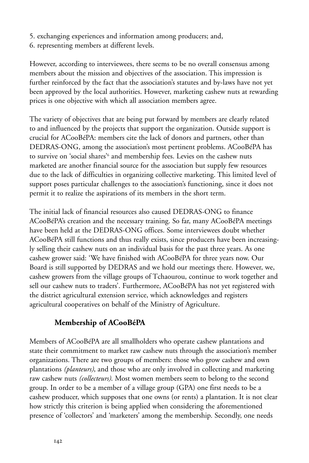- 5. exchanging experiences and information among producers; and,
- 6. representing members at different levels.

However, according to interviewees, there seems to be no overall consensus among members about the mission and objectives of the association. This impression is further reinforced by the fact that the association's statutes and by-laws have not yet been approved by the local authorities. However, marketing cashew nuts at rewarding prices is one objective with which all association members agree.

The variety of objectives that are being put forward by members are clearly related to and influenced by the projects that support the organization. Outside support is crucial for ACooBéPA: members cite the lack of donors and partners, other than DEDRAS-ONG, among the association's most pertinent problems. ACooBéPA has to survive on 'social shares'<sup>6</sup> and membership fees. Levies on the cashew nuts marketed are another financial source for the association but supply few resources due to the lack of difficulties in organizing collective marketing. This limited level of support poses particular challenges to the association's functioning, since it does not permit it to realize the aspirations of its members in the short term.

The initial lack of financial resources also caused DEDRAS-ONG to finance ACooBéPA's creation and the necessary training. So far, many ACooBéPA meetings have been held at the DEDRAS-ONG offices. Some interviewees doubt whether ACooBéPA still functions and thus really exists, since producers have been increasingly selling their cashew nuts on an individual basis for the past three years. As one cashew grower said: 'We have finished with ACooBéPA for three years now. Our Board is still supported by DEDRAS and we hold our meetings there. However, we, cashew growers from the village groups of Tchaourou, continue to work together and sell our cashew nuts to traders'. Furthermore, ACooBéPA has not yet registered with the district agricultural extension service, which acknowledges and registers agricultural cooperatives on behalf of the Ministry of Agriculture.

## **Membership of ACooBéPA**

Members of ACooBéPA are all smallholders who operate cashew plantations and state their commitment to market raw cashew nuts through the association's member organizations. There are two groups of members: those who grow cashew and own plantations *(planteurs)*, and those who are only involved in collecting and marketing raw cashew nuts *(collecteurs)*. Most women members seem to belong to the second group. In order to be a member of a village group (GPA) one first needs to be a cashew producer, which supposes that one owns (or rents) a plantation. It is not clear how strictly this criterion is being applied when considering the aforementioned presence of 'collectors' and 'marketers' among the membership. Secondly, one needs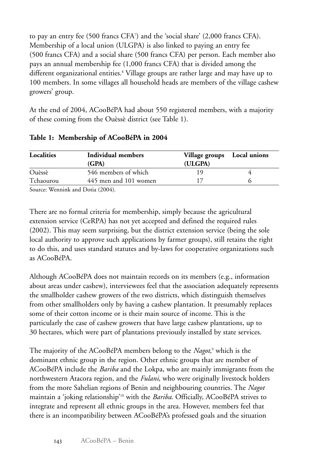to pay an entry fee (500 francs CFA7 ) and the 'social share' (2,000 francs CFA). Membership of a local union (ULGPA) is also linked to paying an entry fee (500 francs CFA) and a social share (500 francs CFA) per person. Each member also pays an annual membership fee (1,000 francs CFA) that is divided among the different organizational entities.<sup>8</sup> Village groups are rather large and may have up to 100 members. In some villages all household heads are members of the village cashew growers' group.

At the end of 2004, ACooBéPA had about 550 registered members, with a majority of these coming from the Ouèssè district (see Table 1).

| Localities | Individual members    | Village groups Local unions |  |
|------------|-----------------------|-----------------------------|--|
|            | (GPA)                 | (ULGPA)                     |  |
| Ouèssè     | 546 members of which  | 1 ()                        |  |
| Tchaourou  | 445 men and 101 women |                             |  |

#### **Table 1: Membership of ACooBéPA in 2004**

Source: Wennink and Dotia (2004).

There are no formal criteria for membership, simply because the agricultural extension service (CeRPA) has not yet accepted and defined the required rules (2002). This may seem surprising, but the district extension service (being the sole local authority to approve such applications by farmer groups), still retains the right to do this, and uses standard statutes and by-laws for cooperative organizations such as ACooBéPA.

Although ACooBéPA does not maintain records on its members (e.g., information about areas under cashew), interviewees feel that the association adequately represents the smallholder cashew growers of the two districts, which distinguish themselves from other smallholders only by having a cashew plantation. It presumably replaces some of their cotton income or is their main source of income. This is the particularly the case of cashew growers that have large cashew plantations, up to 30 hectares, which were part of plantations previously installed by state services.

The majority of the ACooBéPA members belong to the *Nagot*, <sup>9</sup> which is the dominant ethnic group in the region. Other ethnic groups that are member of ACooBéPA include the *Bariba* and the Lokpa, who are mainly immigrants from the northwestern Atacora region, and the *Fulani*, who were originally livestock holders from the more Sahelian regions of Benin and neighbouring countries. The *Nagot* maintain a 'joking relationship'10 with the *Bariba*. Officially, ACooBéPA strives to integrate and represent all ethnic groups in the area. However, members feel that there is an incompatibility between ACooBéPA's professed goals and the situation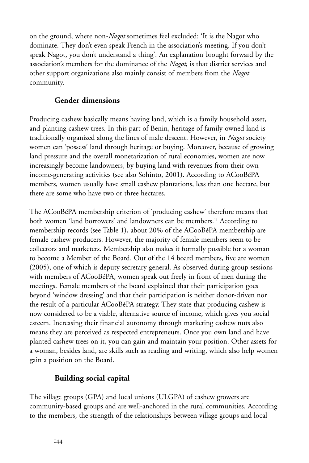on the ground, where non-*Nagot* sometimes feel excluded: 'It is the Nagot who dominate. They don't even speak French in the association's meeting. If you don't speak Nagot, you don't understand a thing'. An explanation brought forward by the association's members for the dominance of the *Nagot*, is that district services and other support organizations also mainly consist of members from the *Nagot* community.

## **Gender dimensions**

Producing cashew basically means having land, which is a family household asset, and planting cashew trees. In this part of Benin, heritage of family-owned land is traditionally organized along the lines of male descent. However, in *Nagot* society women can 'possess' land through heritage or buying. Moreover, because of growing land pressure and the overall monetarization of rural economies, women are now increasingly become landowners, by buying land with revenues from their own income-generating activities (see also Sohinto, 2001). According to ACooBéPA members, women usually have small cashew plantations, less than one hectare, but there are some who have two or three hectares.

The ACooBéPA membership criterion of 'producing cashew' therefore means that both women 'land borrowers' and landowners can be members.<sup>11</sup> According to membership records (see Table 1), about 20% of the ACooBéPA membership are female cashew producers. However, the majority of female members seem to be collectors and marketers. Membership also makes it formally possible for a woman to become a Member of the Board. Out of the 14 board members, five are women (2005), one of which is deputy secretary general. As observed during group sessions with members of ACooBéPA, women speak out freely in front of men during the meetings. Female members of the board explained that their participation goes beyond 'window dressing' and that their participation is neither donor-driven nor the result of a particular ACooBéPA strategy. They state that producing cashew is now considered to be a viable, alternative source of income, which gives you social esteem. Increasing their financial autonomy through marketing cashew nuts also means they are perceived as respected entrepreneurs. Once you own land and have planted cashew trees on it, you can gain and maintain your position. Other assets for a woman, besides land, are skills such as reading and writing, which also help women gain a position on the Board.

# **Building social capital**

The village groups (GPA) and local unions (ULGPA) of cashew growers are community-based groups and are well-anchored in the rural communities. According to the members, the strength of the relationships between village groups and local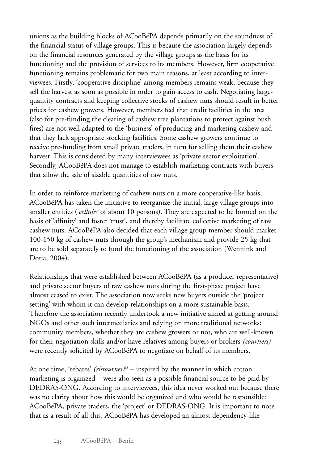unions as the building blocks of ACooBéPA depends primarily on the soundness of the financial status of village groups. This is because the association largely depends on the financial resources generated by the village groups as the basis for its functioning and the provision of services to its members. However, firm cooperative functioning remains problematic for two main reasons, at least according to interviewees. Firstly, 'cooperative discipline' among members remains weak, because they sell the harvest as soon as possible in order to gain access to cash. Negotiating largequantity contracts and keeping collective stocks of cashew nuts should result in better prices for cashew growers. However, members feel that credit facilities in the area (also for pre-funding the clearing of cashew tree plantations to protect against bush fires) are not well adapted to the 'business' of producing and marketing cashew and that they lack appropriate stocking facilities. Some cashew growers continue to receive pre-funding from small private traders, in turn for selling them their cashew harvest. This is considered by many interviewees as 'private sector exploitation'. Secondly, ACooBéPA does not manage to establish marketing contracts with buyers that allow the sale of sizable quantities of raw nuts.

In order to reinforce marketing of cashew nuts on a more cooperative-like basis, ACooBéPA has taken the initiative to reorganize the initial, large village groups into smaller entities (*'cellules'* of about 10 persons). They are expected to be formed on the basis of 'affinity' and foster 'trust', and thereby facilitate collective marketing of raw cashew nuts. ACooBéPA also decided that each village group member should market 100-150 kg of cashew nuts through the group's mechanism and provide 25 kg that are to be sold separately to fund the functioning of the association (Wennink and Dotia, 2004).

Relationships that were established between ACooBéPA (as a producer representative) and private sector buyers of raw cashew nuts during the first-phase project have almost ceased to exist. The association now seeks new buyers outside the 'project setting' with whom it can develop relationships on a more sustainable basis. Therefore the association recently undertook a new initiative aimed at getting around NGOs and other such intermediaries and relying on more traditional networks: community members, whether they are cashew growers or not, who are well-known for their negotiation skills and/or have relatives among buyers or brokers *(courtiers)* were recently solicited by ACooBéPA to negotiate on behalf of its members.

At one time, 'rebates' *(ristournes)*<sup>12</sup> – inspired by the manner in which cotton marketing is organized – were also seen as a possible financial source to be paid by DEDRAS-ONG. According to interviewees, this idea never worked out because there was no clarity about how this would be organized and who would be responsible: ACooBéPA, private traders, the 'project' or DEDRAS-ONG. It is important to note that as a result of all this, ACooBéPA has developed an almost dependency-like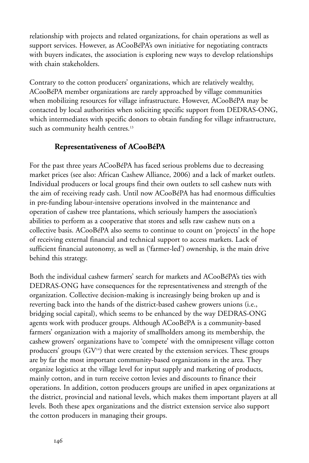relationship with projects and related organizations, for chain operations as well as support services. However, as ACooBéPA's own initiative for negotiating contracts with buyers indicates, the association is exploring new ways to develop relationships with chain stakeholders.

Contrary to the cotton producers' organizations, which are relatively wealthy, ACooBéPA member organizations are rarely approached by village communities when mobilizing resources for village infrastructure. However, ACooBéPA may be contacted by local authorities when soliciting specific support from DEDRAS-ONG, which intermediates with specific donors to obtain funding for village infrastructure, such as community health centres.<sup>13</sup>

## **Representativeness of ACooBéPA**

For the past three years ACooBéPA has faced serious problems due to decreasing market prices (see also: African Cashew Alliance, 2006) and a lack of market outlets. Individual producers or local groups find their own outlets to sell cashew nuts with the aim of receiving ready cash. Until now ACooBéPA has had enormous difficulties in pre-funding labour-intensive operations involved in the maintenance and operation of cashew tree plantations, which seriously hampers the association's abilities to perform as a cooperative that stores and sells raw cashew nuts on a collective basis. ACooBéPA also seems to continue to count on 'projects' in the hope of receiving external financial and technical support to access markets. Lack of sufficient financial autonomy, as well as ('farmer-led') ownership, is the main drive behind this strategy.

Both the individual cashew farmers' search for markets and ACooBéPA's ties with DEDRAS-ONG have consequences for the representativeness and strength of the organization. Collective decision-making is increasingly being broken up and is reverting back into the hands of the district-based cashew growers unions (i.e., bridging social capital), which seems to be enhanced by the way DEDRAS-ONG agents work with producer groups. Although ACooBéPA is a community-based farmers' organization with a majority of smallholders among its membership, the cashew growers' organizations have to 'compete' with the omnipresent village cotton producers' groups  $(GV<sup>14</sup>)$  that were created by the extension services. These groups are by far the most important community-based organizations in the area. They organize logistics at the village level for input supply and marketing of products, mainly cotton, and in turn receive cotton levies and discounts to finance their operations. In addition, cotton producers groups are unified in apex organizations at the district, provincial and national levels, which makes them important players at all levels. Both these apex organizations and the district extension service also support the cotton producers in managing their groups.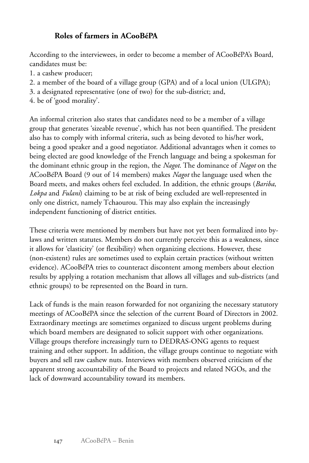## **Roles of farmers in ACooBéPA**

According to the interviewees, in order to become a member of ACooBéPA's Board, candidates must be:

- 1. a cashew producer;
- 2. a member of the board of a village group (GPA) and of a local union (ULGPA);
- 3. a designated representative (one of two) for the sub-district; and,
- 4. be of 'good morality'.

An informal criterion also states that candidates need to be a member of a village group that generates 'sizeable revenue', which has not been quantified. The president also has to comply with informal criteria, such as being devoted to his/her work, being a good speaker and a good negotiator. Additional advantages when it comes to being elected are good knowledge of the French language and being a spokesman for the dominant ethnic group in the region, the *Nagot*. The dominance of *Nagot* on the ACooBéPA Board (9 out of 14 members) makes *Nagot* the language used when the Board meets, and makes others feel excluded. In addition, the ethnic groups (*Bariba*, *Lokpa* and *Fulani*) claiming to be at risk of being excluded are well-represented in only one district, namely Tchaourou. This may also explain the increasingly independent functioning of district entities.

These criteria were mentioned by members but have not yet been formalized into bylaws and written statutes. Members do not currently perceive this as a weakness, since it allows for 'elasticity' (or flexibility) when organizing elections. However, these (non-existent) rules are sometimes used to explain certain practices (without written evidence). ACooBéPA tries to counteract discontent among members about election results by applying a rotation mechanism that allows all villages and sub-districts (and ethnic groups) to be represented on the Board in turn.

Lack of funds is the main reason forwarded for not organizing the necessary statutory meetings of ACooBéPA since the selection of the current Board of Directors in 2002. Extraordinary meetings are sometimes organized to discuss urgent problems during which board members are designated to solicit support with other organizations. Village groups therefore increasingly turn to DEDRAS-ONG agents to request training and other support. In addition, the village groups continue to negotiate with buyers and sell raw cashew nuts. Interviews with members observed criticism of the apparent strong accountability of the Board to projects and related NGOs, and the lack of downward accountability toward its members.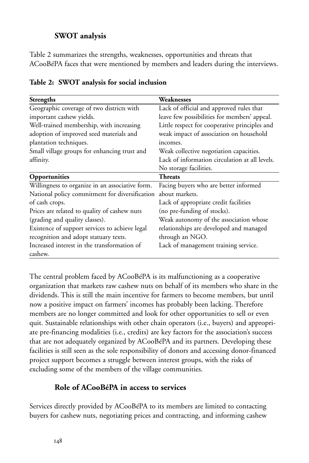## **SWOT analysis**

Table 2 summarizes the strengths, weaknesses, opportunities and threats that ACooBéPA faces that were mentioned by members and leaders during the interviews.

| Strengths                                       | Weaknesses                                     |
|-------------------------------------------------|------------------------------------------------|
| Geographic coverage of two districts with       | Lack of official and approved rules that       |
| important cashew yields.                        | leave few possibilities for members' appeal.   |
| Well-trained membership, with increasing        | Little respect for cooperative principles and  |
| adoption of improved seed materials and         | weak impact of association on household        |
| plantation techniques.                          | incomes.                                       |
| Small village groups for enhancing trust and    | Weak collective negotiation capacities.        |
| affinity.                                       | Lack of information circulation at all levels. |
|                                                 | No storage facilities.                         |
| Opportunities                                   | <b>Threats</b>                                 |
| Willingness to organize in an associative form. | Facing buyers who are better informed          |
| National policy commitment for diversification  | about markets.                                 |
| of cash crops.                                  | Lack of appropriate credit facilities          |
| Prices are related to quality of cashew nuts    | (no pre-funding of stocks).                    |
| (grading and quality classes).                  | Weak autonomy of the association whose         |
| Existence of support services to achieve legal  | relationships are developed and managed        |
| recognition and adopt statuary texts.           | through an NGO.                                |
| Increased interest in the transformation of     | Lack of management training service.           |
| cashew.                                         |                                                |

### **Table 2: SWOT analysis for social inclusion**

The central problem faced by ACooBéPA is its malfunctioning as a cooperative organization that markets raw cashew nuts on behalf of its members who share in the dividends. This is still the main incentive for farmers to become members, but until now a positive impact on farmers' incomes has probably been lacking. Therefore members are no longer committed and look for other opportunities to sell or even quit. Sustainable relationships with other chain operators (i.e., buyers) and appropriate pre-financing modalities (i.e., credits) are key factors for the association's success that are not adequately organized by ACooBéPA and its partners. Developing these facilities is still seen as the sole responsibility of donors and accessing donor-financed project support becomes a struggle between interest groups, with the risks of excluding some of the members of the village communities.

## **Role of ACooBéPA in access to services**

Services directly provided by ACooBéPA to its members are limited to contacting buyers for cashew nuts, negotiating prices and contracting, and informing cashew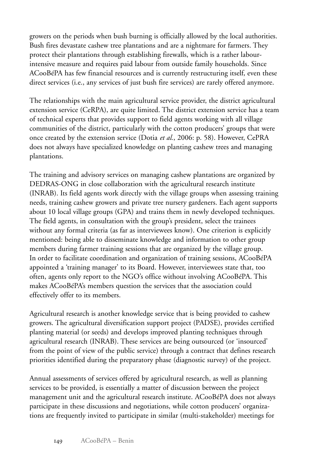growers on the periods when bush burning is officially allowed by the local authorities. Bush fires devastate cashew tree plantations and are a nightmare for farmers. They protect their plantations through establishing firewalls, which is a rather labourintensive measure and requires paid labour from outside family households. Since ACooBéPA has few financial resources and is currently restructuring itself, even these direct services (i.e., any services of just bush fire services) are rarely offered anymore.

The relationships with the main agricultural service provider, the district agricultural extension service (CeRPA), are quite limited. The district extension service has a team of technical experts that provides support to field agents working with all village communities of the district, particularly with the cotton producers' groups that were once created by the extension service (Dotia *et al.*, 2006: p. 58). However, CePRA does not always have specialized knowledge on planting cashew trees and managing plantations.

The training and advisory services on managing cashew plantations are organized by DEDRAS-ONG in close collaboration with the agricultural research institute (INRAB). Its field agents work directly with the village groups when assessing training needs, training cashew growers and private tree nursery gardeners. Each agent supports about 10 local village groups (GPA) and trains them in newly developed techniques. The field agents, in consultation with the group's president, select the trainees without any formal criteria (as far as interviewees know). One criterion is explicitly mentioned: being able to disseminate knowledge and information to other group members during farmer training sessions that are organized by the village group. In order to facilitate coordination and organization of training sessions, ACooBéPA appointed a 'training manager' to its Board. However, interviewees state that, too often, agents only report to the NGO's office without involving ACooBéPA. This makes ACooBéPA's members question the services that the association could effectively offer to its members.

Agricultural research is another knowledge service that is being provided to cashew growers. The agricultural diversification support project (PADSE), provides certified planting material (or seeds) and develops improved planting techniques through agricultural research (INRAB). These services are being outsourced (or 'insourced' from the point of view of the public service) through a contract that defines research priorities identified during the preparatory phase (diagnostic survey) of the project.

Annual assessments of services offered by agricultural research, as well as planning services to be provided, is essentially a matter of discussion between the project management unit and the agricultural research institute. ACooBéPA does not always participate in these discussions and negotiations, while cotton producers' organizations are frequently invited to participate in similar (multi-stakeholder) meetings for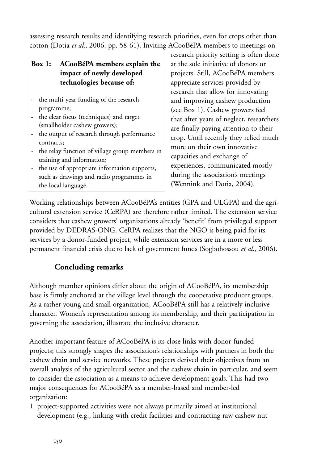assessing research results and identifying research priorities, even for crops other than cotton (Dotia *et al.*, 2006: pp. 58-61). Inviting ACooBéPA members to meetings on

## **Box 1: ACooBéPA members explain the impact of newly developed technologies because of:**

- the multi-year funding of the research programme;
- the clear focus (techniques) and target (smallholder cashew growers);
- the output of research through performance contracts;
- the relay function of village group members in training and information;
- the use of appropriate information supports, such as drawings and radio programmes in the local language.

research priority setting is often done at the sole initiative of donors or projects. Still, ACooBéPA members appreciate services provided by research that allow for innovating and improving cashew production (see Box 1). Cashew growers feel that after years of neglect, researchers are finally paying attention to their crop. Until recently they relied much more on their own innovative capacities and exchange of experiences, communicated mostly during the association's meetings (Wennink and Dotia, 2004).

Working relationships between ACooBéPA's entities (GPA and ULGPA) and the agricultural extension service (CeRPA) are therefore rather limited. The extension service considers that cashew growers' organizations already 'benefit' from privileged support provided by DEDRAS-ONG. CeRPA realizes that the NGO is being paid for its services by a donor-funded project, while extension services are in a more or less permanent financial crisis due to lack of government funds (Sogbohossou *et al.*, 2006).

## **Concluding remarks**

Although member opinions differ about the origin of ACooBéPA, its membership base is firmly anchored at the village level through the cooperative producer groups. As a rather young and small organization, ACooBéPA still has a relatively inclusive character. Women's representation among its membership, and their participation in governing the association, illustrate the inclusive character.

Another important feature of ACooBéPA is its close links with donor-funded projects; this strongly shapes the association's relationships with partners in both the cashew chain and service networks. These projects derived their objectives from an overall analysis of the agricultural sector and the cashew chain in particular, and seem to consider the association as a means to achieve development goals. This had two major consequences for ACooBéPA as a member-based and member-led organization:

1. project-supported activities were not always primarily aimed at institutional development (e.g., linking with credit facilities and contracting raw cashew nut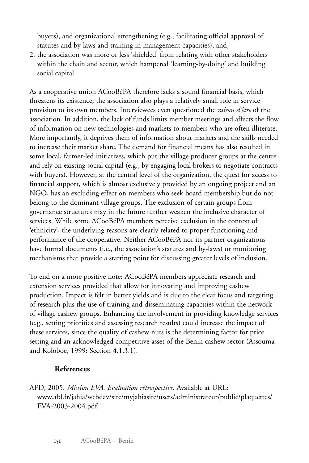buyers), and organizational strengthening (e.g., facilitating official approval of statutes and by-laws and training in management capacities); and,

2. the association was more or less 'shielded' from relating with other stakeholders within the chain and sector, which hampered 'learning-by-doing' and building social capital.

As a cooperative union ACooBéPA therefore lacks a sound financial basis, which threatens its existence; the association also plays a relatively small role in service provision to its own members. Interviewees even questioned the *raison d'être* of the association. In addition, the lack of funds limits member meetings and affects the flow of information on new technologies and markets to members who are often illiterate. More importantly, it deprives them of information about markets and the skills needed to increase their market share. The demand for financial means has also resulted in some local, farmer-led initiatives, which put the village producer groups at the centre and rely on existing social capital (e.g., by engaging local brokers to negotiate contracts with buyers). However, at the central level of the organization, the quest for access to financial support, which is almost exclusively provided by an ongoing project and an NGO, has an excluding effect on members who seek board membership but do not belong to the dominant village groups. The exclusion of certain groups from governance structures may in the future further weaken the inclusive character of services. While some ACooBéPA members perceive exclusion in the context of 'ethnicity', the underlying reasons are clearly related to proper functioning and performance of the cooperative. Neither ACooBéPA nor its partner organizations have formal documents (i.e., the association's statutes and by-laws) or monitoring mechanisms that provide a starting point for discussing greater levels of inclusion.

To end on a more positive note: ACooBéPA members appreciate research and extension services provided that allow for innovating and improving cashew production. Impact is felt in better yields and is due to the clear focus and targeting of research plus the use of training and disseminating capacities within the network of village cashew groups. Enhancing the involvement in providing knowledge services (e.g., setting priorities and assessing research results) could increase the impact of these services, since the quality of cashew nuts is the determining factor for price setting and an acknowledged competitive asset of the Benin cashew sector (Assouma and Koloboe, 1999: Section 4.1.3.1).

## **References**

AFD, 2005. *Mission EVA. Evaluation rétrospective*. Available at URL: www.afd.fr/jahia/webdav/site/myjahiasite/users/administrateur/public/plaquettes/ EVA-2003-2004.pdf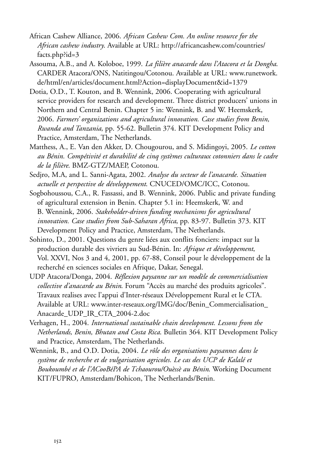- African Cashew Alliance, 2006. *African Cashew Com. An online resource for the African cashew industry*. Available at URL: http://africancashew.com/countries/ facts.php?id=3
- Assouma, A.B., and A. Koloboe, 1999. *La filière anacarde dans l'Atacora et la Dongha*. CARDER Atacora/ONS, Natitingou/Cotonou. Available at URL: www.runetwork. de/html/en/articles/document.html?Action=displayDocument&id=1379
- Dotia, O.D., T. Kouton, and B. Wennink, 2006. Cooperating with agricultural service providers for research and development. Three district producers' unions in Northern and Central Benin. Chapter 5 in: Wennink, B. and W. Heemskerk, 2006. *Farmers' organizations and agricultural innovation. Case studies from Benin, Rwanda and Tanzania*, pp. 55-62. Bulletin 374. KIT Development Policy and Practice, Amsterdam, The Netherlands.
- Matthess, A., E. Van den Akker, D. Chougourou, and S. Midingoyi, 2005. *Le cotton au Bénin. Compétivité et durabilité de cinq systèmes culturaux cotonniers dans le cadre de la filière*. BMZ-GTZ/MAEP, Cotonou.
- Sedjro, M.A, and L. Sanni-Agata, 2002. *Analyse du secteur de l'anacarde. Situation actuelle et perspective de développement*. CNUCED/OMC/ICC, Cotonou.
- Sogbohoussou, C.A., R. Fassassi, and B. Wennink, 2006. Public and private funding of agricultural extension in Benin. Chapter 5.1 in: Heemskerk, W. and B. Wennink, 2006. *Stakeholder-driven funding mechanisms for agricultural innovation. Case studies from Sub-Saharan Africa*, pp. 83-97. Bulletin 373. KIT Development Policy and Practice, Amsterdam, The Netherlands.
- Sohinto, D., 2001. Questions du genre liées aux conflits fonciers: impact sur la production durable des vivriers au Sud-Bénin. In: *Afrique et développement*, Vol. XXVI, Nos 3 and 4, 2001, pp. 67-88, Conseil pour le développement de la recherché en sciences sociales en Afrique, Dakar, Senegal.
- UDP Atacora/Donga, 2004. *Réflexion paysanne sur un modèle de commercialisation collective d'anacarde au Bénin*. Forum "Accès au marché des produits agricoles". Travaux realises avec l'appui d'Inter-réseaux Développement Rural et le CTA. Available at URL: www.inter-reseaux.org/IMG/doc/Benin\_Commercialisation\_ Anacarde\_UDP\_IR\_CTA\_2004-2.doc
- Verhagen, H., 2004. *International sustainable chain development. Lessons from the Netherlands, Benin, Bhutan and Costa Rica*. Bulletin 364. KIT Development Policy and Practice, Amsterdam, The Netherlands.
- Wennink, B., and O.D. Dotia, 2004. *Le rôle des organisations paysannes dans le système de recherche et de vulgarisation agricoles. Le cas des UCP de Kalalé et Boukoumbé et de l'ACooBéPA de Tchaourou/Ouèssè au Bénin*. Working Document KIT/FUPRO, Amsterdam/Bohicon, The Netherlands/Benin.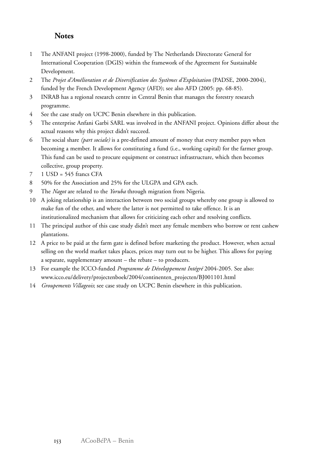## **Notes**

- 1 The ANFANI project (1998-2000), funded by The Netherlands Directorate General for International Cooperation (DGIS) within the framework of the Agreement for Sustainable Development.
- 2 The *Projet d'Amélioration et de Diversification des Systèmes d'Exploitation* (PADSE, 2000-2004), funded by the French Development Agency (AFD); see also AFD (2005: pp. 68-85).
- 3 INRAB has a regional research centre in Central Benin that manages the forestry research programme.
- 4 See the case study on UCPC Benin elsewhere in this publication.
- 5 The enterprise Anfani Garbi SARL was involved in the ANFANI project. Opinions differ about the actual reasons why this project didn't succeed.
- 6 The social share *(part sociale)* is a pre-defined amount of money that every member pays when becoming a member. It allows for constituting a fund (i.e., working capital) for the farmer group. This fund can be used to procure equipment or construct infrastructure, which then becomes collective, group property.
- $7 \quad 1$  USD = 545 francs CFA
- 8 50% for the Association and 25% for the ULGPA and GPA each.
- 9 The *Nagot* are related to the *Yoruba* through migration from Nigeria.
- 10 A joking relationship is an interaction between two social groups whereby one group is allowed to make fun of the other, and where the latter is not permitted to take offence. It is an institutionalized mechanism that allows for criticizing each other and resolving conflicts.
- 11 The principal author of this case study didn't meet any female members who borrow or rent cashew plantations.
- 12 A price to be paid at the farm gate is defined before marketing the product. However, when actual selling on the world market takes places, prices may turn out to be higher. This allows for paying a separate, supplementary amount – the rebate – to producers.
- 13 For example the ICCO-funded *Programme de Développement Intégré* 2004-2005. See also: www.icco.eu/delivery/projectenboek/2004/continenten\_projecten/BJ001101.html
- 14 *Groupements Villageois*; see case study on UCPC Benin elsewhere in this publication.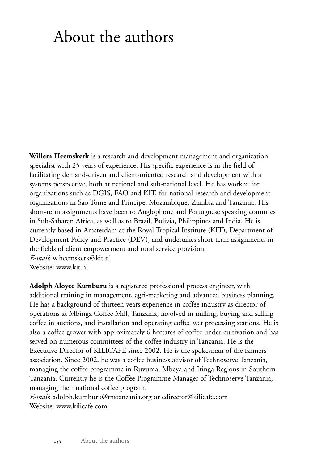# About the authors

**Willem Heemskerk** is a research and development management and organization specialist with 25 years of experience. His specific experience is in the field of facilitating demand-driven and client-oriented research and development with a systems perspective, both at national and sub-national level. He has worked for organizations such as DGIS, FAO and KIT, for national research and development organizations in Sao Tome and Principe, Mozambique, Zambia and Tanzania. His short-term assignments have been to Anglophone and Portuguese speaking countries in Sub-Saharan Africa, as well as to Brazil, Bolivia, Philippines and India. He is currently based in Amsterdam at the Royal Tropical Institute (KIT), Department of Development Policy and Practice (DEV), and undertakes short-term assignments in the fields of client empowerment and rural service provision. *E-mail*: w.heemskerk@kit.nl Website: www.kit.nl

**Adolph Aloyce Kumburu** is a registered professional process engineer, with additional training in management, agri-marketing and advanced business planning. He has a background of thirteen years experience in coffee industry as director of operations at Mbinga Coffee Mill, Tanzania, involved in milling, buying and selling coffee in auctions, and installation and operating coffee wet processing stations. He is also a coffee grower with approximately 6 hectares of coffee under cultivation and has served on numerous committees of the coffee industry in Tanzania. He is the Executive Director of KILICAFE since 2002. He is the spokesman of the farmers' association. Since 2002, he was a coffee business advisor of Technoserve Tanzania, managing the coffee programme in Ruvuma, Mbeya and Iringa Regions in Southern Tanzania. Currently he is the Coffee Programme Manager of Technoserve Tanzania, managing their national coffee program.

*E-mail*: adolph.kumburu@tnstanzania.org or edirector@kilicafe.com Website: www.kilicafe.com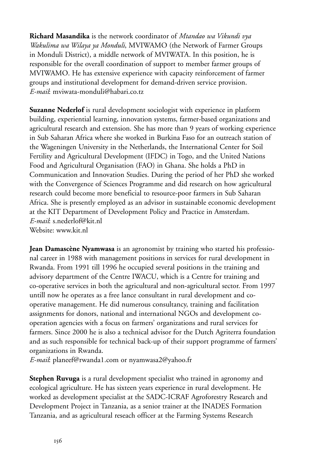**Richard Masandika** is the network coordinator of *Mtandao wa Vikundi vya Wakulima wa Wilaya ya Monduli*, MVIWAMO (the Network of Farmer Groups in Monduli District), a middle network of MVIWATA. In this position, he is responsible for the overall coordination of support to member farmer groups of MVIWAMO. He has extensive experience with capacity reinforcement of farmer groups and institutional development for demand-driven service provision. *E-mail*: mviwata-monduli@habari.co.tz

**Suzanne Nederlof** is rural development sociologist with experience in platform building, experiential learning, innovation systems, farmer-based organizations and agricultural research and extension. She has more than 9 years of working experience in Sub Saharan Africa where she worked in Burkina Faso for an outreach station of the Wageningen University in the Netherlands, the International Center for Soil Fertility and Agricultural Development (IFDC) in Togo, and the United Nations Food and Agricultural Organisation (FAO) in Ghana. She holds a PhD in Communication and Innovation Studies. During the period of her PhD she worked with the Convergence of Sciences Programme and did research on how agricultural research could become more beneficial to resource-poor farmers in Sub Saharan Africa. She is presently employed as an advisor in sustainable economic development at the KIT Department of Development Policy and Practice in Amsterdam. *E-mail*: s.nederlof@kit.nl Website: www.kit.nl

**Jean Damascène Nyamwasa** is an agronomist by training who started his professional career in 1988 with management positions in services for rural development in Rwanda. From 1991 till 1996 he occupied several positions in the training and advisory department of the Centre IWACU, which is a Centre for training and co-operative services in both the agricultural and non-agricultural sector. From 1997 untill now he operates as a free lance consultant in rural development and cooperative management. He did numerous consultancy, training and facilitation assignments for donors, national and international NGOs and development cooperation agencies with a focus on farmers' organizations and rural services for farmers. Since 2000 he is also a technical advisor for the Dutch Agriterra foundation and as such responsible for technical back-up of their support programme of farmers' organizations in Rwanda.

*E-mail*: planeef@rwanda1.com or nyamwasa2@yahoo.fr

**Stephen Ruvuga** is a rural development specialist who trained in agronomy and ecological agriculture. He has sixteen years experience in rural development. He worked as development specialist at the SADC-ICRAF Agroforestry Research and Development Project in Tanzania, as a senior trainer at the INADES Formation Tanzania, and as agricultural reseach officer at the Farming Systems Research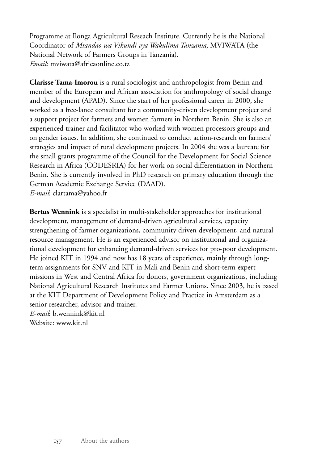Programme at Ilonga Agricultural Reseach Institute. Currently he is the National Coordinator of *Mtandao wa Vikundi vya Wakulima Tanzania*, MVIWATA (the National Network of Farmers Groups in Tanzania). *Email*: mviwata@africaonline.co.tz

**Clarisse Tama-Imorou** is a rural sociologist and anthropologist from Benin and member of the European and African association for anthropology of social change and development (APAD). Since the start of her professional career in 2000, she worked as a free-lance consultant for a community-driven development project and a support project for farmers and women farmers in Northern Benin. She is also an experienced trainer and facilitator who worked with women processors groups and on gender issues. In addition, she continued to conduct action-research on farmers' strategies and impact of rural development projects. In 2004 she was a laureate for the small grants programme of the Council for the Development for Social Science Research in Africa (CODESRIA) for her work on social differentiation in Northern Benin. She is currently involved in PhD research on primary education through the German Academic Exchange Service (DAAD). *E-mail*: clartama@yahoo.fr

**Bertus Wennink** is a specialist in multi-stakeholder approaches for institutional development, management of demand-driven agricultural services, capacity strengthening of farmer organizations, community driven development, and natural resource management. He is an experienced advisor on institutional and organizational development for enhancing demand-driven services for pro-poor development. He joined KIT in 1994 and now has 18 years of experience, mainly through longterm assignments for SNV and KIT in Mali and Benin and short-term expert missions in West and Central Africa for donors, government organizations, including National Agricultural Research Institutes and Farmer Unions. Since 2003, he is based at the KIT Department of Development Policy and Practice in Amsterdam as a senior researcher, advisor and trainer. *E-mail*: b.wennink@kit.nl Website: www.kit.nl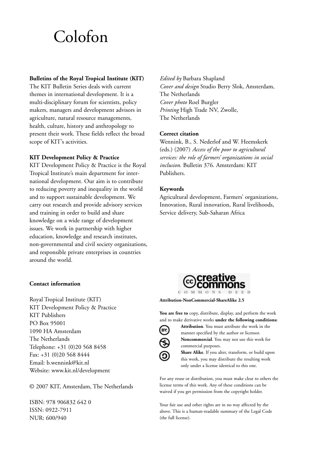# Colofon

### **Bulletins of the Royal Tropical Institute (KIT)**

The KIT Bulletin Series deals with current themes in international development. It is a multi-disciplinary forum for scientists, policy makers, managers and development advisors in agriculture, natural resource managements, health, culture, history and anthropology to present their work. These fields reflect the broad scope of KIT's activities.

### **KIT Development Policy & Practice**

KIT Development Policy & Practice is the Royal Tropical Institute's main department for international development. Our aim is to contribute to reducing poverty and inequality in the world and to support sustainable development. We carry out research and provide advisory services and training in order to build and share knowledge on a wide range of development issues. We work in partnership with higher education, knowledge and research institutes, non-governmental and civil society organizations, and responsible private enterprises in countries around the world.

*Edited by* Barbara Shapland *Cover and design* Studio Berry Slok, Amsterdam, The Netherlands *Cover photo* Roel Burgler *Printing* High Trade NV, Zwolle, The Netherlands

### **Correct citation**

Wennink, B., S. Nederlof and W. Heemskerk (eds.) (2007) *Access of the poor to agricultural services: the role of farmers' organizations in social inclusion.* Bulletin 376. Amsterdam: KIT Publishers.

### **Keywords**

Agricultural development, Farmers' organizations, Innovation, Rural innovation, Rural livelihoods, Service delivery, Sub-Saharan Africa



Royal Tropical Institute (KIT) KIT Development Policy & Practice KIT Publishers PO Box 95001 1090 HA Amsterdam The Netherlands Telephone: +31 (0)20 568 8458 Fax: +31 (0)20 568 8444 Email: b.wennink@kit.nl Website: www.kit.nl/development

© 2007 KIT, Amsterdam, The Netherlands

ISBN: 978 906832 642 0 ISSN: 0922-7911 NUR: 600/940



**Attribution-NonCommercial-ShareAlike 2.5** 

**You are free to** copy, distribute, display, and perform the work and to make derivative works **under the following conditions:**



**Attribution**. You must attribute the work in the manner specified by the author or licensor. **Noncommercial**. You may not use this work for commercial purposes.

**Share Alike**. If you alter, transform, or build upon this work, you may distribute the resulting work only under a license identical to this one.

For any reuse or distribution, you must make clear to others the license terms of this work. Any of these conditions can be waived if you get permission from the copyright holder.

Your fair use and other rights are in no way affected by the above. This is a human-readable summary of the Legal Code (the full license).